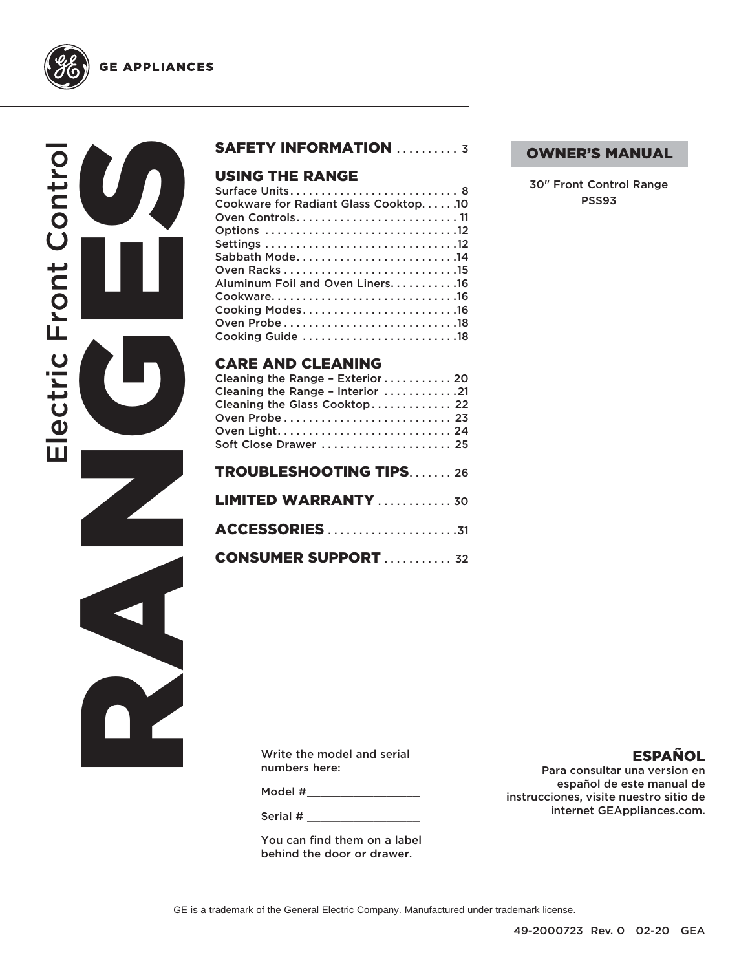

**GE APPLIANCES** 

## SAFETY INFORMATION .......... 3

## USING THE RANGE

| Cookware for Radiant Glass Cooktop10 |
|--------------------------------------|
| Oven Controls11                      |
| Options 12                           |
|                                      |
| Sabbath Mode14                       |
|                                      |
| Aluminum Foil and Oven Liners16      |
|                                      |
| Cooking Modes16                      |
|                                      |
| Cooking Guide 18                     |
|                                      |
|                                      |

## CARE AND CLEANING

| Cleaning the Range - Exterior  20 |
|-----------------------------------|
| Cleaning the Range - Interior 21  |
| Cleaning the Glass Cooktop 22     |
|                                   |
|                                   |
| Soft Close Drawer  25             |
|                                   |
| <b>TROUBLESHOOTING TIPS26</b>     |
| <b>LIMITED WARRANTY</b> 30        |
|                                   |
| <b>ACCESSORIES</b> 31             |
|                                   |
| <b>CONSUMER SUPPORT  32</b>       |

#### OWNER'S MANUAL

30" Front Control Range PSS93

Write the model and serial numbers here:

Model #

Serial #

You can find them on a label behind the door or drawer.

## ESPAÑOL

Para consultar una version en español de este manual de instrucciones, visite nuestro sitio de internet GEAppliances.com.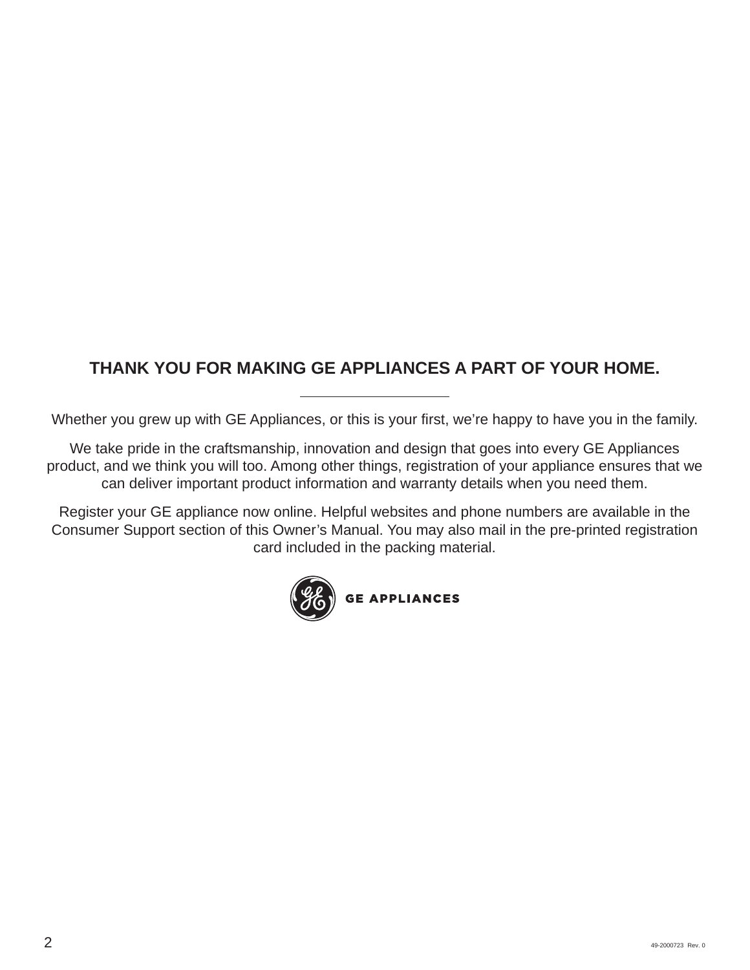## **THANK YOU FOR MAKING GE APPLIANCES A PART OF YOUR HOME.**

Whether you grew up with GE Appliances, or this is your first, we're happy to have you in the family.

We take pride in the craftsmanship, innovation and design that goes into every GE Appliances product, and we think you will too. Among other things, registration of your appliance ensures that we can deliver important product information and warranty details when you need them.

Register your GE appliance now online. Helpful websites and phone numbers are available in the Consumer Support section of this Owner's Manual. You may also mail in the pre-printed registration card included in the packing material.

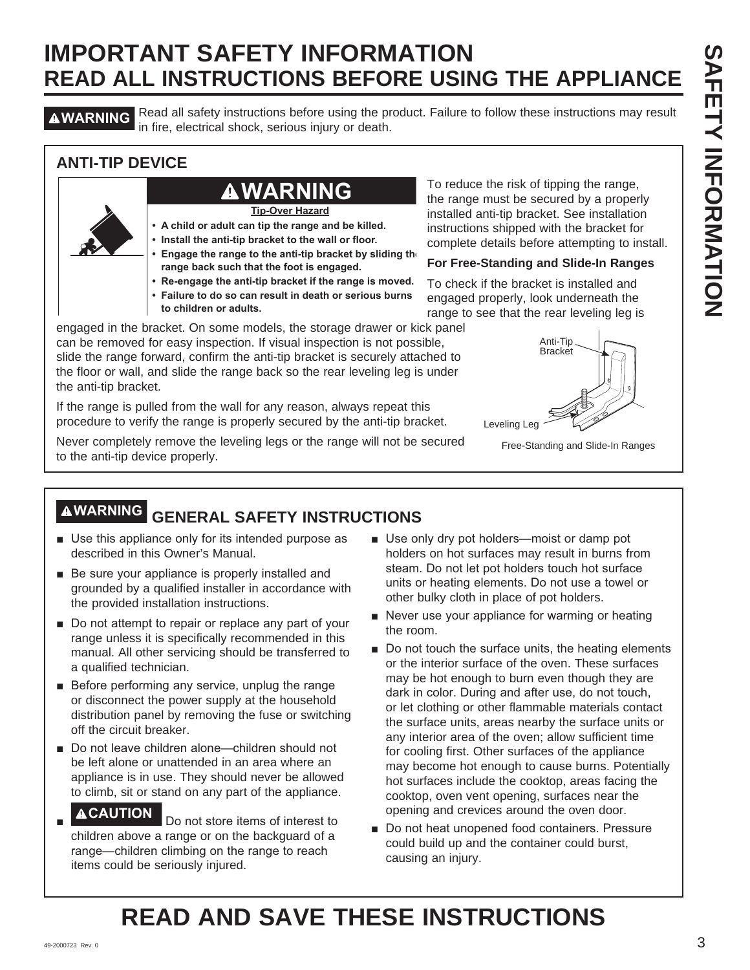**AWARNING** Read all safety instructions before using the product. Failure to follow these instructions may result in fire, electrical shock, serious injury or death.

## **ANTI-TIP DEVICE**

## **WARNING**

**Tip-Over Hazard**

- **A child or adult can tip the range and be killed.**
- **Install the anti-tip bracket to the wall or floor.**
- **Engage the range to the anti-tip bracket by sliding the range back such that the foot is engaged.**
- **Re-engage the anti-tip bracket if the range is moved.**
- **Failure to do so can result in death or serious burns**
- **to children or adults.**

engaged in the bracket. On some models, the storage drawer or kick panel can be removed for easy inspection. If visual inspection is not possible, slide the range forward, confirm the anti-tip bracket is securely attached to the floor or wall, and slide the range back so the rear leveling leg is under the anti-tip bracket.

If the range is pulled from the wall for any reason, always repeat this procedure to verify the range is properly secured by the anti-tip bracket.

Never completely remove the leveling legs or the range will not be secured to the anti-tip device properly.

To reduce the risk of tipping the range, the range must be secured by a properly installed anti-tip bracket. See installation instructions shipped with the bracket for complete details before attempting to install.

### **For Free-Standing and Slide-In Ranges**

To check if the bracket is installed and engaged properly, look underneath the range to see that the rear leveling leg is



Free-Standing and Slide-In Ranges

## **WARNING GENERAL SAFETY INSTRUCTIONS**

- Use this appliance only for its intended purpose as described in this Owner's Manual.
- $\blacksquare$  Be sure your appliance is properly installed and grounded by a qualified installer in accordance with the provided installation instructions.
- $\blacksquare$  Do not attempt to repair or replace any part of your range unless it is specifically recommended in this manual. All other servicing should be transferred to a qualified technician.
- $\blacksquare$  Before performing any service, unplug the range or disconnect the power supply at the household distribution panel by removing the fuse or switching off the circuit breaker.
- Do not leave children alone—children should not be left alone or unattended in an area where an appliance is in use. They should never be allowed to climb, sit or stand on any part of the appliance.

#### Ŷ **ACAUTION** Do not store items of interest to

children above a range or on the backguard of a range—children climbing on the range to reach items could be seriously injured.

- Use only dry pot holders-moist or damp pot holders on hot surfaces may result in burns from steam. Do not let pot holders touch hot surface units or heating elements. Do not use a towel or other bulky cloth in place of pot holders.
- $\blacksquare$  Never use your appliance for warming or heating the room.
- Do not touch the surface units, the heating elements or the interior surface of the oven. These surfaces may be hot enough to burn even though they are dark in color. During and after use, do not touch, or let clothing or other flammable materials contact the surface units, areas nearby the surface units or any interior area of the oven; allow sufficient time for cooling first. Other surfaces of the appliance may become hot enough to cause burns. Potentially hot surfaces include the cooktop, areas facing the cooktop, oven vent opening, surfaces near the opening and crevices around the oven door.
- Do not heat unopened food containers. Pressure could build up and the container could burst, causing an injury.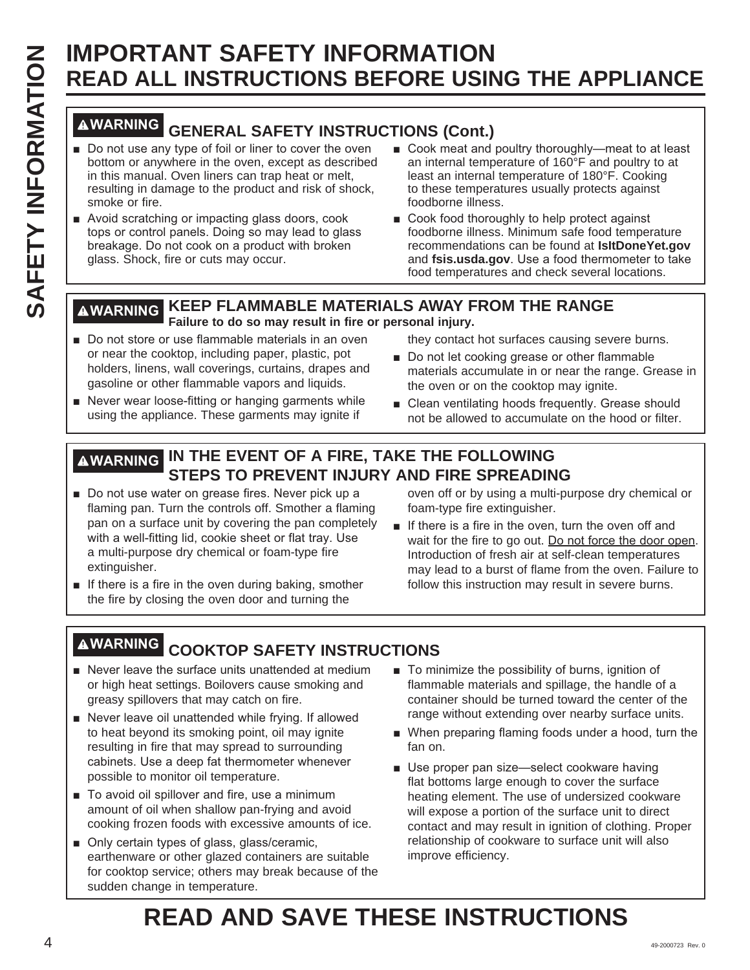## **WARNING GENERAL SAFETY INSTRUCTIONS (Cont.)**

- Do not use any type of foil or liner to cover the oven bottom or anywhere in the oven, except as described in this manual. Oven liners can trap heat or melt, resulting in damage to the product and risk of shock, smoke or fire.
- Avoid scratching or impacting glass doors, cook tops or control panels. Doing so may lead to glass breakage. Do not cook on a product with broken glass. Shock, fire or cuts may occur.
- Cook meat and poultry thoroughly—meat to at least an internal temperature of 160°F and poultry to at least an internal temperature of 180°F. Cooking to these temperatures usually protects against foodborne illness.
- $\blacksquare$  Cook food thoroughly to help protect against foodborne illness. Minimum safe food temperature recommendations can be found at **IsItDoneYet.gov** and **fsis.usda.gov**. Use a food thermometer to take food temperatures and check several locations.

## **WARNING KEEP FLAMMABLE MATERIALS AWAY FROM THE RANGE Failure to do so may result in fire or personal injury.**

- Do not store or use flammable materials in an oven or near the cooktop, including paper, plastic, pot holders, linens, wall coverings, curtains, drapes and gasoline or other flammable vapors and liquids.
- Never wear loose-fitting or hanging garments while using the appliance. These garments may ignite if
- they contact hot surfaces causing severe burns.
- Do not let cooking grease or other flammable materials accumulate in or near the range. Grease in the oven or on the cooktop may ignite.
- Clean ventilating hoods frequently. Grease should not be allowed to accumulate on the hood or filter.

## **WARNING IN THE EVENT OF A FIRE, TAKE THE FOLLOWING STEPS TO PREVENT INJURY AND FIRE SPREADING**

- Do not use water on grease fires. Never pick up a flaming pan. Turn the controls off. Smother a flaming pan on a surface unit by covering the pan completely with a well-fitting lid, cookie sheet or flat tray. Use a multi-purpose dry chemical or foam-type fire extinguisher.
- $\blacksquare$  If there is a fire in the oven during baking, smother the fire by closing the oven door and turning the

oven off or by using a multi-purpose dry chemical or foam-type fire extinguisher.

 $\blacksquare$  If there is a fire in the oven, turn the oven off and wait for the fire to go out. Do not force the door open. Introduction of fresh air at self-clean temperatures may lead to a burst of flame from the oven. Failure to follow this instruction may result in severe burns.

## **WARNING COOKTOP SAFETY INSTRUCTIONS**

- $\blacksquare$  Never leave the surface units unattended at medium or high heat settings. Boilovers cause smoking and greasy spillovers that may catch on fire.
- Never leave oil unattended while frying. If allowed to heat beyond its smoking point, oil may ignite resulting in fire that may spread to surrounding cabinets. Use a deep fat thermometer whenever possible to monitor oil temperature.
- To avoid oil spillover and fire, use a minimum amount of oil when shallow pan-frying and avoid cooking frozen foods with excessive amounts of ice.
- Only certain types of glass, glass/ceramic, earthenware or other glazed containers are suitable for cooktop service; others may break because of the sudden change in temperature.
- $\blacksquare$  To minimize the possibility of burns, ignition of flammable materials and spillage, the handle of a container should be turned toward the center of the range without extending over nearby surface units.
- When preparing flaming foods under a hood, turn the fan on.
- Use proper pan size-select cookware having flat bottoms large enough to cover the surface heating element. The use of undersized cookware will expose a portion of the surface unit to direct contact and may result in ignition of clothing. Proper relationship of cookware to surface unit will also improve efficiency.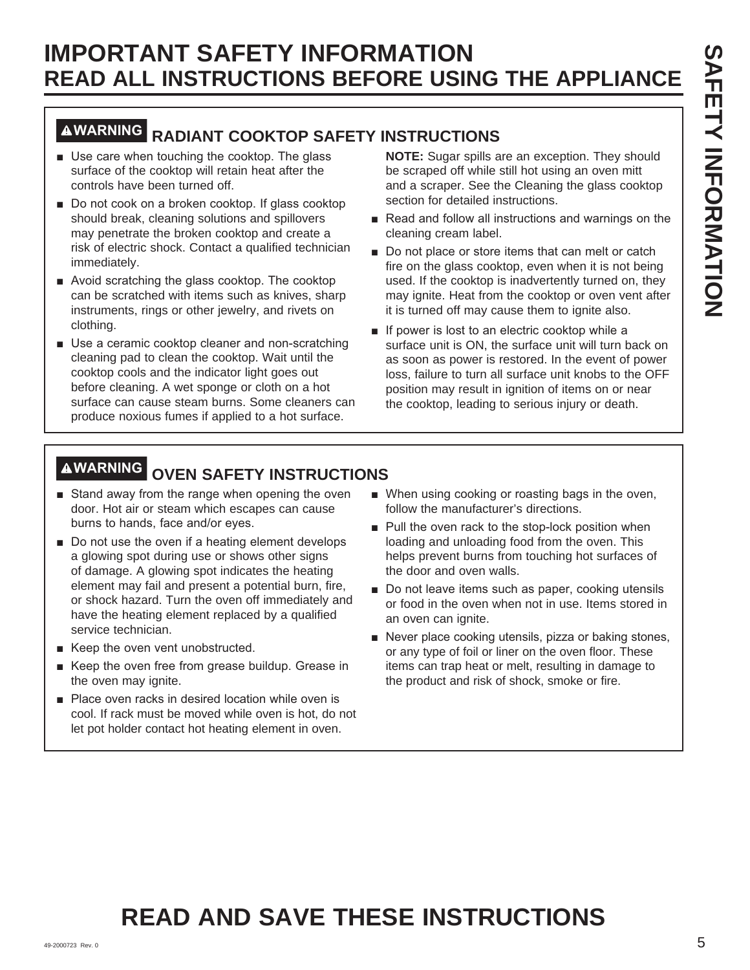## **WARNING RADIANT COOKTOP SAFETY INSTRUCTIONS**

- $\blacksquare$  Use care when touching the cooktop. The glass surface of the cooktop will retain heat after the controls have been turned off.
- $\blacksquare$  Do not cook on a broken cooktop. If glass cooktop should break, cleaning solutions and spillovers may penetrate the broken cooktop and create a risk of electric shock. Contact a qualified technician immediately.
- $\blacksquare$  Avoid scratching the glass cooktop. The cooktop can be scratched with items such as knives, sharp instruments, rings or other jewelry, and rivets on clothing.
- **B** Use a ceramic cooktop cleaner and non-scratching cleaning pad to clean the cooktop. Wait until the cooktop cools and the indicator light goes out before cleaning. A wet sponge or cloth on a hot surface can cause steam burns. Some cleaners can produce noxious fumes if applied to a hot surface.

**NOTE:** Sugar spills are an exception. They should be scraped off while still hot using an oven mitt and a scraper. See the Cleaning the glass cooktop section for detailed instructions.

- Read and follow all instructions and warnings on the cleaning cream label.
- Do not place or store items that can melt or catch fire on the glass cooktop, even when it is not being used. If the cooktop is inadvertently turned on, they may ignite. Heat from the cooktop or oven vent after it is turned off may cause them to ignite also.
- **I** If power is lost to an electric cooktop while a surface unit is ON, the surface unit will turn back on as soon as power is restored. In the event of power loss, failure to turn all surface unit knobs to the OFF position may result in ignition of items on or near the cooktop, leading to serious injury or death.

## **WARNING OVEN SAFETY INSTRUCTIONS**

- Stand away from the range when opening the oven door. Hot air or steam which escapes can cause burns to hands, face and/or eyes.
- $\blacksquare$  Do not use the oven if a heating element develops a glowing spot during use or shows other signs of damage. A glowing spot indicates the heating element may fail and present a potential burn, fire, or shock hazard. Turn the oven off immediately and have the heating element replaced by a qualified service technician.
- $\blacksquare$  Keep the oven vent unobstructed.
- Keep the oven free from grease buildup. Grease in the oven may ignite.
- Place oven racks in desired location while oven is cool. If rack must be moved while oven is hot, do not let pot holder contact hot heating element in oven.
- When using cooking or roasting bags in the oven, follow the manufacturer's directions.
- $\blacksquare$  Pull the oven rack to the stop-lock position when loading and unloading food from the oven. This helps prevent burns from touching hot surfaces of the door and oven walls.
- Do not leave items such as paper, cooking utensils or food in the oven when not in use. Items stored in an oven can ignite.
- Never place cooking utensils, pizza or baking stones, or any type of foil or liner on the oven floor. These items can trap heat or melt, resulting in damage to the product and risk of shock, smoke or fire.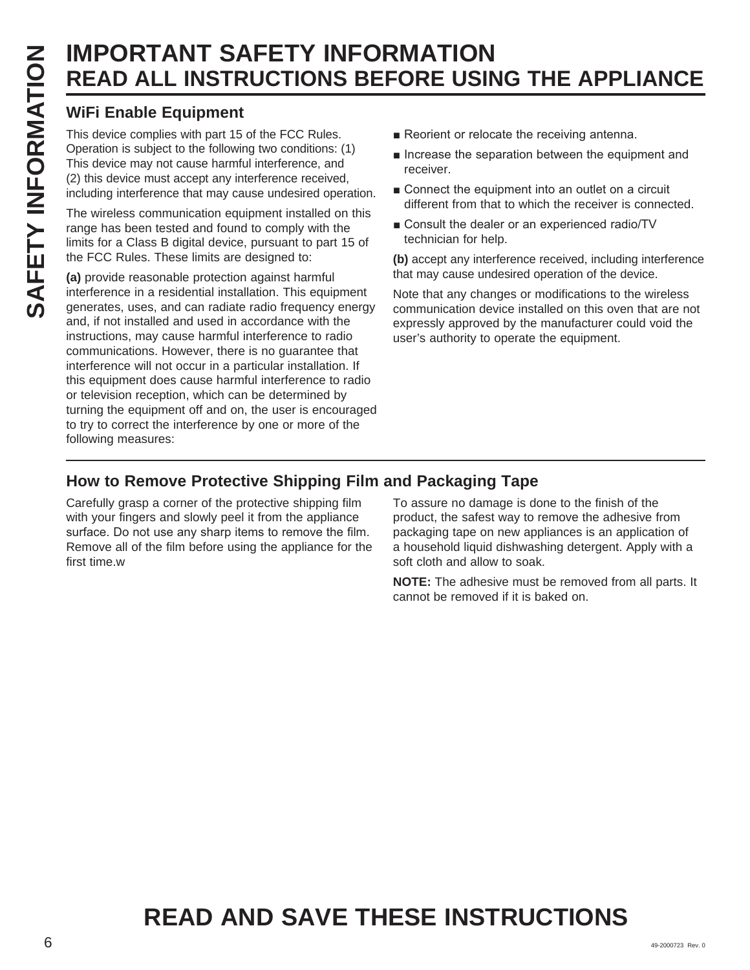## **WiFi Enable Equipment**

This device complies with part 15 of the FCC Rules. Operation is subject to the following two conditions: (1) This device may not cause harmful interference, and (2) this device must accept any interference received, including interference that may cause undesired operation.

The wireless communication equipment installed on this range has been tested and found to comply with the limits for a Class B digital device, pursuant to part 15 of the FCC Rules. These limits are designed to:

**(a)** provide reasonable protection against harmful interference in a residential installation. This equipment generates, uses, and can radiate radio frequency energy and, if not installed and used in accordance with the instructions, may cause harmful interference to radio communications. However, there is no guarantee that interference will not occur in a particular installation. If this equipment does cause harmful interference to radio or television reception, which can be determined by turning the equipment off and on, the user is encouraged to try to correct the interference by one or more of the following measures:

- Reorient or relocate the receiving antenna.
- $\blacksquare$  Increase the separation between the equipment and receiver.
- Connect the equipment into an outlet on a circuit different from that to which the receiver is connected.
- Consult the dealer or an experienced radio/TV technician for help.

**(b)** accept any interference received, including interference that may cause undesired operation of the device.

Note that any changes or modifications to the wireless communication device installed on this oven that are not expressly approved by the manufacturer could void the user's authority to operate the equipment.

## **How to Remove Protective Shipping Film and Packaging Tape**

Carefully grasp a corner of the protective shipping film with your fingers and slowly peel it from the appliance surface. Do not use any sharp items to remove the film. Remove all of the film before using the appliance for the first time.w

To assure no damage is done to the finish of the product, the safest way to remove the adhesive from packaging tape on new appliances is an application of a household liquid dishwashing detergent. Apply with a soft cloth and allow to soak.

**NOTE:** The adhesive must be removed from all parts. It cannot be removed if it is baked on.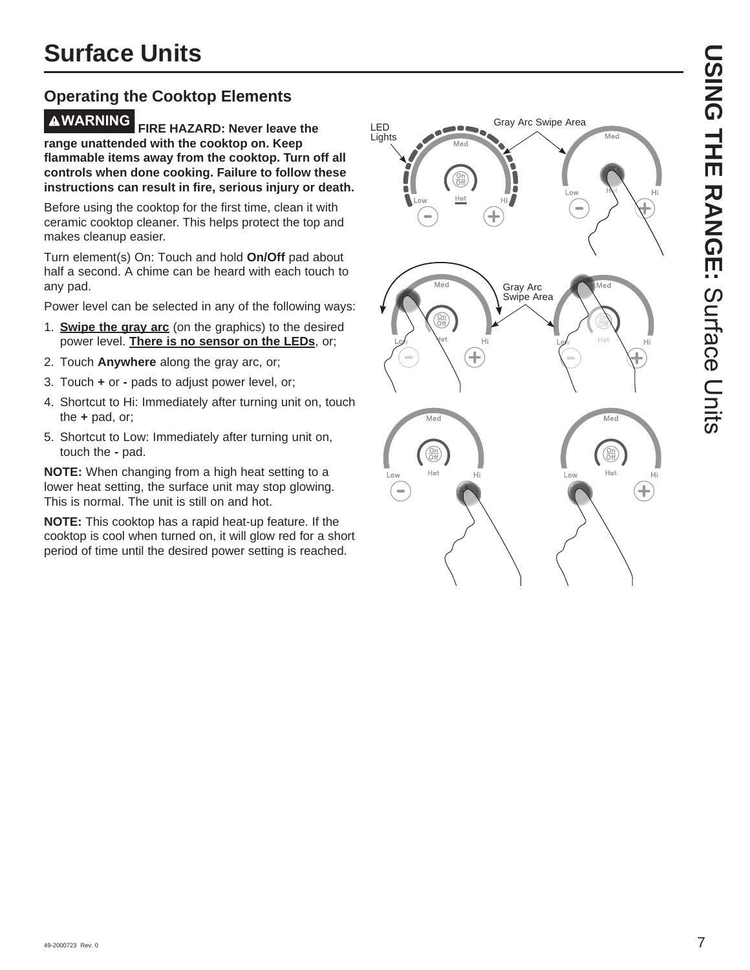## **Operating the Cooktop Elements**

**WARNING FIRE HAZARD: Never leave the range unattended with the cooktop on. Keep flammable items away from the cooktop. Turn off all controls when done cooking. Failure to follow these instructions can result in fire, serious injury or death.**

Before using the cooktop for the first time, clean it with ceramic cooktop cleaner. This helps protect the top and makes cleanup easier.

Turn element(s) On: Touch and hold **On/Off** pad about half a second. A chime can be heard with each touch to any pad.

Power level can be selected in any of the following ways:

- 1. **Swipe the gray arc** (on the graphics) to the desired power level. **There is no sensor on the LEDs**, or;
- 2. Touch **Anywhere** along the gray arc, or;
- 3. Touch **+** or **-** pads to adjust power level, or;
- 4. Shortcut to Hi: Immediately after turning unit on, touch the **+** pad, or;
- 5. Shortcut to Low: Immediately after turning unit on, touch the **-** pad.

**NOTE:** When changing from a high heat setting to a lower heat setting, the surface unit may stop glowing. This is normal. The unit is still on and hot.

**NOTE:** This cooktop has a rapid heat-up feature. If the cooktop is cool when turned on, it will glow red for a short period of time until the desired power setting is reached.

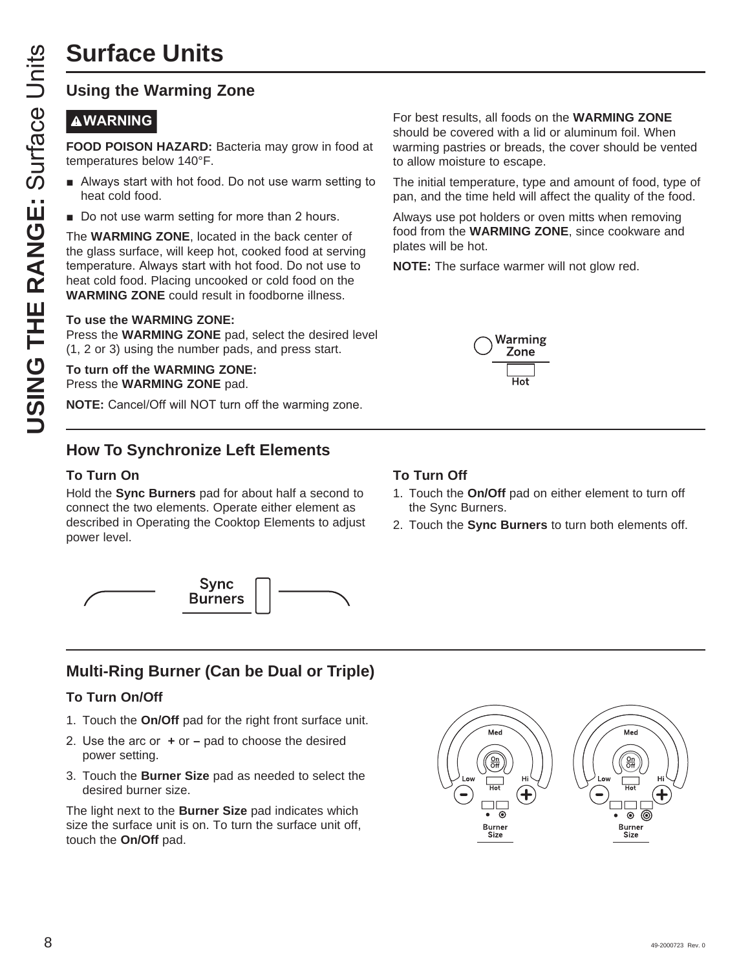## **Using the Warming Zone**

## **AWARNING**

**FOOD POISON HAZARD:** Bacteria may grow in food at temperatures below 140°F.

- Always start with hot food. Do not use warm setting to heat cold food.
- Do not use warm setting for more than 2 hours.

**USING THE RANGE SET AN AND SET AN AND SET AN AN AND SET AN AN AN ANDERED THE WARMING ZONE, locate the glass surface, will keep h temperature. Always start with heat cold food.<br>
• Do not use warm setting for the glass surf** The **WARMING ZONE**, located in the back center of the glass surface, will keep hot, cooked food at serving temperature. Always start with hot food. Do not use to heat cold food. Placing uncooked or cold food on the **WARMING ZONE** could result in foodborne illness.

#### **To use the WARMING ZONE:**

Press the **WARMING ZONE** pad, select the desired level (1, 2 or 3) using the number pads, and press start.

**To turn off the WARMING ZONE:** Press the **WARMING ZONE** pad.

**NOTE:** Cancel/Off will NOT turn off the warming zone.

## **How To Synchronize Left Elements**

## **To Turn On**

Hold the **Sync Burners** pad for about half a second to connect the two elements. Operate either element as described in Operating the Cooktop Elements to adjust power level.



## **Multi-Ring Burner (Can be Dual or Triple)**

## **To Turn On/Off**

- 1. Touch the **On/Off** pad for the right front surface unit.
- 8. Use the arc or  $+$  or  $-$  pad to choose the desired power setting.
- 3. Touch the **Burner Size** pad as needed to select the desired burner size.

The light next to the **Burner Size** pad indicates which size the surface unit is on. To turn the surface unit off, touch the **On/Off** pad.

For best results, all foods on the **WARMING ZONE** should be covered with a lid or aluminum foil. When warming pastries or breads, the cover should be vented to allow moisture to escape.

The initial temperature, type and amount of food, type of pan, and the time held will affect the quality of the food.

Always use pot holders or oven mitts when removing food from the **WARMING ZONE**, since cookware and plates will be hot.

**NOTE:** The surface warmer will not glow red.



## **To Turn Off**

- 1. Touch the **On/Off** pad on either element to turn off the Sync Burners.
- 2. Touch the **Sync Burners** to turn both elements off.

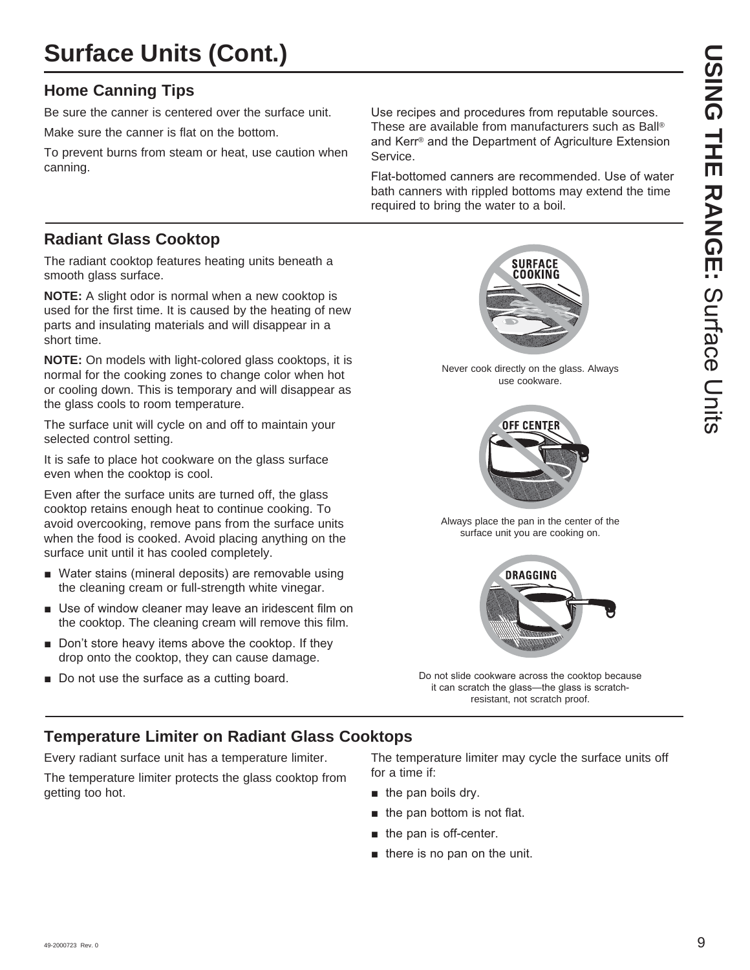## **Surface Units (Cont.)**

## **Home Canning Tips**

Be sure the canner is centered over the surface unit.

Make sure the canner is flat on the bottom.

To prevent burns from steam or heat, use caution when canning.

Use recipes and procedures from reputable sources. These are available from manufacturers such as Ball® and Kerr<sup>®</sup> and the Department of Agriculture Extension Service.

Flat-bottomed canners are recommended. Use of water bath canners with rippled bottoms may extend the time required to bring the water to a boil.

## **Radiant Glass Cooktop**

The radiant cooktop features heating units beneath a smooth glass surface.

**NOTE:** A slight odor is normal when a new cooktop is used for the first time. It is caused by the heating of new parts and insulating materials and will disappear in a short time.

**NOTE:** On models with light-colored glass cooktops, it is normal for the cooking zones to change color when hot or cooling down. This is temporary and will disappear as the glass cools to room temperature.

The surface unit will cycle on and off to maintain your selected control setting.

It is safe to place hot cookware on the glass surface even when the cooktop is cool.

Even after the surface units are turned off, the glass cooktop retains enough heat to continue cooking. To avoid overcooking, remove pans from the surface units when the food is cooked. Avoid placing anything on the surface unit until it has cooled completely.

- Water stains (mineral deposits) are removable using the cleaning cream or full-strength white vinegar.
- $\blacksquare$  Use of window cleaner may leave an iridescent film on the cooktop. The cleaning cream will remove this film.
- $\blacksquare$  Don't store heavy items above the cooktop. If they drop onto the cooktop, they can cause damage.
- Do not use the surface as a cutting board.

**SURFACE** COOKING

Never cook directly on the glass. Always use cookware.



Always place the pan in the center of the surface unit you are cooking on.



Do not slide cookware across the cooktop because it can scratch the glass-the glass is scratchresistant, not scratch proof.

## **Temperature Limiter on Radiant Glass Cooktops**

Every radiant surface unit has a temperature limiter.

The temperature limiter protects the glass cooktop from getting too hot.

The temperature limiter may cycle the surface units off for a time if:

- $\blacksquare$  the pan boils dry.
- $\blacksquare$  the pan bottom is not flat.
- $\blacksquare$  the pan is off-center.
- $\blacksquare$  there is no pan on the unit.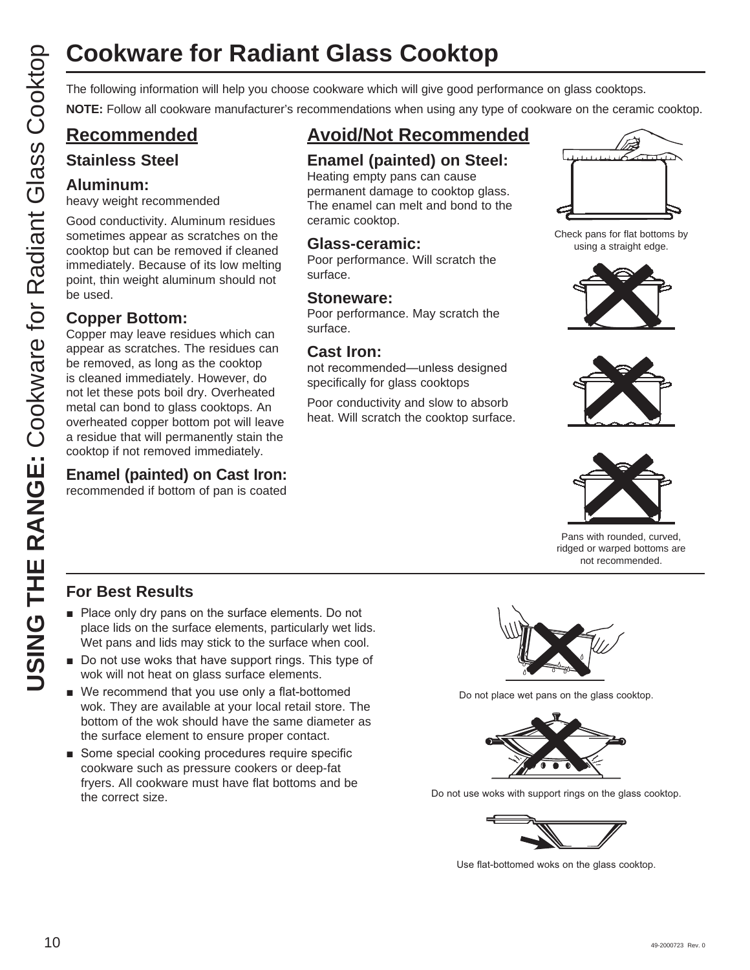# **Cookware for Radiant Glass Cooktop**

The following information will help you choose cookware which will give good performance on glass cooktops.

**NOTE:** Follow all cookware manufacturer's recommendations when using any type of cookware on the ceramic cooktop.

## **Recommended**

## **Stainless Steel**

## **Aluminum:**

heavy weight recommended

Good conductivity. Aluminum residues sometimes appear as scratches on the cooktop but can be removed if cleaned immediately. Because of its low melting point, thin weight aluminum should not be used.

## **Copper Bottom:**

Copper may leave residues which can appear as scratches. The residues can be removed, as long as the cooktop is cleaned immediately. However, do not let these pots boil dry. Overheated metal can bond to glass cooktops. An overheated copper bottom pot will leave a residue that will permanently stain the cooktop if not removed immediately.

## **Enamel (painted) on Cast Iron:**

recommended if bottom of pan is coated

## **Avoid/Not Recommended**

## **Enamel (painted) on Steel:**

Heating empty pans can cause permanent damage to cooktop glass. The enamel can melt and bond to the ceramic cooktop.

## **Glass-ceramic:**

Poor performance. Will scratch the surface.

## **Stoneware:**

Poor performance. May scratch the surface.

## **Cast Iron:**

not recommended—unless designed specifically for glass cooktops

Poor conductivity and slow to absorb heat. Will scratch the cooktop surface.



Check pans for flat bottoms by using a straight edge.







Pans with rounded, curved, ridged or warped bottoms are not recommended.

## **For Best Results**

- $\blacksquare$  Place only dry pans on the surface elements. Do not place lids on the surface elements, particularly wet lids. Wet pans and lids may stick to the surface when cool.
- $\blacksquare$  Do not use woks that have support rings. This type of wok will not heat on glass surface elements.
- $\blacksquare$  We recommend that you use only a flat-bottomed wok. They are available at your local retail store. The bottom of the wok should have the same diameter as the surface element to ensure proper contact.
- Some special cooking procedures require specific cookware such as pressure cookers or deep-fat fryers. All cookware must have flat bottoms and be the correct size.



Do not place wet pans on the glass cooktop.



Do not use woks with support rings on the glass cooktop.



Use flat-bottomed woks on the glass cooktop.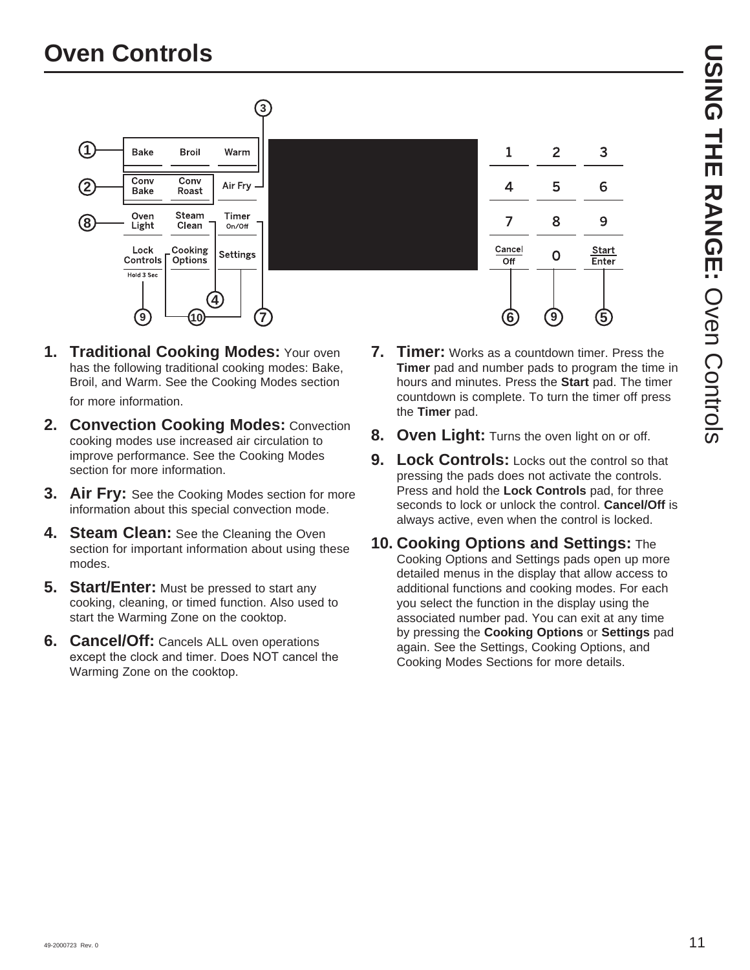

- **1. Traditional Cooking Modes:** Your oven has the following traditional cooking modes: Bake, Broil, and Warm. See the Cooking Modes section for more information.
- **2. Convection Cooking Modes:** Convection cooking modes use increased air circulation to improve performance. See the Cooking Modes section for more information.
- **3. Air Fry:** See the Cooking Modes section for more information about this special convection mode.
- **4. Steam Clean:** See the Cleaning the Oven section for important information about using these modes.
- **5. Start/Enter:** Must be pressed to start any cooking, cleaning, or timed function. Also used to start the Warming Zone on the cooktop.
- **6. Cancel/Off:** Cancels ALL oven operations except the clock and timer. Does NOT cancel the Warming Zone on the cooktop.
- **7. Timer:** Works as a countdown timer. Press the **Timer** pad and number pads to program the time in hours and minutes. Press the **Start** pad. The timer countdown is complete. To turn the timer off press the **Timer** pad.
- **8. Oven Light:** Turns the oven light on or off.
- **9. Lock Controls:** Locks out the control so that pressing the pads does not activate the controls. Press and hold the **Lock Controls** pad, for three seconds to lock or unlock the control. **Cancel/Off** is always active, even when the control is locked.
- **10. Cooking Options and Settings:** The Cooking Options and Settings pads open up more detailed menus in the display that allow access to additional functions and cooking modes. For each you select the function in the display using the associated number pad. You can exit at any time by pressing the **Cooking Options** or **Settings** pad again. See the Settings, Cooking Options, and Cooking Modes Sections for more details.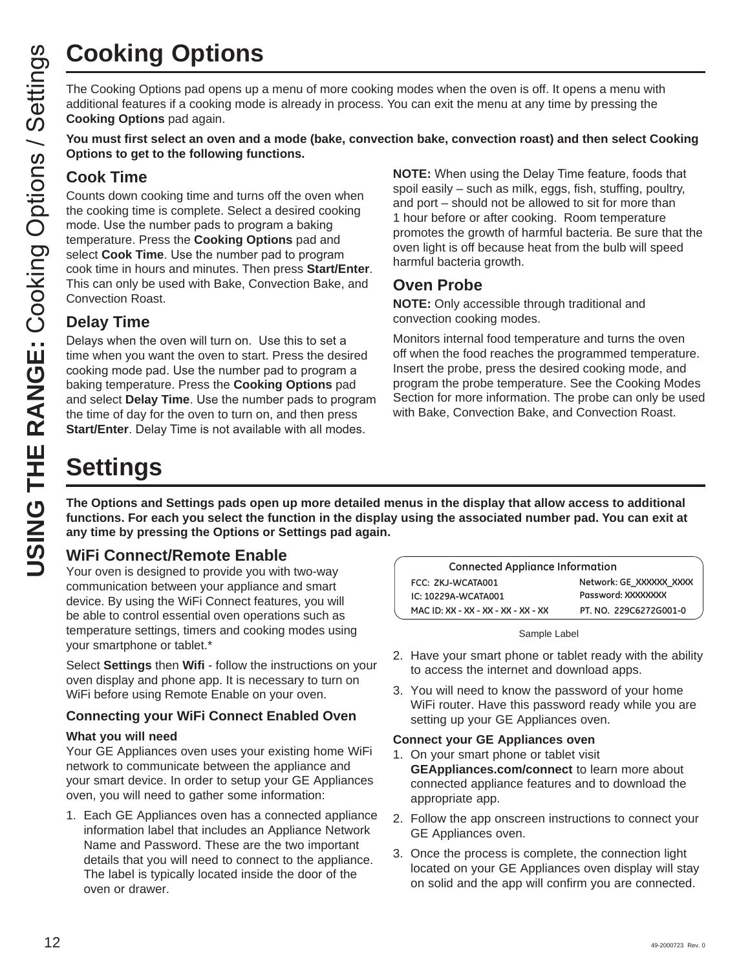The Cooking Options pad opens up a menu of more cooking modes when the oven is off. It opens a menu with additional features if a cooking mode is already in process. You can exit the menu at any time by pressing the **Cooking Options** pad again.

**You must first select an oven and a mode (bake, convection bake, convection roast) and then select Cooking Options to get to the following functions.**

## **Cook Time**

**USING THE RANGE THE RANGE THE RANGE THE RANGE SANGE THE COOK TIME COOK Time**<br> **USING THE COOK TIME**<br>
COOK TIME for the following fun and options to get to the following fun and options to get to the following time and tur Counts down cooking time and turns off the oven when the cooking time is complete. Select a desired cooking mode. Use the number pads to program a baking temperature. Press the **Cooking Options** pad and select **Cook Time**. Use the number pad to program cook time in hours and minutes. Then press **Start/Enter**. This can only be used with Bake, Convection Bake, and Convection Roast.

## **Delay Time**

Delays when the oven will turn on. Use this to set a time when you want the oven to start. Press the desired cooking mode pad. Use the number pad to program a baking temperature. Press the **Cooking Options** pad and select **Delay Time**. Use the number pads to program the time of day for the oven to turn on, and then press **Start/Enter**. Delay Time is not available with all modes.

**NOTE:** When using the Delay Time feature, foods that spoil easily – such as milk, eggs, fish, stuffing, poultry, and port – should not be allowed to sit for more than 1 hour before or after cooking. Room temperature promotes the growth of harmful bacteria. Be sure that the oven light is off because heat from the bulb will speed harmful bacteria growth.

## **Oven Probe**

**NOTE:** Only accessible through traditional and convection cooking modes.

Monitors internal food temperature and turns the oven off when the food reaches the programmed temperature. Insert the probe, press the desired cooking mode, and program the probe temperature. See the Cooking Modes Section for more information. The probe can only be used with Bake, Convection Bake, and Convection Roast.

# **Settings**

**The Options and Settings pads open up more detailed menus in the display that allow access to additional functions. For each you select the function in the display using the associated number pad. You can exit at any time by pressing the Options or Settings pad again.**

## **WiFi Connect/Remote Enable**

Your oven is designed to provide you with two-way communication between your appliance and smart device. By using the WiFi Connect features, you will be able to control essential oven operations such as temperature settings, timers and cooking modes using your smartphone or tablet.\*

Select **Settings** then **Wifi** - follow the instructions on your oven display and phone app. It is necessary to turn on WiFi before using Remote Enable on your oven.

## **Connecting your WiFi Connect Enabled Oven**

#### **What you will need**

Your GE Appliances oven uses your existing home WiFi network to communicate between the appliance and your smart device. In order to setup your GE Appliances oven, you will need to gather some information:

1. Each GE Appliances oven has a connected appliance information label that includes an Appliance Network Name and Password. These are the two important details that you will need to connect to the appliance. The label is typically located inside the door of the oven or drawer.

| <b>Connected Appliance Information</b> |                         |
|----------------------------------------|-------------------------|
| FCC: ZKJ-WCATA001                      | Network: GE XXXXXX XXXX |
| IC: 10229A-WCATA001                    | Password: XXXXXXXX      |
| MAC ID: XX - XX - XX - XX - XX - XX    | PT. NO. 229C6272G001-0  |

Sample Label

- 2. Have your smart phone or tablet ready with the ability to access the internet and download apps.
- 3. You will need to know the password of your home WiFi router. Have this password ready while you are setting up your GE Appliances oven.

#### **Connect your GE Appliances oven**

- 1. On your smart phone or tablet visit **GEAppliances.com/connect** to learn more about connected appliance features and to download the appropriate app.
- 2. Follow the app onscreen instructions to connect your GE Appliances oven.
- 3. Once the process is complete, the connection light located on your GE Appliances oven display will stay on solid and the app will confirm you are connected.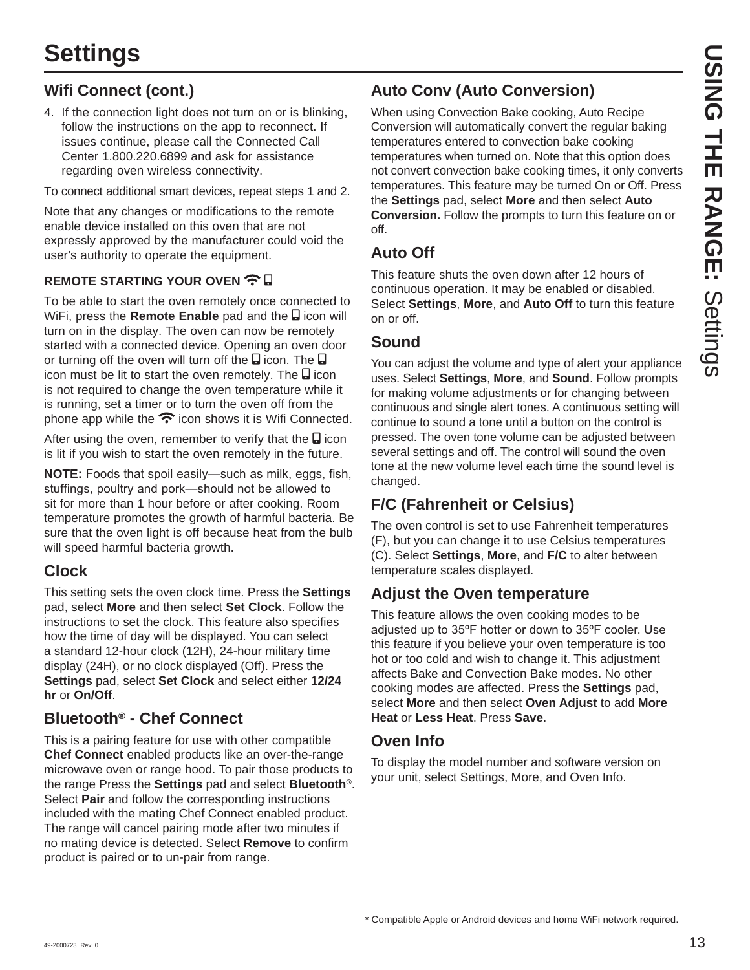## **Wifi Connect (cont.)**

4. If the connection light does not turn on or is blinking, follow the instructions on the app to reconnect. If issues continue, please call the Connected Call Center 1.800.220.6899 and ask for assistance regarding oven wireless connectivity.

To connect additional smart devices, repeat steps 1 and 2.

Note that any changes or modifications to the remote enable device installed on this oven that are not expressly approved by the manufacturer could void the user's authority to operate the equipment.

## **REMOTE STARTING YOUR OVEN**  $\widehat{\mathbf{R}}$

To be able to start the oven remotely once connected to WiFi, press the **Remote Enable** pad and the **a** icon will turn on in the display. The oven can now be remotely started with a connected device. Opening an oven door or turning off the oven will turn off the  $\Box$  icon. The  $\Box$ icon must be lit to start the oven remotely. The **ight** icon is not required to change the oven temperature while it is running, set a timer or to turn the oven off from the phone app while the  $\widehat{\mathcal{F}}$  icon shows it is Wifi Connected.

After using the oven, remember to verify that the  $\Box$  icon is lit if you wish to start the oven remotely in the future.

**NOTE:** Foods that spoil easily—such as milk, eggs, fish, stuffings, poultry and pork-should not be allowed to sit for more than 1 hour before or after cooking. Room temperature promotes the growth of harmful bacteria. Be sure that the oven light is off because heat from the bulb will speed harmful bacteria growth.

## **Clock**

This setting sets the oven clock time. Press the **Settings** pad, select **More** and then select **Set Clock**. Follow the instructions to set the clock. This feature also specifies how the time of day will be displayed. You can select a standard 12-hour clock (12H), 24-hour military time display (24H), or no clock displayed (Off). Press the **Settings** pad, select **Set Clock** and select either **12/24 hr** or **On/Off**.

## **Bluetooth® - Chef Connect**

This is a pairing feature for use with other compatible **Chef Connect** enabled products like an over-the-range microwave oven or range hood. To pair those products to the range Press the **Settings** pad and select **Bluetooth®**. Select **Pair** and follow the corresponding instructions included with the mating Chef Connect enabled product. The range will cancel pairing mode after two minutes if no mating device is detected. Select **Remove** to confirm product is paired or to un-pair from range.

## **Auto Conv (Auto Conversion)**

When using Convection Bake cooking, Auto Recipe Conversion will automatically convert the regular baking temperatures entered to convection bake cooking temperatures when turned on. Note that this option does not convert convection bake cooking times, it only converts temperatures. This feature may be turned On or Off. Press the **Settings** pad, select **More** and then select **Auto Conversion.** Follow the prompts to turn this feature on or off.

## **Auto Off**

This feature shuts the oven down after 12 hours of continuous operation. It may be enabled or disabled. Select **Settings**, **More**, and **Auto Off** to turn this feature on or off.

## **Sound**

You can adjust the volume and type of alert your appliance uses. Select **Settings**, **More**, and **Sound**. Follow prompts for making volume adjustments or for changing between continuous and single alert tones. A continuous setting will continue to sound a tone until a button on the control is pressed. The oven tone volume can be adjusted between several settings and off. The control will sound the oven tone at the new volume level each time the sound level is changed.

## **F/C (Fahrenheit or Celsius)**

The oven control is set to use Fahrenheit temperatures (F), but you can change it to use Celsius temperatures (C). Select **Settings**, **More**, and **F/C** to alter between temperature scales displayed.

## **Adjust the Oven temperature**

This feature allows the oven cooking modes to be adjusted up to 35°F hotter or down to 35°F cooler. Use this feature if you believe your oven temperature is too hot or too cold and wish to change it. This adjustment affects Bake and Convection Bake modes. No other cooking modes are affected. Press the **Settings** pad, select **More** and then select **Oven Adjust** to add **More Heat** or **Less Heat**. Press **Save**.

## **Oven Info**

To display the model number and software version on your unit, select Settings, More, and Oven Info.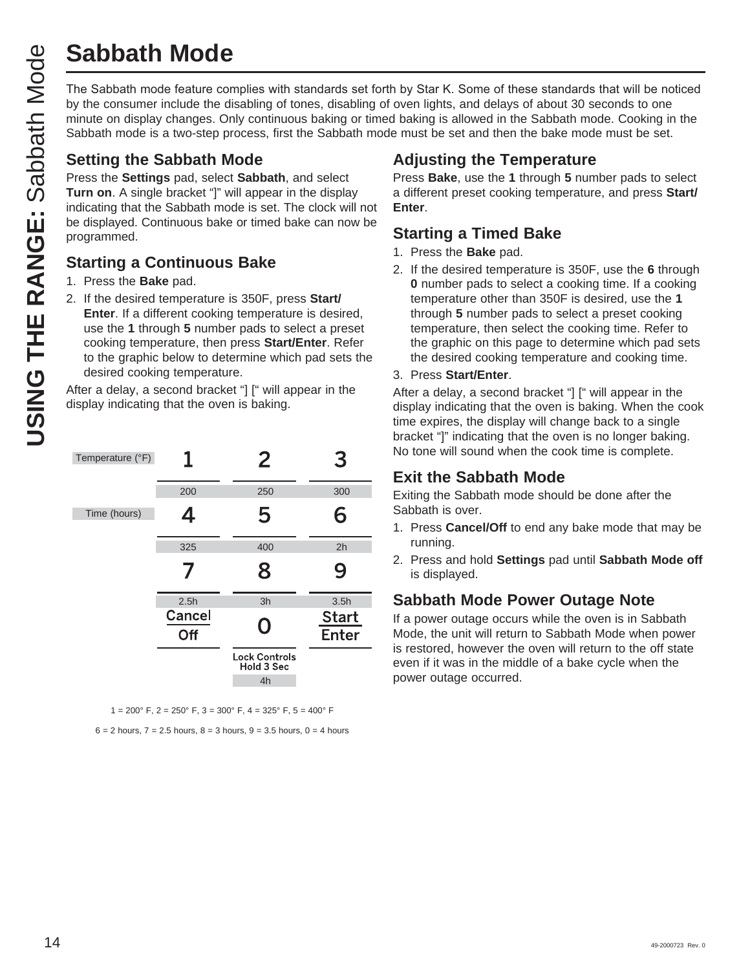# **Sabbath Mode**

**USING THE RANGE:**<br>
The Sabbath mode feature complies with standards set forth by Star K. Some of these standards that will be noticed<br>
the on display changes. Only continuous baking of timed baking is allowed in the Sab by the consumer include the disabling of tones, disabling of oven lights, and delays of about 30 seconds to one minute on display changes. Only continuous baking or timed baking is allowed in the Sabbath mode. Cooking in the Sabbath mode is a two-step process, first the Sabbath mode must be set and then the bake mode must be set.

## **Setting the Sabbath Mode**

Press the **Settings** pad, select **Sabbath**, and select **Turn on**. A single bracket "]" will appear in the display indicating that the Sabbath mode is set. The clock will not be displayed. Continuous bake or timed bake can now be programmed.

## **Starting a Continuous Bake**

- 1. Press the **Bake** pad.
- 2. If the desired temperature is 350F, press **Start/ Enter**. If a different cooking temperature is desired, use the **1** through **5** number pads to select a preset cooking temperature, then press **Start/Enter**. Refer to the graphic below to determine which pad sets the desired cooking temperature.

After a delay, a second bracket "] [" will appear in the display indicating that the oven is baking.

| Temperature (°F) | 1             | 2                                        | З                            |
|------------------|---------------|------------------------------------------|------------------------------|
|                  | 200           | 250                                      | 300                          |
| Time (hours)     | 4             | 5                                        | 6                            |
|                  | 325           | 400                                      | 2h                           |
|                  | 7             | 8                                        | 9                            |
|                  | 2.5h          | 3h                                       | 3.5h                         |
|                  | Cancel<br>Off | O                                        | <b>Start</b><br><b>Enter</b> |
|                  |               | <b>Lock Controls</b><br>Hold 3 Sec<br>4h |                              |

 $1 = 200^{\circ}$  F,  $2 = 250^{\circ}$  F,  $3 = 300^{\circ}$  F,  $4 = 325^{\circ}$  F,  $5 = 400^{\circ}$  F

 $6 = 2$  hours,  $7 = 2.5$  hours,  $8 = 3$  hours,  $9 = 3.5$  hours,  $0 = 4$  hours

## **Adjusting the Temperature**

Press **Bake**, use the **1** through **5** number pads to select a different preset cooking temperature, and press **Start/ Enter**.

## **Starting a Timed Bake**

- 1. Press the **Bake** pad.
- 2. If the desired temperature is 350F, use the **6** through **0** number pads to select a cooking time. If a cooking temperature other than 350F is desired, use the **1** through **5** number pads to select a preset cooking temperature, then select the cooking time. Refer to the graphic on this page to determine which pad sets the desired cooking temperature and cooking time.
- 3. Press **Start/Enter**.

After a delay, a second bracket "] [" will appear in the display indicating that the oven is baking. When the cook time expires, the display will change back to a single bracket "]" indicating that the oven is no longer baking. No tone will sound when the cook time is complete.

## **Exit the Sabbath Mode**

Exiting the Sabbath mode should be done after the Sabbath is over.

- 1. Press **Cancel/Off** to end any bake mode that may be running.
- 2. Press and hold **Settings** pad until **Sabbath Mode off** is displayed.

## **Sabbath Mode Power Outage Note**

If a power outage occurs while the oven is in Sabbath Mode, the unit will return to Sabbath Mode when power is restored, however the oven will return to the off state even if it was in the middle of a bake cycle when the power outage occurred.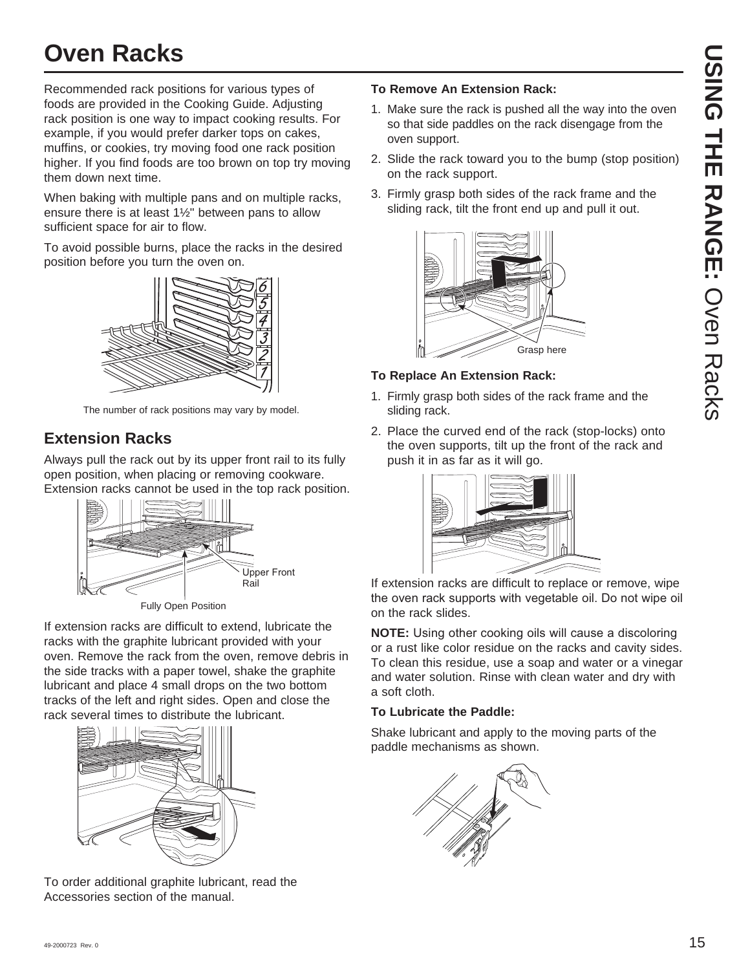Recommended rack positions for various types of foods are provided in the Cooking Guide. Adjusting rack position is one way to impact cooking results. For example, if you would prefer darker tops on cakes, muffins, or cookies, try moving food one rack position higher. If you find foods are too brown on top try moving them down next time.

When baking with multiple pans and on multiple racks, ensure there is at least 1½" between pans to allow sufficient space for air to flow.

To avoid possible burns, place the racks in the desired position before you turn the oven on.



The number of rack positions may vary by model.

## **Extension Racks**

Always pull the rack out by its upper front rail to its fully open position, when placing or removing cookware. Extension racks cannot be used in the top rack position.



Fully Open Position

If extension racks are difficult to extend, lubricate the racks with the graphite lubricant provided with your oven. Remove the rack from the oven, remove debris in the side tracks with a paper towel, shake the graphite lubricant and place 4 small drops on the two bottom tracks of the left and right sides. Open and close the rack several times to distribute the lubricant.



To order additional graphite lubricant, read the Accessories section of the manual.

### **To Remove An Extension Rack:**

- 1. Make sure the rack is pushed all the way into the oven so that side paddles on the rack disengage from the oven support.
- 2. Slide the rack toward you to the bump (stop position) on the rack support.
- 3. Firmly grasp both sides of the rack frame and the sliding rack, tilt the front end up and pull it out.



### **To Replace An Extension Rack:**

- 1. Firmly grasp both sides of the rack frame and the sliding rack.
- 2. Place the curved end of the rack (stop-locks) onto the oven supports, tilt up the front of the rack and push it in as far as it will go.



If extension racks are difficult to replace or remove, wipe the oven rack supports with vegetable oil. Do not wipe oil on the rack slides.

**NOTE:** Using other cooking oils will cause a discoloring or a rust like color residue on the racks and cavity sides. To clean this residue, use a soap and water or a vinegar and water solution. Rinse with clean water and dry with a soft cloth.

### **To Lubricate the Paddle:**

Shake lubricant and apply to the moving parts of the paddle mechanisms as shown.

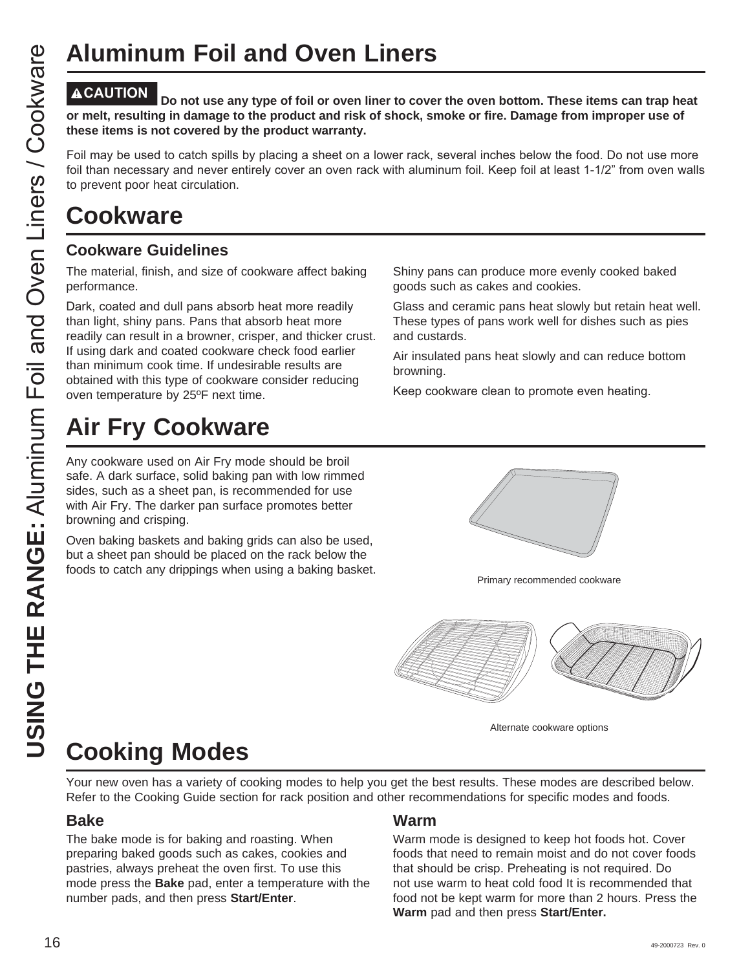## **Aluminum Foil and Oven Liners**

Do not use any type of foil or oven liner to cover the oven bottom. These items can trap heat **or melt, resulting in damage to the product and risk of shock, smoke or fire. Damage from improper use of these items is not covered by the product warranty.** 

Foil may be used to catch spills by placing a sheet on a lower rack, several inches below the food. Do not use more foil than necessary and never entirely cover an oven rack with aluminum foil. Keep foil at least 1-1/2" from oven walls to prevent poor heat circulation.

## **Cookware Guidelines**

The material, finish, and size of cookware affect baking performance.

Dark, coated and dull pans absorb heat more readily than light, shiny pans. Pans that absorb heat more readily can result in a browner, crisper, and thicker crust. If using dark and coated cookware check food earlier than minimum cook time. If undesirable results are obtained with this type of cookware consider reducing oven temperature by 25ºF next time.

## **Air Fry Cookware**

Any cookware used on Air Fry mode should be broil safe. A dark surface, solid baking pan with low rimmed sides, such as a sheet pan, is recommended for use with Air Fry. The darker pan surface promotes better browning and crisping.

Oven baking baskets and baking grids can also be used, but a sheet pan should be placed on the rack below the foods to catch any drippings when using a baking basket.<br>Primary recommended cookware



Shiny pans can produce more evenly cooked baked

Glass and ceramic pans heat slowly but retain heat well. These types of pans work well for dishes such as pies

Air insulated pans heat slowly and can reduce bottom

Keep cookware clean to promote even heating.

goods such as cakes and cookies.

and custards.

browning.



Alternate cookware options

# **Cooking Modes**

Your new oven has a variety of cooking modes to help you get the best results. These modes are described below. Refer to the Cooking Guide section for rack position and other recommendations for specific modes and foods.

## **Bake**

The bake mode is for baking and roasting. When preparing baked goods such as cakes, cookies and pastries, always preheat the oven first. To use this mode press the **Bake** pad, enter a temperature with the number pads, and then press **Start/Enter**.

## **Warm**

Warm mode is designed to keep hot foods hot. Cover foods that need to remain moist and do not cover foods that should be crisp. Preheating is not required. Do not use warm to heat cold food It is recommended that food not be kept warm for more than 2 hours. Press the **Warm** pad and then press **Start/Enter.**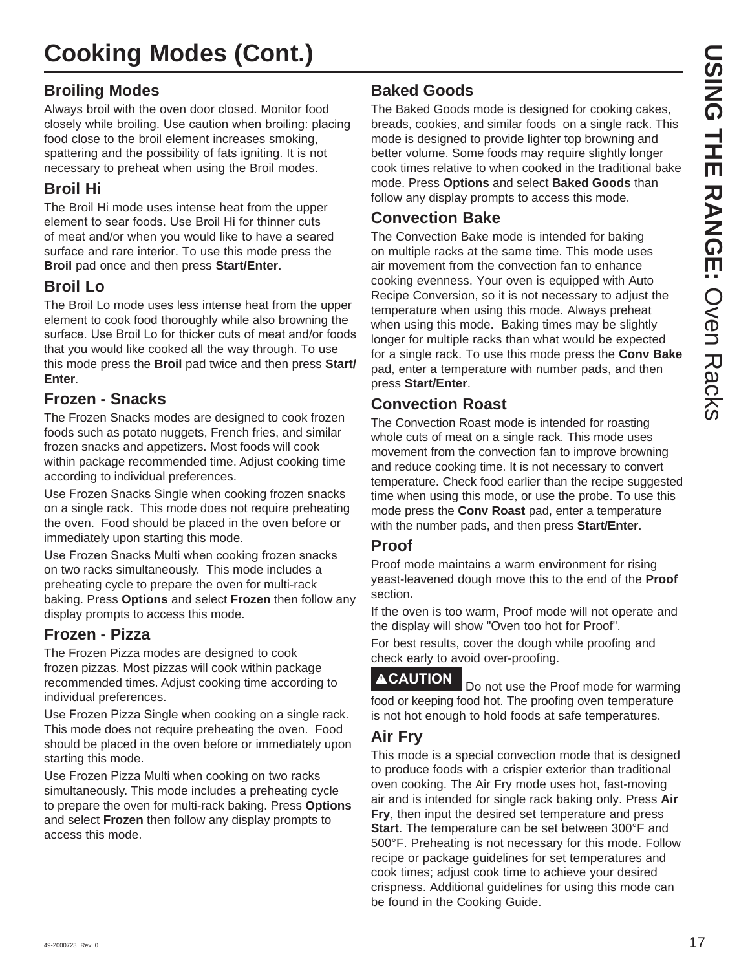## **Broiling Modes**

Always broil with the oven door closed. Monitor food closely while broiling. Use caution when broiling: placing food close to the broil element increases smoking, spattering and the possibility of fats igniting. It is not necessary to preheat when using the Broil modes.

## **Broil Hi**

The Broil Hi mode uses intense heat from the upper element to sear foods. Use Broil Hi for thinner cuts of meat and/or when you would like to have a seared surface and rare interior. To use this mode press the **Broil** pad once and then press **Start/Enter**.

## **Broil Lo**

The Broil Lo mode uses less intense heat from the upper element to cook food thoroughly while also browning the surface. Use Broil Lo for thicker cuts of meat and/or foods that you would like cooked all the way through. To use this mode press the **Broil** pad twice and then press **Start/ Enter**.

## **Frozen - Snacks**

The Frozen Snacks modes are designed to cook frozen foods such as potato nuggets, French fries, and similar frozen snacks and appetizers. Most foods will cook within package recommended time. Adjust cooking time according to individual preferences.

Use Frozen Snacks Single when cooking frozen snacks on a single rack. This mode does not require preheating the oven. Food should be placed in the oven before or immediately upon starting this mode.

Use Frozen Snacks Multi when cooking frozen snacks on two racks simultaneously. This mode includes a preheating cycle to prepare the oven for multi-rack baking. Press **Options** and select **Frozen** then follow any display prompts to access this mode.

## **Frozen - Pizza**

The Frozen Pizza modes are designed to cook frozen pizzas. Most pizzas will cook within package recommended times. Adjust cooking time according to individual preferences.

Use Frozen Pizza Single when cooking on a single rack. This mode does not require preheating the oven. Food should be placed in the oven before or immediately upon starting this mode.

Use Frozen Pizza Multi when cooking on two racks simultaneously. This mode includes a preheating cycle to prepare the oven for multi-rack baking. Press **Options** and select **Frozen** then follow any display prompts to access this mode.

## **Baked Goods**

The Baked Goods mode is designed for cooking cakes, breads, cookies, and similar foods on a single rack. This mode is designed to provide lighter top browning and better volume. Some foods may require slightly longer cook times relative to when cooked in the traditional bake mode. Press **Options** and select **Baked Goods** than follow any display prompts to access this mode.

## **Convection Bake**

The Convection Bake mode is intended for baking on multiple racks at the same time. This mode uses air movement from the convection fan to enhance cooking evenness. Your oven is equipped with Auto Recipe Conversion, so it is not necessary to adjust the temperature when using this mode. Always preheat when using this mode. Baking times may be slightly longer for multiple racks than what would be expected for a single rack. To use this mode press the **Conv Bake**  pad, enter a temperature with number pads, and then press **Start/Enter**.

## **Convection Roast**

The Convection Roast mode is intended for roasting whole cuts of meat on a single rack. This mode uses movement from the convection fan to improve browning and reduce cooking time. It is not necessary to convert temperature. Check food earlier than the recipe suggested time when using this mode, or use the probe. To use this mode press the **Conv Roast** pad, enter a temperature with the number pads, and then press **Start/Enter**.

## **Proof**

Proof mode maintains a warm environment for rising yeast-leavened dough move this to the end of the **Proof** section**.**

If the oven is too warm, Proof mode will not operate and the display will show "Oven too hot for Proof".

For best results, cover the dough while proofing and check early to avoid over-proofing.

**ACAUTION** Do not use the Proof mode for warming food or keeping food hot. The proofing oven temperature is not hot enough to hold foods at safe temperatures.

## **Air Fry**

This mode is a special convection mode that is designed to produce foods with a crispier exterior than traditional oven cooking. The Air Fry mode uses hot, fast-moving air and is intended for single rack baking only. Press **Air Fry**, then input the desired set temperature and press **Start**. The temperature can be set between 300°F and 500°F. Preheating is not necessary for this mode. Follow recipe or package guidelines for set temperatures and cook times; adjust cook time to achieve your desired crispness. Additional guidelines for using this mode can be found in the Cooking Guide.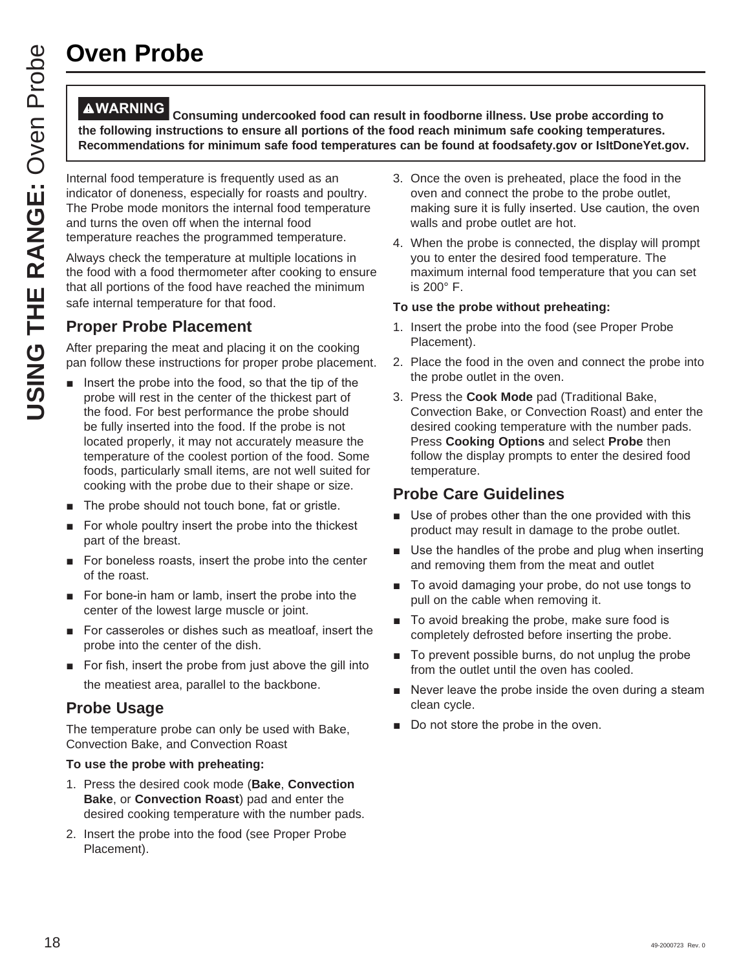## **Oven Probe**

**WARNING Consuming undercooked food can result in foodborne illness. Use probe according to the following instructions to ensure all portions of the food reach minimum safe cooking temperatures. Recommendations for minimum safe food temperatures can be found at foodsafety.gov or IsItDoneYet.gov.**

Internal food temperature is frequently used as an indicator of doneness, especially for roasts and poultry. The Probe mode monitors the internal food temperature and turns the oven off when the internal food temperature reaches the programmed temperature.

Always check the temperature at multiple locations in the food with a food thermometer after cooking to ensure that all portions of the food have reached the minimum safe internal temperature for that food.

## **Proper Probe Placement**

After preparing the meat and placing it on the cooking pan follow these instructions for proper probe placement.

- $\blacksquare$  lnsert the probe into the food, so that the tip of the probe will rest in the center of the thickest part of the food. For best performance the probe should be fully inserted into the food. If the probe is not located properly, it may not accurately measure the temperature of the coolest portion of the food. Some foods, particularly small items, are not well suited for cooking with the probe due to their shape or size.
- The probe should not touch bone, fat or gristle.
- For whole poultry insert the probe into the thickest part of the breast.
- For boneless roasts, insert the probe into the center of the roast.
- For bone-in ham or lamb, insert the probe into the center of the lowest large muscle or joint.
- For casseroles or dishes such as meatloaf, insert the probe into the center of the dish.
- For fish, insert the probe from just above the gill into the meatiest area, parallel to the backbone.

## **Probe Usage**

The temperature probe can only be used with Bake, Convection Bake, and Convection Roast

#### **To use the probe with preheating:**

- 1. Press the desired cook mode (**Bake**, **Convection Bake**, or **Convection Roast**) pad and enter the desired cooking temperature with the number pads.
- 2. Insert the probe into the food (see Proper Probe Placement).
- 3. Once the oven is preheated, place the food in the oven and connect the probe to the probe outlet, making sure it is fully inserted. Use caution, the oven walls and probe outlet are hot.
- 4. When the probe is connected, the display will prompt you to enter the desired food temperature. The maximum internal food temperature that you can set is 200° F.

#### **To use the probe without preheating:**

- 1. Insert the probe into the food (see Proper Probe Placement).
- 2. Place the food in the oven and connect the probe into the probe outlet in the oven.
- 3. Press the **Cook Mode** pad (Traditional Bake, Convection Bake, or Convection Roast) and enter the desired cooking temperature with the number pads. Press **Cooking Options** and select **Probe** then follow the display prompts to enter the desired food temperature.

## **Probe Care Guidelines**

- Use of probes other than the one provided with this product may result in damage to the probe outlet.
- **B** Use the handles of the probe and plug when inserting and removing them from the meat and outlet
- To avoid damaging your probe, do not use tongs to pull on the cable when removing it.
- To avoid breaking the probe, make sure food is completely defrosted before inserting the probe.
- To prevent possible burns, do not unplug the probe from the outlet until the oven has cooled.
- $\blacksquare$  Never leave the probe inside the oven during a steam clean cycle.
- Do not store the probe in the oven.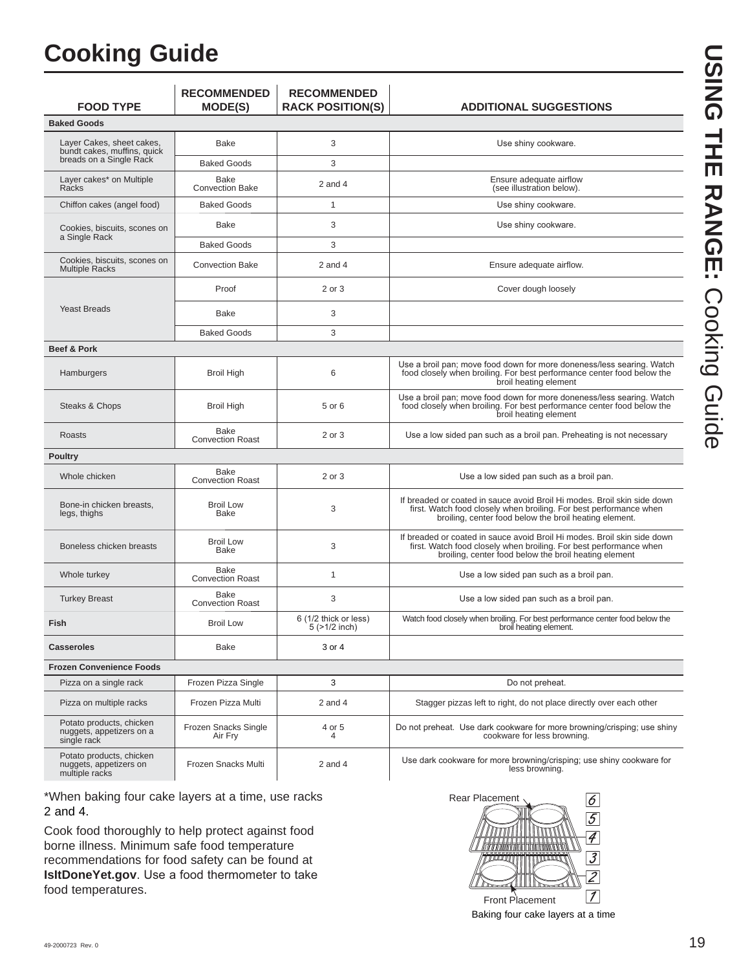## **Cooking Guide**

| <b>FOOD TYPE</b>                                                     | <b>RECOMMENDED</b><br><b>MODE(S)</b> | <b>RECOMMENDED</b><br><b>RACK POSITION(S)</b> | <b>ADDITIONAL SUGGESTIONS</b>                                                                                                                                                                            |
|----------------------------------------------------------------------|--------------------------------------|-----------------------------------------------|----------------------------------------------------------------------------------------------------------------------------------------------------------------------------------------------------------|
| <b>Baked Goods</b>                                                   |                                      |                                               |                                                                                                                                                                                                          |
| Layer Cakes, sheet cakes,<br>bundt cakes, muffins, quick             | Bake                                 | 3                                             | Use shiny cookware.                                                                                                                                                                                      |
| breads on a Single Rack                                              | <b>Baked Goods</b>                   | 3                                             |                                                                                                                                                                                                          |
| Layer cakes* on Multiple<br>Racks                                    | Bake<br><b>Convection Bake</b>       | $2$ and $4$                                   | Ensure adequate airflow<br>(see illustration below).                                                                                                                                                     |
| Chiffon cakes (angel food)                                           | <b>Baked Goods</b>                   | $\mathbf{1}$                                  | Use shiny cookware.                                                                                                                                                                                      |
| Cookies, biscuits, scones on<br>a Single Rack                        | Bake                                 | 3                                             | Use shiny cookware.                                                                                                                                                                                      |
|                                                                      | <b>Baked Goods</b>                   | 3                                             |                                                                                                                                                                                                          |
| Cookies, biscuits, scones on<br><b>Multiple Racks</b>                | <b>Convection Bake</b>               | $2$ and $4$                                   | Ensure adequate airflow.                                                                                                                                                                                 |
|                                                                      | Proof                                | 2 or 3                                        | Cover dough loosely                                                                                                                                                                                      |
| <b>Yeast Breads</b>                                                  | Bake                                 | 3                                             |                                                                                                                                                                                                          |
|                                                                      | <b>Baked Goods</b>                   | 3                                             |                                                                                                                                                                                                          |
| <b>Beef &amp; Pork</b>                                               |                                      |                                               |                                                                                                                                                                                                          |
| Hamburgers                                                           | Broil High                           | 6                                             | Use a broil pan; move food down for more doneness/less searing. Watch<br>food closely when broiling. For best performance center food below the<br>broil heating element                                 |
| Steaks & Chops                                                       | <b>Broil High</b>                    | 5 or 6                                        | Use a broil pan; move food down for more doneness/less searing. Watch<br>food closely when broiling. For best performance center food below the<br>broil heating element                                 |
| Roasts                                                               | Bake<br><b>Convection Roast</b>      | 2 or 3                                        | Use a low sided pan such as a broil pan. Preheating is not necessary                                                                                                                                     |
| <b>Poultry</b>                                                       |                                      |                                               |                                                                                                                                                                                                          |
| Whole chicken                                                        | Bake<br><b>Convection Roast</b>      | 2 or 3                                        | Use a low sided pan such as a broil pan.                                                                                                                                                                 |
| Bone-in chicken breasts,<br>legs, thighs                             | <b>Broil Low</b><br>Bake             | 3                                             | If breaded or coated in sauce avoid Broil Hi modes. Broil skin side down<br>first. Watch food closely when broiling. For best performance when<br>broiling, center food below the broil heating element. |
| Boneless chicken breasts                                             | <b>Broil Low</b><br>Bake             | 3                                             | If breaded or coated in sauce avoid Broil Hi modes. Broil skin side down<br>first. Watch food closely when broiling. For best performance when<br>broiling, center food below the broil heating element  |
| Whole turkey                                                         | Bake<br><b>Convection Roast</b>      | $\mathbf{1}$                                  | Use a low sided pan such as a broil pan.                                                                                                                                                                 |
| <b>Turkey Breast</b>                                                 | Bake<br><b>Convection Roast</b>      | 3                                             | Use a low sided pan such as a broil pan.                                                                                                                                                                 |
| Fish                                                                 | <b>Broil Low</b>                     | 6 (1/2 thick or less)<br>$5$ ( $>1/2$ inch)   | Watch food closely when broiling. For best performance center food below the<br>broil heating element.                                                                                                   |
| <b>Casseroles</b>                                                    | Bake                                 | 3 or 4                                        |                                                                                                                                                                                                          |
| <b>Frozen Convenience Foods</b>                                      |                                      |                                               |                                                                                                                                                                                                          |
| Pizza on a single rack                                               | Frozen Pizza Single                  | 3                                             | Do not preheat.                                                                                                                                                                                          |
| Pizza on multiple racks                                              | Frozen Pizza Multi                   | $2$ and $4$                                   | Stagger pizzas left to right, do not place directly over each other                                                                                                                                      |
| Potato products, chicken<br>nuggets, appetizers on a<br>single rack  | Frozen Snacks Single<br>Air Fry      | 4 or 5<br>4                                   | Do not preheat. Use dark cookware for more browning/crisping; use shiny<br>cookware for less browning.                                                                                                   |
| Potato products, chicken<br>nuggets, appetizers on<br>multiple racks | Frozen Snacks Multi                  | $2$ and $4$                                   | Use dark cookware for more browning/crisping; use shiny cookware for<br>less browning.                                                                                                                   |

\*When baking four cake layers at a time, use racks 2 and 4.

Cook food thoroughly to help protect against food borne illness. Minimum safe food temperature recommendations for food safety can be found at **IsItDoneYet.gov**. Use a food thermometer to take food temperatures.



Baking four cake layers at a time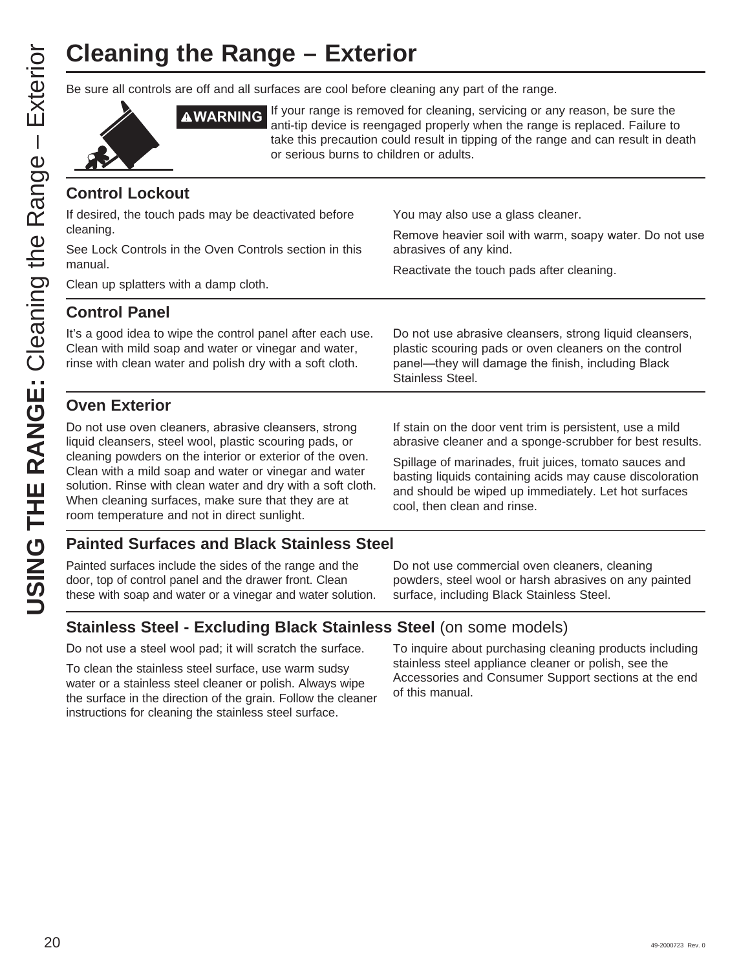# **Cleaning the Range – Exterior**

Be sure all controls are off and all surfaces are cool before cleaning any part of the range.



**AWARNING** If your range is removed for cleaning, servicing or any reason, be sure the anti-tip device is reengaged properly when the range is replaced. Failure to take this precaution could result in tipping of the range and can result in death or serious burns to children or adults.

## **Control Lockout**

| If desired, the touch pads may be deactivated before<br>cleaning.<br>See Lock Controls in the Oven Controls section in this<br>manual.<br>Clean up splatters with a damp cloth.                                                       | You may also use a glass cleaner.<br>Remove heavier soil with warm, soapy water. Do not use<br>abrasives of any kind.<br>Reactivate the touch pads after cleaning.                                                                         |  |  |
|---------------------------------------------------------------------------------------------------------------------------------------------------------------------------------------------------------------------------------------|--------------------------------------------------------------------------------------------------------------------------------------------------------------------------------------------------------------------------------------------|--|--|
| <b>Control Panel</b>                                                                                                                                                                                                                  |                                                                                                                                                                                                                                            |  |  |
| It's a good idea to wipe the control panel after each use.<br>Clean with mild soap and water or vinegar and water,<br>rinse with clean water and polish dry with a soft cloth.                                                        | Do not use abrasive cleansers, strong liquid cleansers,<br>plastic scouring pads or oven cleaners on the control<br>panel—they will damage the finish, including Black<br>Stainless Steel.                                                 |  |  |
| <b>Oven Exterior</b>                                                                                                                                                                                                                  |                                                                                                                                                                                                                                            |  |  |
| Do not use oven cleaners, abrasive cleansers, strong<br>liquid cleansers, steel wool, plastic scouring pads, or<br>cleaning powders on the interior or exterior of the oven.<br>Clean with a mild soap and water or vinegar and water | If stain on the door vent trim is persistent, use a mild<br>abrasive cleaner and a sponge-scrubber for best results.<br>Spillage of marinades, fruit juices, tomato sauces and<br>basting liquids containing acids may cause discoloration |  |  |
| solution. Rinse with clean water and dry with a soft cloth.<br>When cleaning surfaces, make sure that they are at<br>room temperature and not in direct sunlight.<br>Deinted Curfesse and Disal, Ctainless Ctael                      | and should be wiped up immediately. Let hot surfaces<br>cool, then clean and rinse.                                                                                                                                                        |  |  |

## **Painted Surfaces and Black Stainless Steel**

Painted surfaces include the sides of the range and the door, top of control panel and the drawer front. Clean these with soap and water or a vinegar and water solution.

Do not use commercial oven cleaners, cleaning powders, steel wool or harsh abrasives on any painted surface, including Black Stainless Steel.

## **Stainless Steel - Excluding Black Stainless Steel** (on some models)

Do not use a steel wool pad; it will scratch the surface.

To clean the stainless steel surface, use warm sudsy water or a stainless steel cleaner or polish. Always wipe the surface in the direction of the grain. Follow the cleaner instructions for cleaning the stainless steel surface.

To inquire about purchasing cleaning products including stainless steel appliance cleaner or polish, see the Accessories and Consumer Support sections at the end of this manual.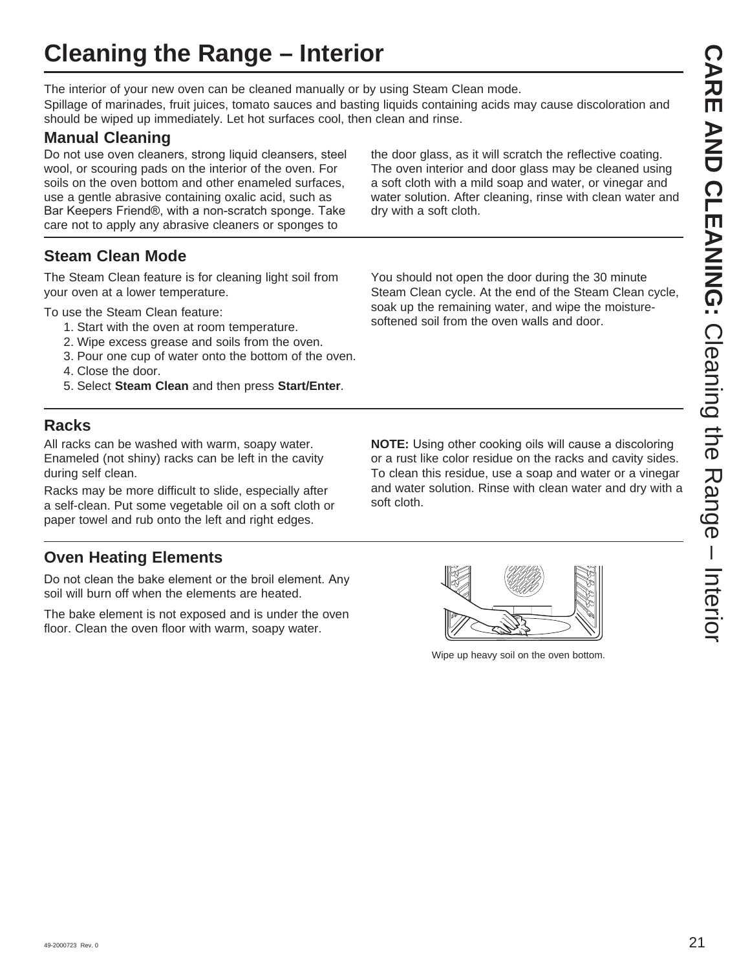## **Cleaning the Range – Interior**

The interior of your new oven can be cleaned manually or by using Steam Clean mode.

Spillage of marinades, fruit juices, tomato sauces and basting liquids containing acids may cause discoloration and should be wiped up immediately. Let hot surfaces cool, then clean and rinse.

## **Manual Cleaning**

Do not use oven cleaners, strong liquid cleansers, steel wool, or scouring pads on the interior of the oven. For soils on the oven bottom and other enameled surfaces, use a gentle abrasive containing oxalic acid, such as Bar Keepers Friend®, with a non-scratch sponge. Take care not to apply any abrasive cleaners or sponges to

**Steam Clean Mode**

The Steam Clean feature is for cleaning light soil from your oven at a lower temperature.

To use the Steam Clean feature:

- 1. Start with the oven at room temperature.
- 2. Wipe excess grease and soils from the oven.
- 3. Pour one cup of water onto the bottom of the oven.
- 4. Close the door.
- 5. Select **Steam Clean** and then press **Start/Enter**.

## **Racks**

All racks can be washed with warm, soapy water. Enameled (not shiny) racks can be left in the cavity during self clean.

Racks may be more difficult to slide, especially after a self-clean. Put some vegetable oil on a soft cloth or paper towel and rub onto the left and right edges.

## **Oven Heating Elements**

Do not clean the bake element or the broil element. Any soil will burn off when the elements are heated.

The bake element is not exposed and is under the oven floor. Clean the oven floor with warm, soapy water.

water solution. After cleaning, rinse with clean water and dry with a soft cloth.

the door glass, as it will scratch the reflective coating. The oven interior and door glass may be cleaned using a soft cloth with a mild soap and water, or vinegar and

You should not open the door during the 30 minute Steam Clean cycle. At the end of the Steam Clean cycle, soak up the remaining water, and wipe the moisturesoftened soil from the oven walls and door.

**NOTE:** Using other cooking oils will cause a discoloring or a rust like color residue on the racks and cavity sides. To clean this residue, use a soap and water or a vinegar and water solution. Rinse with clean water and dry with a soft cloth.



Wipe up heavy soil on the oven bottom.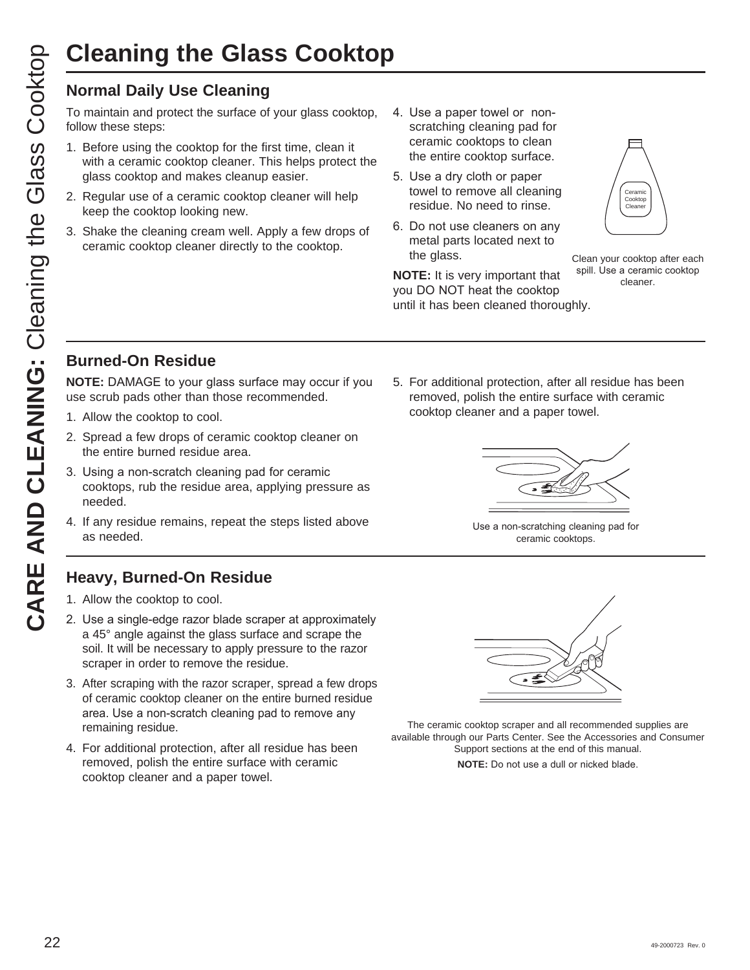# **Cleaning the Glass Cooktop**

## **Normal Daily Use Cleaning**

To maintain and protect the surface of your glass cooktop, follow these steps:

- 1. Before using the cooktop for the first time, clean it with a ceramic cooktop cleaner. This helps protect the glass cooktop and makes cleanup easier.
- 2. Regular use of a ceramic cooktop cleaner will help keep the cooktop looking new.
- 3. Shake the cleaning cream well. Apply a few drops of ceramic cooktop cleaner directly to the cooktop.
- 4. Use a paper towel or nonscratching cleaning pad for ceramic cooktops to clean the entire cooktop surface.
- 5. Use a dry cloth or paper towel to remove all cleaning residue. No need to rinse.
- 6. Do not use cleaners on any metal parts located next to the glass.

**NOTE:** It is very important that you DO NOT heat the cooktop until it has been cleaned thoroughly.

Clean your cooktop after each spill. Use a ceramic cooktop cleaner.

Ceramic Cooktop Cleaner

## **Burned-On Residue**

**NOTE:** DAMAGE to your glass surface may occur if you use scrub pads other than those recommended.

- 1. Allow the cooktop to cool.
- 2. Spread a few drops of ceramic cooktop cleaner on the entire burned residue area.
- 3. Using a non-scratch cleaning pad for ceramic cooktops, rub the residue area, applying pressure as needed.
- 4. If any residue remains, repeat the steps listed above as needed.

## **Heavy, Burned-On Residue**

- 1. Allow the cooktop to cool.
- 2. Use a single-edge razor blade scraper at approximately a 45° angle against the glass surface and scrape the soil. It will be necessary to apply pressure to the razor scraper in order to remove the residue.
- 3. After scraping with the razor scraper, spread a few drops of ceramic cooktop cleaner on the entire burned residue area. Use a non-scratch cleaning pad to remove any remaining residue.
- 4. For additional protection, after all residue has been removed, polish the entire surface with ceramic cooktop cleaner and a paper towel.

5. For additional protection, after all residue has been removed, polish the entire surface with ceramic cooktop cleaner and a paper towel.



Use a non-scratching cleaning pad for ceramic cooktops.



The ceramic cooktop scraper and all recommended supplies are available through our Parts Center. See the Accessories and Consumer Support sections at the end of this manual.

**NOTE:** Do not use a dull or nicked blade.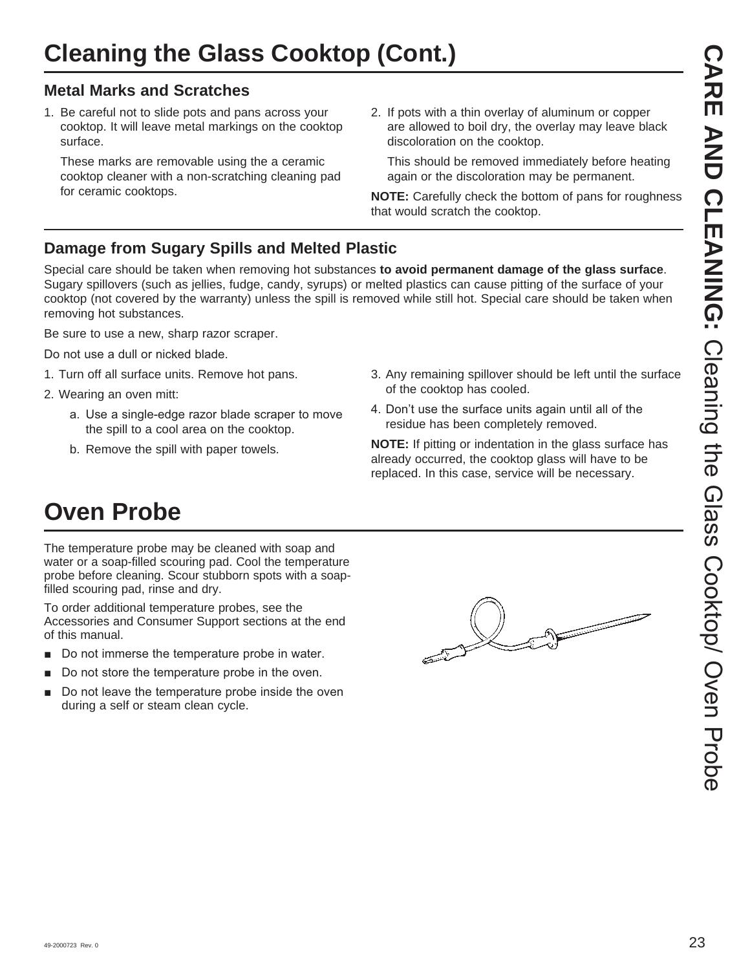## **Metal Marks and Scratches**

1. Be careful not to slide pots and pans across your cooktop. It will leave metal markings on the cooktop surface.

 These marks are removable using the a ceramic cooktop cleaner with a non-scratching cleaning pad for ceramic cooktops.

2. If pots with a thin overlay of aluminum or copper are allowed to boil dry, the overlay may leave black discoloration on the cooktop.

 This should be removed immediately before heating again or the discoloration may be permanent.

**NOTE:** Carefully check the bottom of pans for roughness that would scratch the cooktop.

## **Damage from Sugary Spills and Melted Plastic**

Special care should be taken when removing hot substances **to avoid permanent damage of the glass surface**. Sugary spillovers (such as jellies, fudge, candy, syrups) or melted plastics can cause pitting of the surface of your cooktop (not covered by the warranty) unless the spill is removed while still hot. Special care should be taken when removing hot substances.

Be sure to use a new, sharp razor scraper.

Do not use a dull or nicked blade.

- 1. Turn off all surface units. Remove hot pans.
- 2. Wearing an oven mitt:
	- a. Use a single-edge razor blade scraper to move the spill to a cool area on the cooktop.
	- b. Remove the spill with paper towels.
- 3. Any remaining spillover should be left until the surface of the cooktop has cooled.
- 4. Don't use the surface units again until all of the residue has been completely removed.

**NOTE:** If pitting or indentation in the glass surface has already occurred, the cooktop glass will have to be replaced. In this case, service will be necessary.

## **Oven Probe**

The temperature probe may be cleaned with soap and water or a soap-filled scouring pad. Cool the temperature probe before cleaning. Scour stubborn spots with a soapfilled scouring pad, rinse and dry.

To order additional temperature probes, see the Accessories and Consumer Support sections at the end of this manual.

- Do not immerse the temperature probe in water.
- Do not store the temperature probe in the oven.
- $\blacksquare$  Do not leave the temperature probe inside the oven during a self or steam clean cycle.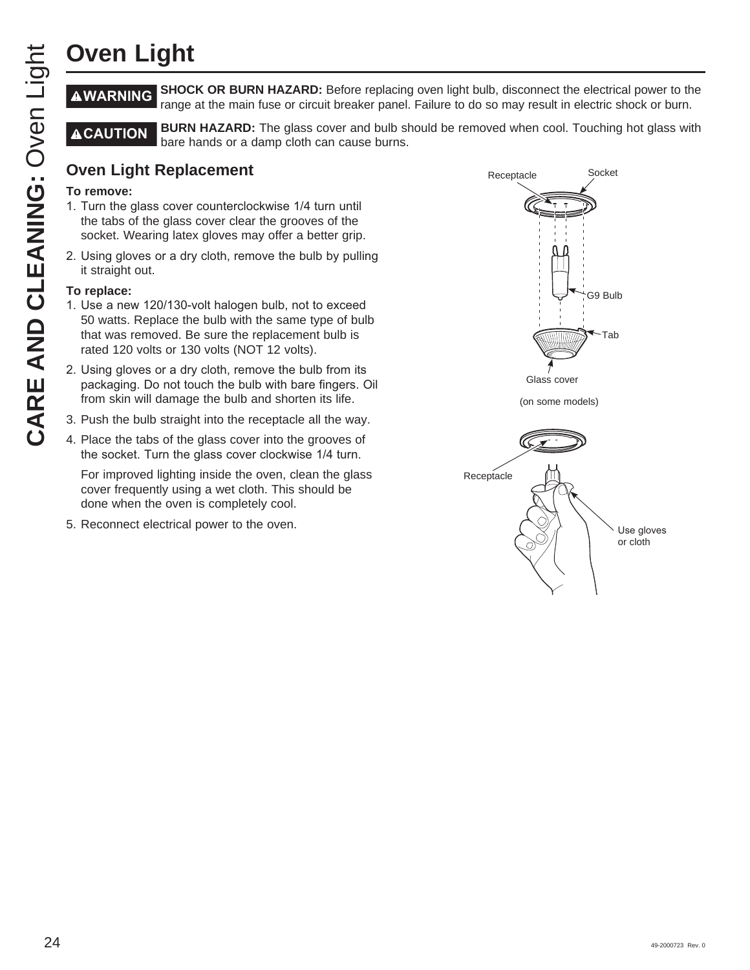# **Oven Light**

**WARNING SHOCK OR BURN HAZARD:** Before replacing oven light bulb, disconnect the electrical power to the range at the main fuse or circuit breaker panel. Failure to do so may result in electric shock or burn.

**ACAUTION** BURN HAZARD: The glass cover and bulb should be removed when cool. Touching hot glass with bare hands or a damp cloth can cause burns.

## **Oven Light Replacement**

## **To remove:**

- 1. Turn the glass cover counterclockwise 1/4 turn until the tabs of the glass cover clear the grooves of the socket. Wearing latex gloves may offer a better grip.
- 2. Using gloves or a dry cloth, remove the bulb by pulling it straight out.

## **To replace:**

- 1. Use a new 120/130-volt halogen bulb, not to exceed 50 watts. Replace the bulb with the same type of bulb that was removed. Be sure the replacement bulb is rated 120 volts or 130 volts (NOT 12 volts).
- 2. Using gloves or a dry cloth, remove the bulb from its packaging. Do not touch the bulb with bare fingers. Oil from skin will damage the bulb and shorten its life.
- 3. Push the bulb straight into the receptacle all the way.
- 4. Place the tabs of the glass cover into the grooves of the socket. Turn the glass cover clockwise 1/4 turn.

 For improved lighting inside the oven, clean the glass cover frequently using a wet cloth. This should be done when the oven is completely cool.

5. Reconnect electrical power to the oven.

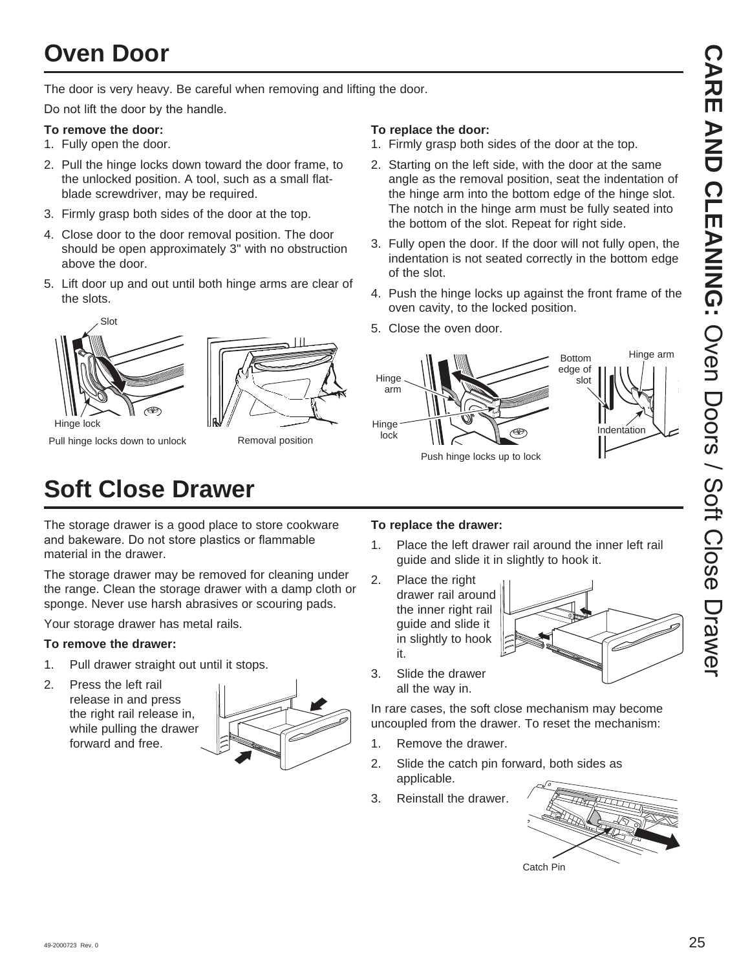## **Oven Door**

The door is very heavy. Be careful when removing and lifting the door.

Do not lift the door by the handle.

#### **To remove the door:**

- 1. Fully open the door.
- 2. Pull the hinge locks down toward the door frame, to the unlocked position. A tool, such as a small flatblade screwdriver, may be required.
- 3. Firmly grasp both sides of the door at the top.
- 4. Close door to the door removal position. The door should be open approximately 3" with no obstruction above the door.
- 5. Lift door up and out until both hinge arms are clear of the slots.





Pull hinge locks down to unlock

Removal position

#### **To replace the door:**

- 1. Firmly grasp both sides of the door at the top.
- 2. Starting on the left side, with the door at the same angle as the removal position, seat the indentation of the hinge arm into the bottom edge of the hinge slot. The notch in the hinge arm must be fully seated into the bottom of the slot. Repeat for right side.
- 3. Fully open the door. If the door will not fully open, the indentation is not seated correctly in the bottom edge of the slot.
- 4. Push the hinge locks up against the front frame of the oven cavity, to the locked position.
- 5. Close the oven door.



## **Soft Close Drawer**

The storage drawer is a good place to store cookware and bakeware. Do not store plastics or flammable material in the drawer.

The storage drawer may be removed for cleaning under the range. Clean the storage drawer with a damp cloth or sponge. Never use harsh abrasives or scouring pads.

Your storage drawer has metal rails.

### **To remove the drawer:**

- 1. Pull drawer straight out until it stops.
- 2. Press the left rail release in and press the right rail release in, while pulling the drawer forward and free.



### **To replace the drawer:**

- 1. Place the left drawer rail around the inner left rail guide and slide it in slightly to hook it.
- 2. Place the right drawer rail around the inner right rail guide and slide it in slightly to hook it.



3. Slide the drawer all the way in.

In rare cases, the soft close mechanism may become uncoupled from the drawer. To reset the mechanism:

- 1. Remove the drawer.
- 2. Slide the catch pin forward, both sides as applicable.
- 3. Reinstall the drawer.

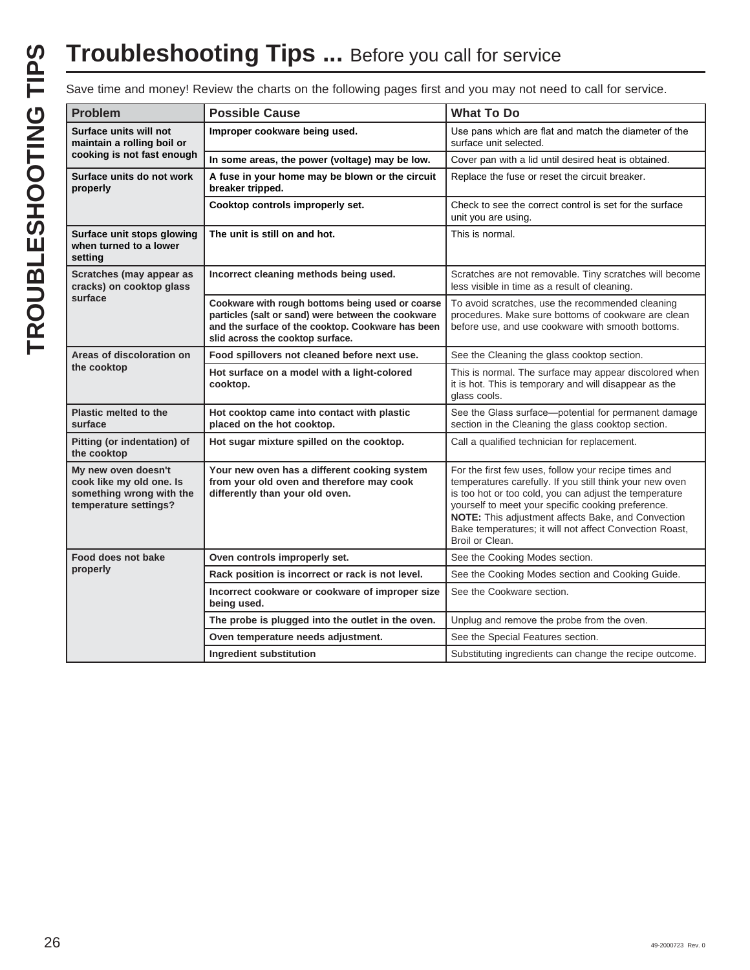# **Troubleshooting Tips ...** Before you call for service

Save time and money! Review the charts on the following pages first and you may not need to call for service.

| <b>Problem</b>                                                                                       | <b>Possible Cause</b>                                                                                                                                                                           | <b>What To Do</b>                                                                                                                                                                                                                                                                                                                                                    |
|------------------------------------------------------------------------------------------------------|-------------------------------------------------------------------------------------------------------------------------------------------------------------------------------------------------|----------------------------------------------------------------------------------------------------------------------------------------------------------------------------------------------------------------------------------------------------------------------------------------------------------------------------------------------------------------------|
| Surface units will not<br>maintain a rolling boil or                                                 | Improper cookware being used.                                                                                                                                                                   | Use pans which are flat and match the diameter of the<br>surface unit selected.                                                                                                                                                                                                                                                                                      |
| cooking is not fast enough                                                                           | In some areas, the power (voltage) may be low.                                                                                                                                                  | Cover pan with a lid until desired heat is obtained.                                                                                                                                                                                                                                                                                                                 |
| Surface units do not work<br>properly                                                                | A fuse in your home may be blown or the circuit<br>breaker tripped.                                                                                                                             | Replace the fuse or reset the circuit breaker.                                                                                                                                                                                                                                                                                                                       |
|                                                                                                      | Cooktop controls improperly set.                                                                                                                                                                | Check to see the correct control is set for the surface<br>unit you are using.                                                                                                                                                                                                                                                                                       |
| Surface unit stops glowing<br>when turned to a lower<br>setting                                      | The unit is still on and hot.                                                                                                                                                                   | This is normal.                                                                                                                                                                                                                                                                                                                                                      |
| Scratches (may appear as<br>cracks) on cooktop glass                                                 | Incorrect cleaning methods being used.                                                                                                                                                          | Scratches are not removable. Tiny scratches will become<br>less visible in time as a result of cleaning.                                                                                                                                                                                                                                                             |
| surface                                                                                              | Cookware with rough bottoms being used or coarse<br>particles (salt or sand) were between the cookware<br>and the surface of the cooktop. Cookware has been<br>slid across the cooktop surface. | To avoid scratches, use the recommended cleaning<br>procedures. Make sure bottoms of cookware are clean<br>before use, and use cookware with smooth bottoms.                                                                                                                                                                                                         |
| Areas of discoloration on<br>the cooktop                                                             | Food spillovers not cleaned before next use.                                                                                                                                                    | See the Cleaning the glass cooktop section.                                                                                                                                                                                                                                                                                                                          |
|                                                                                                      | Hot surface on a model with a light-colored<br>cooktop.                                                                                                                                         | This is normal. The surface may appear discolored when<br>it is hot. This is temporary and will disappear as the<br>glass cools.                                                                                                                                                                                                                                     |
| <b>Plastic melted to the</b><br>surface                                                              | Hot cooktop came into contact with plastic<br>placed on the hot cooktop.                                                                                                                        | See the Glass surface--potential for permanent damage<br>section in the Cleaning the glass cooktop section.                                                                                                                                                                                                                                                          |
| Pitting (or indentation) of<br>the cooktop                                                           | Hot sugar mixture spilled on the cooktop.                                                                                                                                                       | Call a qualified technician for replacement.                                                                                                                                                                                                                                                                                                                         |
| My new oven doesn't<br>cook like my old one. Is<br>something wrong with the<br>temperature settings? | Your new oven has a different cooking system<br>from your old oven and therefore may cook<br>differently than your old oven.                                                                    | For the first few uses, follow your recipe times and<br>temperatures carefully. If you still think your new oven<br>is too hot or too cold, you can adjust the temperature<br>yourself to meet your specific cooking preference.<br>NOTE: This adjustment affects Bake, and Convection<br>Bake temperatures; it will not affect Convection Roast,<br>Broil or Clean. |
| Food does not bake                                                                                   | Oven controls improperly set.                                                                                                                                                                   | See the Cooking Modes section.                                                                                                                                                                                                                                                                                                                                       |
| properly                                                                                             | Rack position is incorrect or rack is not level.                                                                                                                                                | See the Cooking Modes section and Cooking Guide.                                                                                                                                                                                                                                                                                                                     |
|                                                                                                      | Incorrect cookware or cookware of improper size<br>being used.                                                                                                                                  | See the Cookware section.                                                                                                                                                                                                                                                                                                                                            |
|                                                                                                      | The probe is plugged into the outlet in the oven.                                                                                                                                               | Unplug and remove the probe from the oven.                                                                                                                                                                                                                                                                                                                           |
|                                                                                                      | Oven temperature needs adjustment.                                                                                                                                                              | See the Special Features section.                                                                                                                                                                                                                                                                                                                                    |
|                                                                                                      | Ingredient substitution                                                                                                                                                                         | Substituting ingredients can change the recipe outcome.                                                                                                                                                                                                                                                                                                              |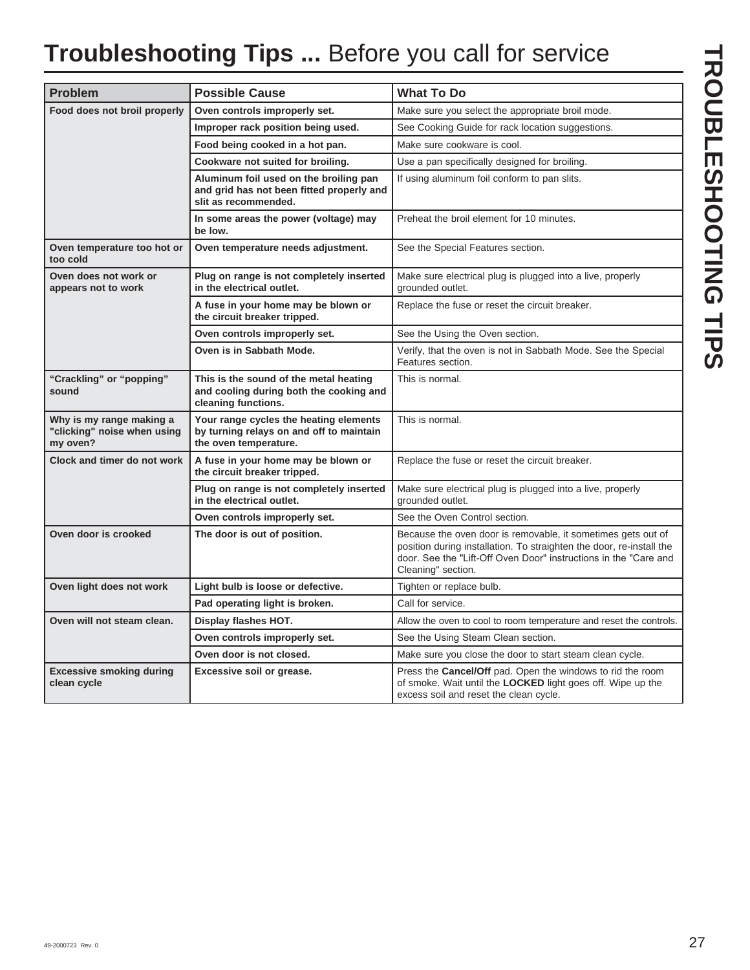## **Troubleshooting Tips ...** Before you call for service

| <b>Problem</b>                                                      | <b>Possible Cause</b>                                                                                       | <b>What To Do</b>                                                                                                                                                                                                              |
|---------------------------------------------------------------------|-------------------------------------------------------------------------------------------------------------|--------------------------------------------------------------------------------------------------------------------------------------------------------------------------------------------------------------------------------|
| Food does not broil properly                                        | Oven controls improperly set.                                                                               | Make sure you select the appropriate broil mode.                                                                                                                                                                               |
|                                                                     | Improper rack position being used.                                                                          | See Cooking Guide for rack location suggestions.                                                                                                                                                                               |
|                                                                     | Food being cooked in a hot pan.                                                                             | Make sure cookware is cool.                                                                                                                                                                                                    |
|                                                                     | Cookware not suited for broiling.                                                                           | Use a pan specifically designed for broiling.                                                                                                                                                                                  |
|                                                                     | Aluminum foil used on the broiling pan<br>and grid has not been fitted properly and<br>slit as recommended. | If using aluminum foil conform to pan slits.                                                                                                                                                                                   |
|                                                                     | In some areas the power (voltage) may<br>be low.                                                            | Preheat the broil element for 10 minutes.                                                                                                                                                                                      |
| Oven temperature too hot or<br>too cold                             | Oven temperature needs adjustment.                                                                          | See the Special Features section.                                                                                                                                                                                              |
| Oven does not work or<br>appears not to work                        | Plug on range is not completely inserted<br>in the electrical outlet.                                       | Make sure electrical plug is plugged into a live, properly<br>grounded outlet.                                                                                                                                                 |
|                                                                     | A fuse in your home may be blown or<br>the circuit breaker tripped.                                         | Replace the fuse or reset the circuit breaker.                                                                                                                                                                                 |
|                                                                     | Oven controls improperly set.                                                                               | See the Using the Oven section.                                                                                                                                                                                                |
|                                                                     | Oven is in Sabbath Mode.                                                                                    | Verify, that the oven is not in Sabbath Mode. See the Special<br>Features section.                                                                                                                                             |
| "Crackling" or "popping"<br>sound                                   | This is the sound of the metal heating<br>and cooling during both the cooking and<br>cleaning functions.    | This is normal.                                                                                                                                                                                                                |
| Why is my range making a<br>"clicking" noise when using<br>my oven? | Your range cycles the heating elements<br>by turning relays on and off to maintain<br>the oven temperature. | This is normal.                                                                                                                                                                                                                |
| Clock and timer do not work                                         | A fuse in your home may be blown or<br>the circuit breaker tripped.                                         | Replace the fuse or reset the circuit breaker.                                                                                                                                                                                 |
|                                                                     | Plug on range is not completely inserted<br>in the electrical outlet.                                       | Make sure electrical plug is plugged into a live, properly<br>grounded outlet.                                                                                                                                                 |
|                                                                     | Oven controls improperly set.                                                                               | See the Oven Control section.                                                                                                                                                                                                  |
| Oven door is crooked                                                | The door is out of position.                                                                                | Because the oven door is removable, it sometimes gets out of<br>position during installation. To straighten the door, re-install the<br>door. See the "Lift-Off Oven Door" instructions in the "Care and<br>Cleaning" section. |
| Oven light does not work                                            | Light bulb is loose or defective.                                                                           | Tighten or replace bulb.                                                                                                                                                                                                       |
|                                                                     | Pad operating light is broken.                                                                              | Call for service.                                                                                                                                                                                                              |
| Oven will not steam clean.                                          | Display flashes HOT.                                                                                        | Allow the oven to cool to room temperature and reset the controls.                                                                                                                                                             |
|                                                                     | Oven controls improperly set.                                                                               | See the Using Steam Clean section.                                                                                                                                                                                             |
|                                                                     | Oven door is not closed.                                                                                    | Make sure you close the door to start steam clean cycle.                                                                                                                                                                       |
| <b>Excessive smoking during</b><br>clean cycle                      | Excessive soil or grease.                                                                                   | Press the Cancel/Off pad. Open the windows to rid the room<br>of smoke. Wait until the LOCKED light goes off. Wipe up the<br>excess soil and reset the clean cycle.                                                            |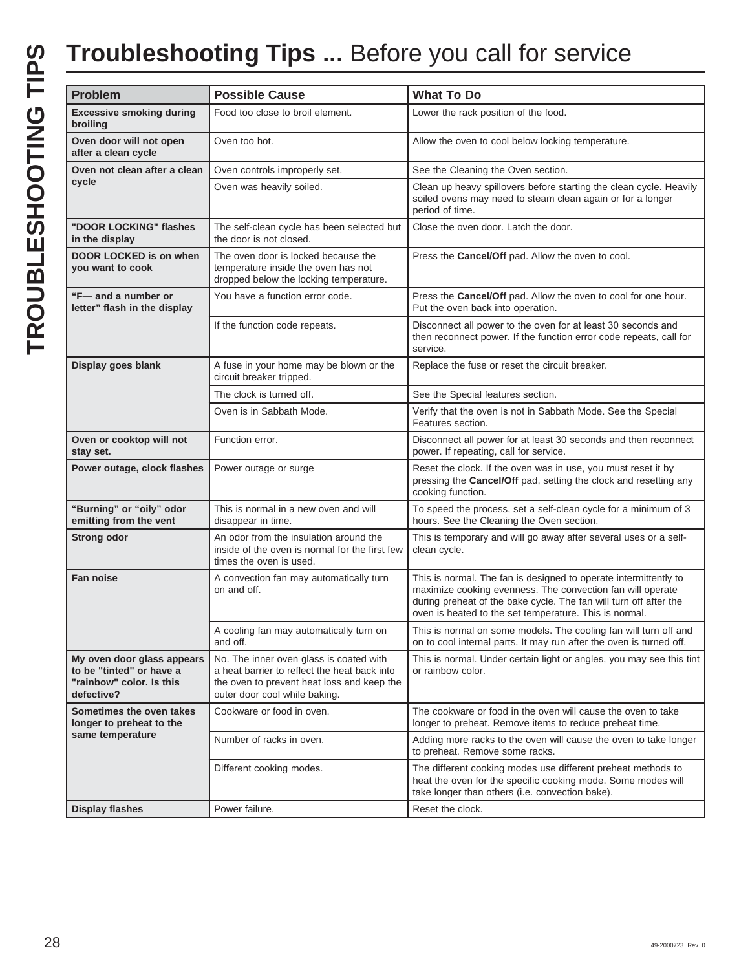# TROUBLESHOOTING TIPS **TROUBLESHOOTING TIPS**

## **Troubleshooting Tips ...** Before you call for service

| <b>Problem</b>                                                                                   | <b>Possible Cause</b>                                                                                                                                                  | <b>What To Do</b>                                                                                                                                                                                                                                             |
|--------------------------------------------------------------------------------------------------|------------------------------------------------------------------------------------------------------------------------------------------------------------------------|---------------------------------------------------------------------------------------------------------------------------------------------------------------------------------------------------------------------------------------------------------------|
| <b>Excessive smoking during</b><br>broiling                                                      | Food too close to broil element.                                                                                                                                       | Lower the rack position of the food.                                                                                                                                                                                                                          |
| Oven door will not open<br>after a clean cycle                                                   | Oven too hot.                                                                                                                                                          | Allow the oven to cool below locking temperature.                                                                                                                                                                                                             |
| Oven not clean after a clean                                                                     | Oven controls improperly set.                                                                                                                                          | See the Cleaning the Oven section.                                                                                                                                                                                                                            |
| cycle                                                                                            | Oven was heavily soiled.                                                                                                                                               | Clean up heavy spillovers before starting the clean cycle. Heavily<br>soiled ovens may need to steam clean again or for a longer<br>period of time.                                                                                                           |
| "DOOR LOCKING" flashes<br>in the display                                                         | The self-clean cycle has been selected but<br>the door is not closed.                                                                                                  | Close the oven door. Latch the door.                                                                                                                                                                                                                          |
| DOOR LOCKED is on when<br>you want to cook                                                       | The oven door is locked because the<br>temperature inside the oven has not<br>dropped below the locking temperature.                                                   | Press the Cancel/Off pad. Allow the oven to cool.                                                                                                                                                                                                             |
| "F-and a number or<br>letter" flash in the display                                               | You have a function error code.                                                                                                                                        | Press the Cancel/Off pad. Allow the oven to cool for one hour.<br>Put the oven back into operation.                                                                                                                                                           |
|                                                                                                  | If the function code repeats.                                                                                                                                          | Disconnect all power to the oven for at least 30 seconds and<br>then reconnect power. If the function error code repeats, call for<br>service.                                                                                                                |
| Display goes blank                                                                               | A fuse in your home may be blown or the<br>circuit breaker tripped.                                                                                                    | Replace the fuse or reset the circuit breaker.                                                                                                                                                                                                                |
|                                                                                                  | The clock is turned off.                                                                                                                                               | See the Special features section.                                                                                                                                                                                                                             |
|                                                                                                  | Oven is in Sabbath Mode.                                                                                                                                               | Verify that the oven is not in Sabbath Mode. See the Special<br>Features section.                                                                                                                                                                             |
| Oven or cooktop will not<br>stay set.                                                            | Function error.                                                                                                                                                        | Disconnect all power for at least 30 seconds and then reconnect<br>power. If repeating, call for service.                                                                                                                                                     |
| Power outage, clock flashes                                                                      | Power outage or surge                                                                                                                                                  | Reset the clock. If the oven was in use, you must reset it by<br>pressing the Cancel/Off pad, setting the clock and resetting any<br>cooking function.                                                                                                        |
| "Burning" or "oily" odor<br>emitting from the vent                                               | This is normal in a new oven and will<br>disappear in time.                                                                                                            | To speed the process, set a self-clean cycle for a minimum of 3<br>hours. See the Cleaning the Oven section.                                                                                                                                                  |
| <b>Strong odor</b>                                                                               | An odor from the insulation around the<br>inside of the oven is normal for the first few<br>times the oven is used.                                                    | This is temporary and will go away after several uses or a self-<br>clean cycle.                                                                                                                                                                              |
| Fan noise                                                                                        | A convection fan may automatically turn<br>on and off.                                                                                                                 | This is normal. The fan is designed to operate intermittently to<br>maximize cooking evenness. The convection fan will operate<br>during preheat of the bake cycle. The fan will turn off after the<br>oven is heated to the set temperature. This is normal. |
|                                                                                                  | A cooling fan may automatically turn on<br>and off.                                                                                                                    | This is normal on some models. The cooling fan will turn off and<br>on to cool internal parts. It may run after the oven is turned off.                                                                                                                       |
| My oven door glass appears<br>to be "tinted" or have a<br>"rainbow" color. Is this<br>defective? | No. The inner oven glass is coated with<br>a heat barrier to reflect the heat back into<br>the oven to prevent heat loss and keep the<br>outer door cool while baking. | This is normal. Under certain light or angles, you may see this tint<br>or rainbow color.                                                                                                                                                                     |
| Sometimes the oven takes<br>longer to preheat to the                                             | Cookware or food in oven.                                                                                                                                              | The cookware or food in the oven will cause the oven to take<br>longer to preheat. Remove items to reduce preheat time.                                                                                                                                       |
| same temperature                                                                                 | Number of racks in oven.                                                                                                                                               | Adding more racks to the oven will cause the oven to take longer<br>to preheat. Remove some racks.                                                                                                                                                            |
|                                                                                                  | Different cooking modes.                                                                                                                                               | The different cooking modes use different preheat methods to<br>heat the oven for the specific cooking mode. Some modes will<br>take longer than others (i.e. convection bake).                                                                               |
| <b>Display flashes</b>                                                                           | Power failure.                                                                                                                                                         | Reset the clock.                                                                                                                                                                                                                                              |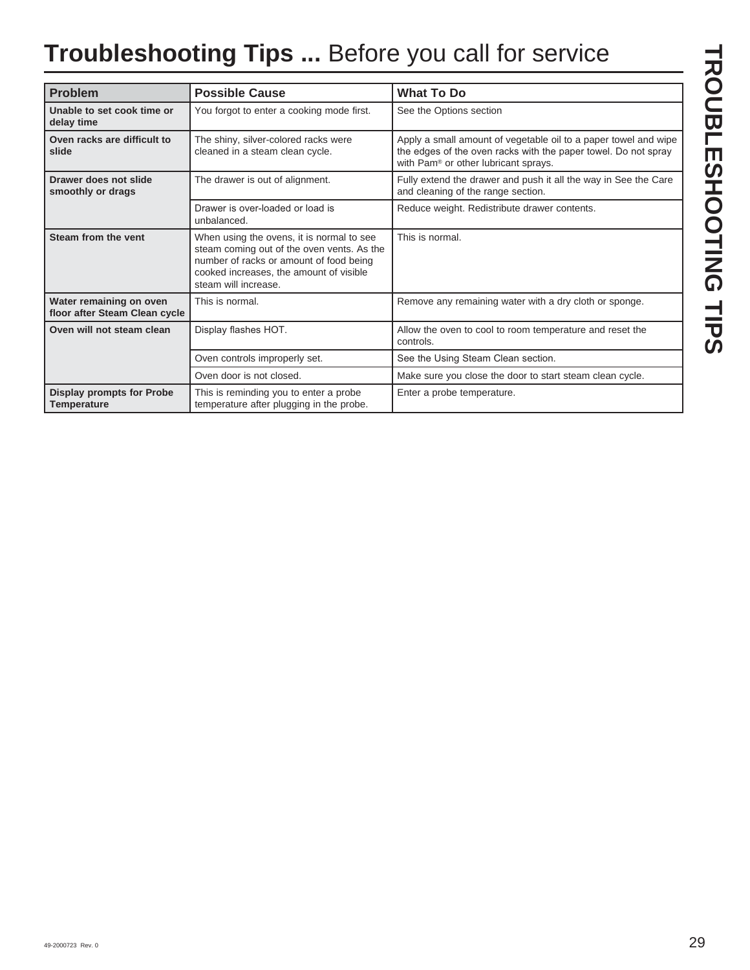## **Troubleshooting Tips ...** Before you call for service

| <b>Problem</b>                                           | <b>Possible Cause</b>                                                                                                                                                                                 | <b>What To Do</b>                                                                                                                                                         |
|----------------------------------------------------------|-------------------------------------------------------------------------------------------------------------------------------------------------------------------------------------------------------|---------------------------------------------------------------------------------------------------------------------------------------------------------------------------|
| Unable to set cook time or<br>delay time                 | You forgot to enter a cooking mode first.                                                                                                                                                             | See the Options section                                                                                                                                                   |
| Oven racks are difficult to<br>slide                     | The shiny, silver-colored racks were<br>cleaned in a steam clean cycle.                                                                                                                               | Apply a small amount of vegetable oil to a paper towel and wipe<br>the edges of the oven racks with the paper towel. Do not spray<br>with Pam® or other lubricant sprays. |
| Drawer does not slide<br>smoothly or drags               | The drawer is out of alignment.                                                                                                                                                                       | Fully extend the drawer and push it all the way in See the Care<br>and cleaning of the range section.                                                                     |
|                                                          | Drawer is over-loaded or load is<br>unbalanced.                                                                                                                                                       | Reduce weight. Redistribute drawer contents.                                                                                                                              |
| Steam from the vent                                      | When using the ovens, it is normal to see<br>steam coming out of the oven vents. As the<br>number of racks or amount of food being<br>cooked increases, the amount of visible<br>steam will increase. | This is normal.                                                                                                                                                           |
| Water remaining on oven<br>floor after Steam Clean cycle | This is normal.                                                                                                                                                                                       | Remove any remaining water with a dry cloth or sponge.                                                                                                                    |
| Oven will not steam clean                                | Display flashes HOT.                                                                                                                                                                                  | Allow the oven to cool to room temperature and reset the<br>controls.                                                                                                     |
|                                                          | Oven controls improperly set.                                                                                                                                                                         | See the Using Steam Clean section.                                                                                                                                        |
|                                                          | Oven door is not closed.                                                                                                                                                                              | Make sure you close the door to start steam clean cycle.                                                                                                                  |
| <b>Display prompts for Probe</b><br><b>Temperature</b>   | This is reminding you to enter a probe<br>temperature after plugging in the probe.                                                                                                                    | Enter a probe temperature.                                                                                                                                                |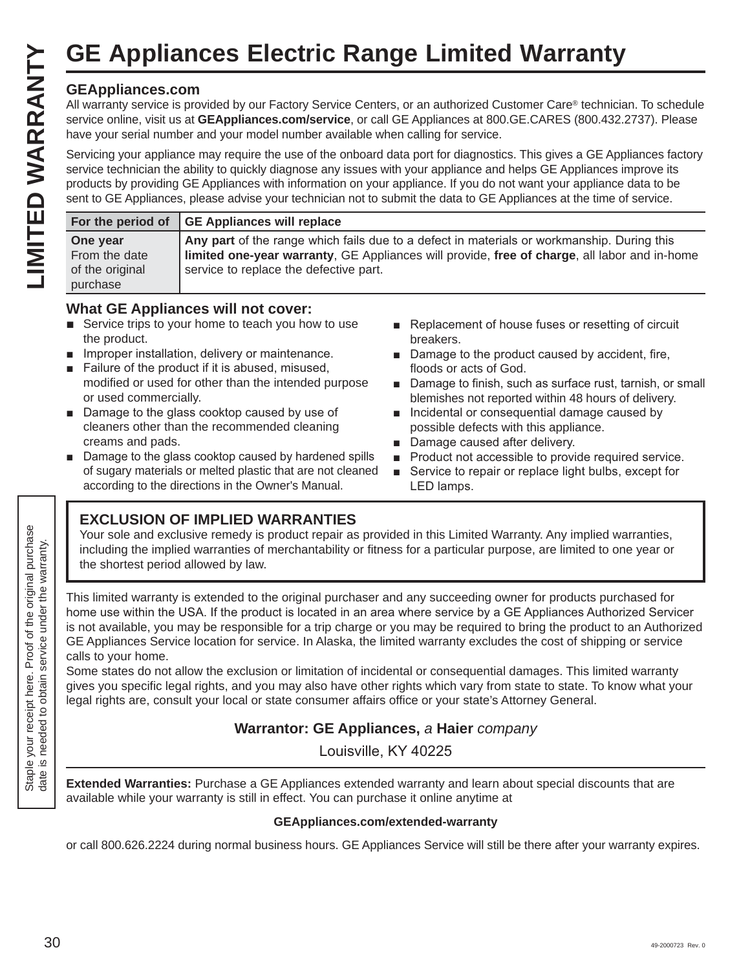## **GEAppliances.com**

|                                                          | <b>GE Appliances Electric Range Limited Warranty</b>                                                                                                                                                                                                                                                                                                                                                                                                                                               |
|----------------------------------------------------------|----------------------------------------------------------------------------------------------------------------------------------------------------------------------------------------------------------------------------------------------------------------------------------------------------------------------------------------------------------------------------------------------------------------------------------------------------------------------------------------------------|
| <b>GEAppliances.com</b>                                  | All warranty service is provided by our Factory Service Centers, or an authorized Customer Care® technician. To schedule<br>service online, visit us at GEAppliances.com/service, or call GE Appliances at 800.GE.CARES (800.432.2737). Please<br>have your serial number and your model number available when calling for service.                                                                                                                                                                |
|                                                          | Servicing your appliance may require the use of the onboard data port for diagnostics. This gives a GE Appliances factory<br>service technician the ability to quickly diagnose any issues with your appliance and helps GE Appliances improve its<br>products by providing GE Appliances with information on your appliance. If you do not want your appliance data to be<br>sent to GE Appliances, please advise your technician not to submit the data to GE Appliances at the time of service. |
| For the period of                                        | <b>GE Appliances will replace</b>                                                                                                                                                                                                                                                                                                                                                                                                                                                                  |
| One year<br>From the date<br>of the original<br>purchase | Any part of the range which fails due to a defect in materials or workmanship. During this<br>limited one-year warranty, GE Appliances will provide, free of charge, all labor and in-home<br>service to replace the defective part.                                                                                                                                                                                                                                                               |

## **What GE Appliances will not cover:**

- $\blacksquare$  Service trips to your home to teach you how to use the product.
- $\blacksquare$  Improper installation, delivery or maintenance.
- Failure of the product if it is abused, misused, modified or used for other than the intended purpose or used commercially.
- $\blacksquare$  Damage to the glass cooktop caused by use of cleaners other than the recommended cleaning creams and pads.
- $\blacksquare$  Damage to the glass cooktop caused by hardened spills of sugary materials or melted plastic that are not cleaned according to the directions in the Owner's Manual.
- Replacement of house fuses or resetting of circuit breakers.
- $\blacksquare$  Damage to the product caused by accident, fire, floods or acts of God.
- Damage to finish, such as surface rust, tarnish, or small blemishes not reported within 48 hours of delivery.
- Incidental or consequential damage caused by possible defects with this appliance.
- Damage caused after delivery.
- **Product not accessible to provide required service.**
- Service to repair or replace light bulbs, except for LED lamps.

## **EXCLUSION OF IMPLIED WARRANTIES**

Your sole and exclusive remedy is product repair as provided in this Limited Warranty. Any implied warranties, including the implied warranties of merchantability or fitness for a particular purpose, are limited to one year or the shortest period allowed by law.

This limited warranty is extended to the original purchaser and any succeeding owner for products purchased for home use within the USA. If the product is located in an area where service by a GE Appliances Authorized Servicer is not available, you may be responsible for a trip charge or you may be required to bring the product to an Authorized GE Appliances Service location for service. In Alaska, the limited warranty excludes the cost of shipping or service calls to your home.

Some states do not allow the exclusion or limitation of incidental or consequential damages. This limited warranty gives you specific legal rights, and you may also have other rights which vary from state to state. To know what your legal rights are, consult your local or state consumer affairs office or your state's Attorney General.

## **Warrantor: GE Appliances,** *a* **Haier** *company*

Louisville, KY 40225

**Extended Warranties:** Purchase a GE Appliances extended warranty and learn about special discounts that are available while your warranty is still in effect. You can purchase it online anytime at

### **GEAppliances.com/extended-warranty**

or call 800.626.2224 during normal business hours. GE Appliances Service will still be there after your warranty expires.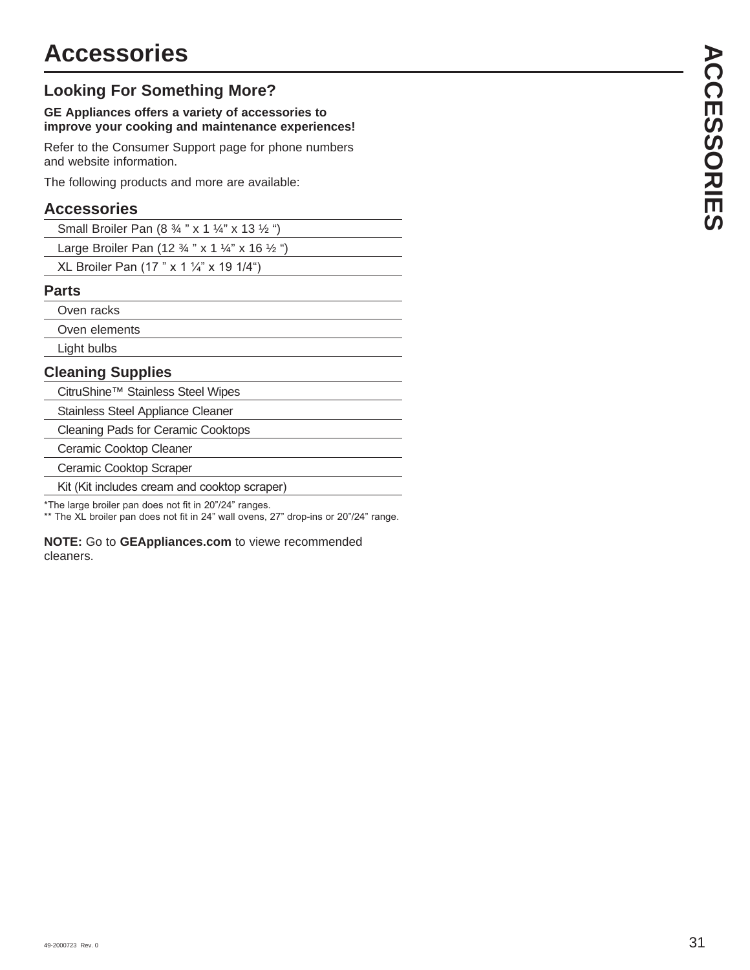## **Looking For Something More?**

#### **GE Appliances offers a variety of accessories to improve your cooking and maintenance experiences!**

Refer to the Consumer Support page for phone numbers and website information.

The following products and more are available:

## **Accessories**

| Small Broiler Pan $(8 \frac{3}{4}$ " x 1 $\frac{1}{4}$ " x 13 $\frac{1}{2}$ ") |  |
|--------------------------------------------------------------------------------|--|
|--------------------------------------------------------------------------------|--|

Large Broiler Pan (12 ¾ " x 1 ¼" x 16 ½ ")

XL Broiler Pan (17 " x 1  $\frac{1}{4}$ " x 19 1/4")

## **Parts**

Oven racks

Oven elements

Light bulbs

## **Cleaning Supplies**

CitruShine™ Stainless Steel Wipes

Stainless Steel Appliance Cleaner

Cleaning Pads for Ceramic Cooktops

Ceramic Cooktop Cleaner

Ceramic Cooktop Scraper

Kit (Kit includes cream and cooktop scraper)

\*The large broiler pan does not fit in 20"/24" ranges.

\*\* The XL broiler pan does not fit in 24" wall ovens, 27" drop-ins or 20"/24" range.

**NOTE:** Go to **GEAppliances.com** to viewe recommended cleaners.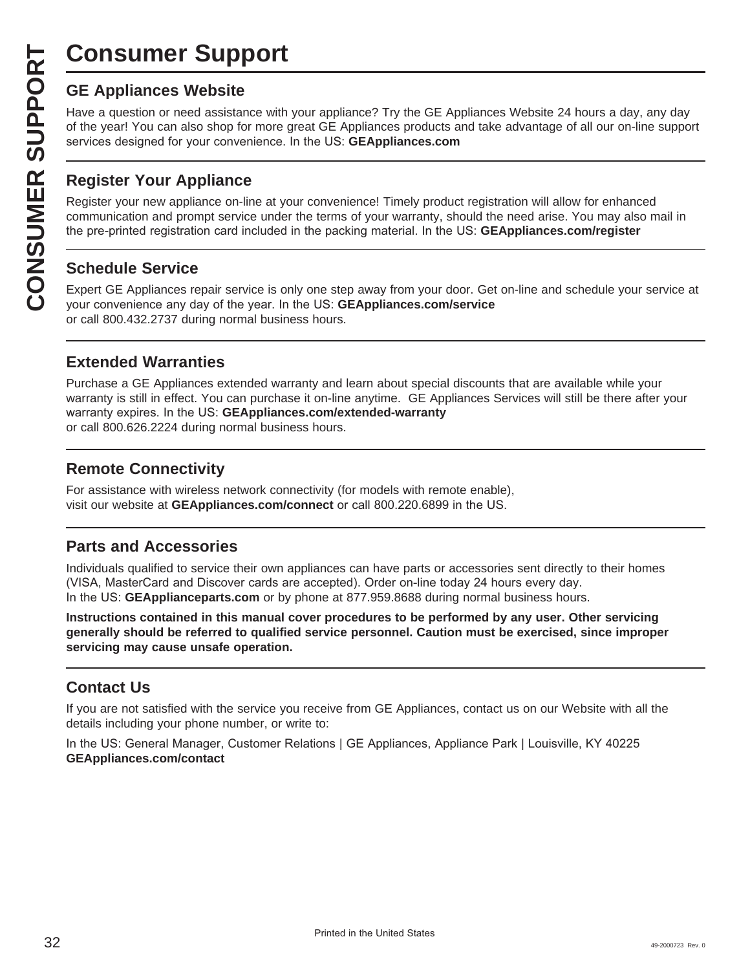# **Consumer Support**

**CONSUMER SUP**<br> **GE Appliances Website**<br>
Have a question or need assistar<br>
of the year! You can also shop for<br>
services designed for your conver<br> **CONSUMER Appliance OF APPLIANCE Register your new appliance on-1**<br> **CONSUME** Have a question or need assistance with your appliance? Try the GE Appliances Website 24 hours a day, any day of the year! You can also shop for more great GE Appliances products and take advantage of all our on-line support services designed for your convenience. In the US: GEAppliances.com

## **Register Your Appliance**

Register your new appliance on-line at your convenience! Timely product registration will allow for enhanced communication and prompt service under the terms of your warranty, should the need arise. You may also mail in the pre-printed registration card included in the packing material. In the US: **GEAppliances.com/register** 

## **Schedule Service**

Expert GE Appliances repair service is only one step away from your door. Get on-line and schedule your service at your convenience any day of the year. In the US: **GEAppliances.com/service** or call 800.432.2737 during normal business hours.

## **Extended Warranties**

Purchase a GE Appliances extended warranty and learn about special discounts that are available while your warranty is still in effect. You can purchase it on-line anytime. GE Appliances Services will still be there after your warranty expires. In the US: GEAppliances.com/extended-warranty or call 800.626.2224 during normal business hours.

## **Remote Connectivity**

For assistance with wireless network connectivity (for models with remote enable), visit our website at GEAppliances.com/connect or call 800.220.6899 in the US.

## **Parts and Accessories**

Individuals qualified to service their own appliances can have parts or accessories sent directly to their homes (VISA, MasterCard and Discover cards are accepted). Order on-line today 24 hours every day. In the US: **GEApplianceparts.com** or by phone at 877.959.8688 during normal business hours.

**Instructions contained in this manual cover procedures to be performed by any user. Other servicing generally should be referred to qualified service personnel. Caution must be exercised, since improper servicing may cause unsafe operation.**

## **Contact Us**

If you are not satisfied with the service you receive from GE Appliances, contact us on our Website with all the details including your phone number, or write to:

In the US: General Manager, Customer Relations | GE Appliances, Appliance Park | Louisville, KY 40225 **GEAppliances.com/contact**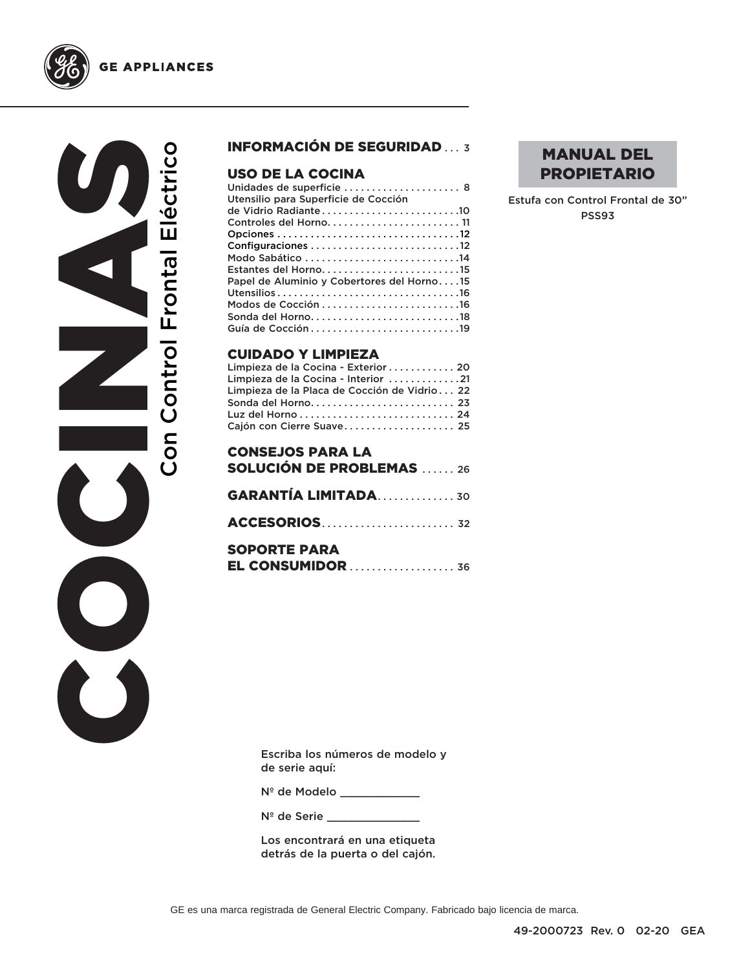

COCINAS Con Control Frontal Eléctrico Con Control Frontal Eléctrico  $\bigcirc$ U

## INFORMACIÓN DE SEGURIDAD ... 3

## USO DE LA COCINA

| Utensilio para Superficie de Cocción       |  |
|--------------------------------------------|--|
|                                            |  |
|                                            |  |
|                                            |  |
|                                            |  |
|                                            |  |
| Estantes del Horno15                       |  |
| Papel de Aluminio y Cobertores del Horno15 |  |
|                                            |  |
|                                            |  |
|                                            |  |
|                                            |  |
|                                            |  |

#### CUIDADO Y LIMPIEZA

| Limpieza de la Cocina - Exterior 20          |  |
|----------------------------------------------|--|
| Limpieza de la Cocina - Interior 21          |  |
| Limpieza de la Placa de Cocción de Vidrio 22 |  |
| Sonda del Horno 23                           |  |
|                                              |  |
| Cajón con Cierre Suave 25                    |  |

| <b>CONSEJOS PARA LA</b><br><b>SOLUCIÓN DE PROBLEMAS</b> 26 |  |
|------------------------------------------------------------|--|
| <b>GARANTÍA LIMITADA 30</b>                                |  |
|                                                            |  |
| <b>SOPORTE PARA</b><br>EL CONSUMIDOR  36                   |  |

## MANUAL DEL PROPIETARIO

Estufa con Control Frontal de 30" PSS93

Escriba los números de modelo y de serie aquí:

Nº de Modelo \_\_\_\_\_\_\_\_\_\_\_\_

N<sup>º</sup> de Serie \_\_\_\_\_\_\_

Los encontrará en una etiqueta detrás de la puerta o del cajón.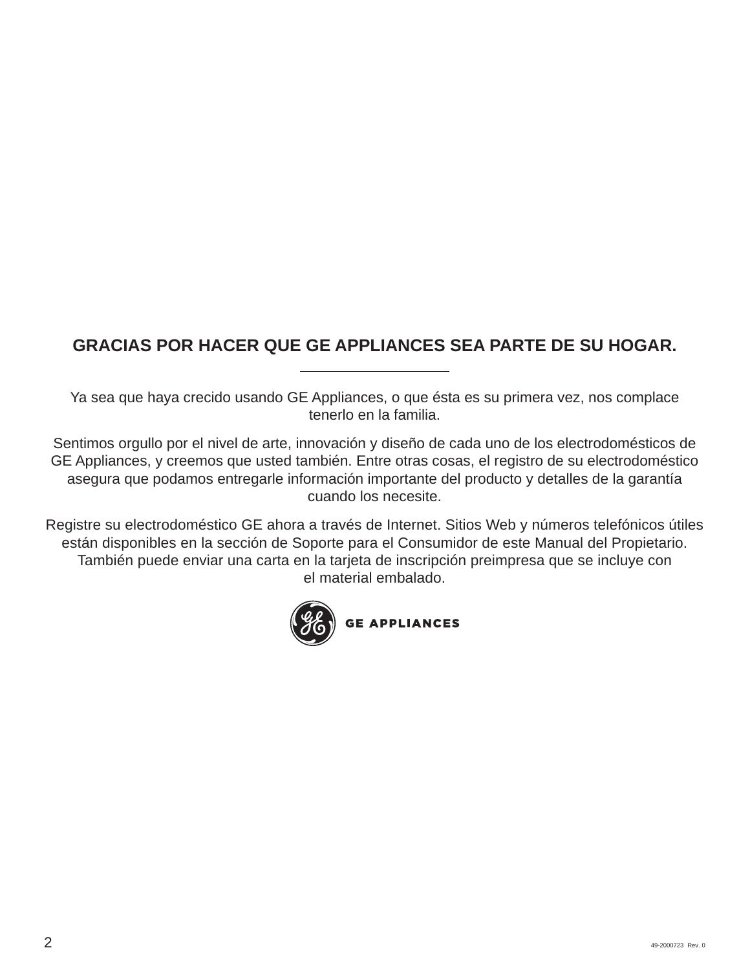## **GRACIAS POR HACER QUE GE APPLIANCES SEA PARTE DE SU HOGAR.**

Ya sea que haya crecido usando GE Appliances, o que ésta es su primera vez, nos complace tenerlo en la familia.

Sentimos orgullo por el nivel de arte, innovación y diseño de cada uno de los electrodomésticos de GE Appliances, y creemos que usted también. Entre otras cosas, el registro de su electrodoméstico asegura que podamos entregarle información importante del producto y detalles de la garantía cuando los necesite.

Registre su electrodoméstico GE ahora a través de Internet. Sitios Web y números telefónicos útiles están disponibles en la sección de Soporte para el Consumidor de este Manual del Propietario. También puede enviar una carta en la tarjeta de inscripción preimpresa que se incluye con el material embalado.

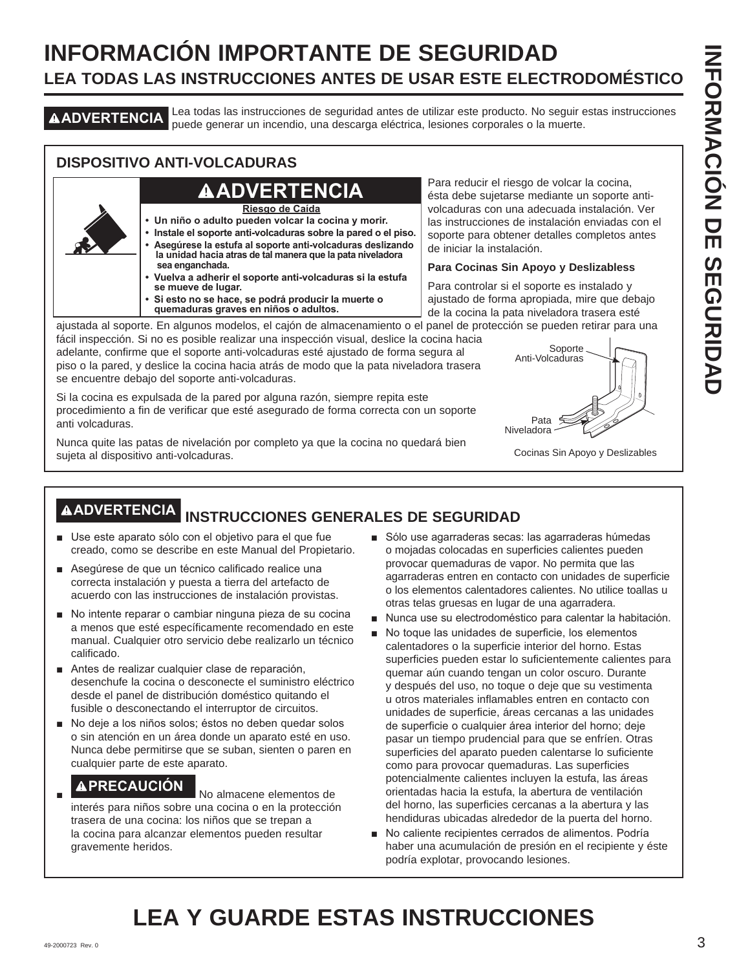## **INFORMACIÓN IMPORTANTE DE SEGURIDAD LEA TODAS LAS INSTRUCCIONES ANTES DE USAR ESTE ELECTRODOMÉSTICO**

**ADVERTENCIA** Lea todas las instrucciones de seguridad antes de utilizar este producto. No seguir estas instrucciones puede generar un incendio, una descarga eléctrica, lesiones corporales o la muerte.

## **DISPOSITIVO ANTI-VOLCADURAS**

## **ADVERTENCIA**

**Riesgo de Caída**

- **Un niño o adulto pueden volcar la cocina y morir.**
- **Instale el soporte anti-volcaduras sobre la pared o el piso. • Asegúrese la estufa al soporte anti-volcaduras deslizando la unidad hacia atras de tal manera que la pata niveladora sea enganchada.**
- **Vuelva a adherir el soporte anti-volcaduras si la estufa se mueve de lugar.**
- **Si esto no se hace, se podrá producir la muerte o quemaduras graves en niños o adultos.**

Para reducir el riesgo de volcar la cocina, ésta debe sujetarse mediante un soporte antivolcaduras con una adecuada instalación. Ver las instrucciones de instalación enviadas con el soporte para obtener detalles completos antes de iniciar la instalación.

#### **Para Cocinas Sin Apoyo y Deslizabless**

Para controlar si el soporte es instalado y ajustado de forma apropiada, mire que debajo de la cocina la pata niveladora trasera esté

ajustada al soporte. En algunos modelos, el cajón de almacenamiento o el panel de protección se pueden retirar para una fácil inspección. Si no es posible realizar una inspección visual, deslice la cocina hacia

adelante, confirme que el soporte anti-volcaduras esté ajustado de forma segura al piso o la pared, y deslice la cocina hacia atrás de modo que la pata niveladora trasera se encuentre debajo del soporte anti-volcaduras.

Si la cocina es expulsada de la pared por alguna razón, siempre repita este procedimiento a fin de verificar que esté asegurado de forma correcta con un soporte anti volcaduras.

Nunca quite las patas de nivelación por completo ya que la cocina no quedará bien sujeta al dispositivo anti-volcaduras.



Cocinas Sin Apoyo y Deslizables

## **ADVERTENCIA INSTRUCCIONES GENERALES DE SEGURIDAD**

- Use este aparato sólo con el objetivo para el que fue creado, como se describe en este Manual del Propietario.
- Asegúrese de que un técnico calificado realice una correcta instalación y puesta a tierra del artefacto de acuerdo con las instrucciones de instalación provistas.
- No intente reparar o cambiar ninguna pieza de su cocina a menos que esté específicamente recomendado en este manual. Cualquier otro servicio debe realizarlo un técnico calificado.
- Antes de realizar cualquier clase de reparación, desenchufe la cocina o desconecte el suministro eléctrico desde el panel de distribución doméstico quitando el fusible o desconectando el interruptor de circuitos.
- No deje a los niños solos; éstos no deben quedar solos o sin atención en un área donde un aparato esté en uso. Nunca debe permitirse que se suban, sienten o paren en cualquier parte de este aparato.

**A PRECAUCIÓN** No almacene elementos de interés para niños sobre una cocina o en la protección trasera de una cocina: los niños que se trepan a la cocina para alcanzar elementos pueden resultar gravemente heridos.

- Sólo use agarraderas secas: las agarraderas húmedas o mojadas colocadas en superficies calientes pueden provocar quemaduras de vapor. No permita que las agarraderas entren en contacto con unidades de superficie o los elementos calentadores calientes. No utilice toallas u otras telas gruesas en lugar de una agarradera.
- Nunca use su electrodoméstico para calentar la habitación.
- No toque las unidades de superficie, los elementos calentadores o la superficie interior del horno. Estas superficies pueden estar lo suficientemente calientes para quemar aún cuando tengan un color oscuro. Durante y después del uso, no toque o deje que su vestimenta u otros materiales inflamables entren en contacto con unidades de superficie, áreas cercanas a las unidades de superficie o cualquier área interior del horno; deje pasar un tiempo prudencial para que se enfríen. Otras superficies del aparato pueden calentarse lo suficiente como para provocar quemaduras. Las superficies potencialmente calientes incluyen la estufa, las áreas orientadas hacia la estufa, la abertura de ventilación del horno, las superficies cercanas a la abertura y las hendiduras ubicadas alrededor de la puerta del horno.
- No caliente recipientes cerrados de alimentos. Podría haber una acumulación de presión en el recipiente y éste podría explotar, provocando lesiones.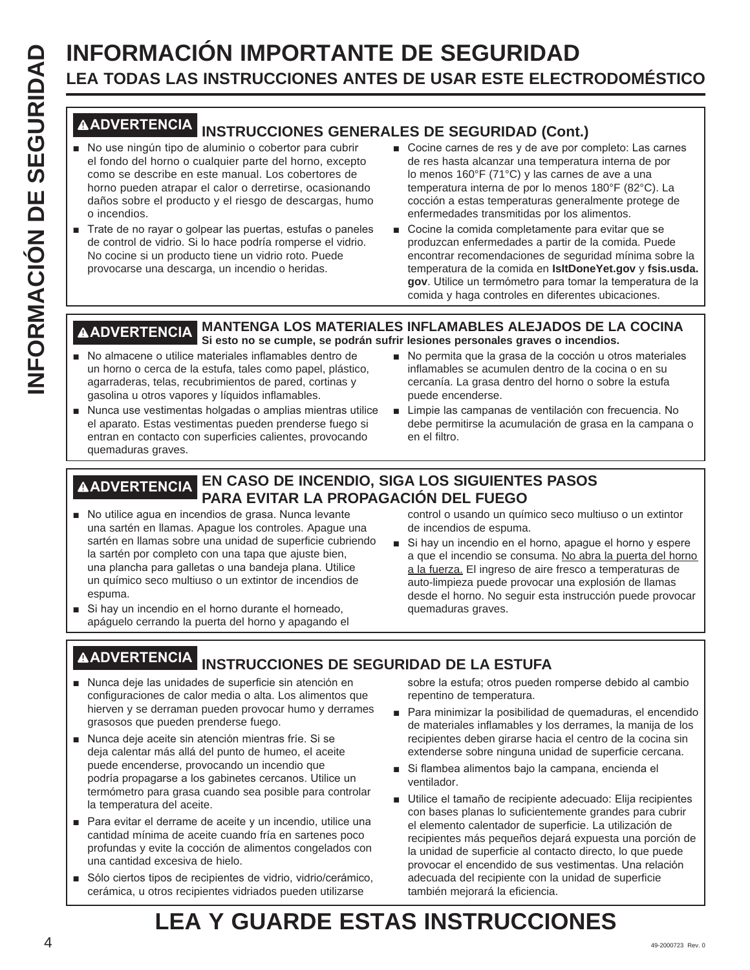# **INFORMACIÓN IMPORTANTE DE SEGURIDAD<br>
ILEA TODAS LAS INSTRUCCIONES ANTES DE USAR ESTE ELECT<br>
IN OUSE INTERIOR INSTRUCCIONES GENERALES DE SEGURIDAD (CONTRENDED INSTRUCCIONES GENERALES DE SEGURIDAD (CONTRENDED INSTRUCCIONES LEA TODAS LAS INSTRUCCIONES ANTES DE USAR ESTE ELECTRODOMÉSTICO**

## **ADVERTENCIA INSTRUCCIONES GENERALES DE SEGURIDAD (Cont.)**

- No use ningún tipo de aluminio o cobertor para cubrir el fondo del horno o cualquier parte del horno, excepto como se describe en este manual. Los cobertores de horno pueden atrapar el calor o derretirse, ocasionando daños sobre el producto y el riesgo de descargas, humo o incendios.
- Trate de no rayar o golpear las puertas, estufas o paneles de control de vidrio. Si lo hace podría romperse el vidrio. No cocine si un producto tiene un vidrio roto. Puede provocarse una descarga, un incendio o heridas.
- Cocine carnes de res y de ave por completo: Las carnes de res hasta alcanzar una temperatura interna de por lo menos 160°F (71°C) y las carnes de ave a una temperatura interna de por lo menos 180°F (82°C). La cocción a estas temperaturas generalmente protege de enfermedades transmitidas por los alimentos.
- Cocine la comida completamente para evitar que se produzcan enfermedades a partir de la comida. Puede encontrar recomendaciones de seguridad mínima sobre la temperatura de la comida en **IsItDoneYet.gov** y **fsis.usda.** gov. Utilice un termómetro para tomar la temperatura de la comida y haga controles en diferentes ubicaciones.

#### **ADVERTENCIA MANTENGA LOS MATERIALES INFLAMABLES ALEJADOS DE LA COCINA Si esto no se cumple, se podrán sufrir lesiones personales graves o incendios.**

- No almacene o utilice materiales inflamables dentro de un horno o cerca de la estufa, tales como papel, plástico, agarraderas, telas, recubrimientos de pared, cortinas y gasolina u otros vapores y líquidos inflamables.
- Nunca use vestimentas holgadas o amplias mientras utilice el aparato. Estas vestimentas pueden prenderse fuego si entran en contacto con superficies calientes, provocando quemaduras graves.
- No permita que la grasa de la cocción u otros materiales inflamables se acumulen dentro de la cocina o en su cercanía. La grasa dentro del horno o sobre la estufa puede encenderse.
- Limpie las campanas de ventilación con frecuencia. No debe permitirse la acumulación de grasa en la campana o en el filtro.

## **ADVERTENCIA EN CASO DE INCENDIO, SIGA LOS SIGUIENTES PASOS PARA EVITAR LA PROPAGACIÓN DEL FUEGO**

- No utilice agua en incendios de grasa. Nunca levante una sartén en llamas. Apague los controles. Apague una sartén en llamas sobre una unidad de superficie cubriendo la sartén por completo con una tapa que ajuste bien, una plancha para galletas o una bandeja plana. Utilice un químico seco multiuso o un extintor de incendios de espuma.
- Si hay un incendio en el horno durante el horneado, apáguelo cerrando la puerta del horno y apagando el

control o usando un químico seco multiuso o un extintor de incendios de espuma.

Si hay un incendio en el horno, apague el horno y espere a que el incendio se consuma. No abra la puerta del horno a la fuerza. El ingreso de aire fresco a temperaturas de auto-limpieza puede provocar una explosión de llamas desde el horno. No seguir esta instrucción puede provocar quemaduras graves.

## **ADVERTENCIA INSTRUCCIONES DE SEGURIDAD DE LA ESTUFA**

- Nunca deje las unidades de superficie sin atención en configuraciones de calor media o alta. Los alimentos que hierven y se derraman pueden provocar humo y derrames grasosos que pueden prenderse fuego.
- Nunca deje aceite sin atención mientras fríe. Si se deja calentar más allá del punto de humeo, el aceite puede encenderse, provocando un incendio que podría propagarse a los gabinetes cercanos. Utilice un termómetro para grasa cuando sea posible para controlar la temperatura del aceite.
- Para evitar el derrame de aceite y un incendio, utilice una cantidad mínima de aceite cuando fría en sartenes poco profundas y evite la cocción de alimentos congelados con una cantidad excesiva de hielo.
- Sólo ciertos tipos de recipientes de vidrio, vidrio/cerámico, cerámica, u otros recipientes vidriados pueden utilizarse

sobre la estufa; otros pueden romperse debido al cambio repentino de temperatura.

- Para minimizar la posibilidad de quemaduras, el encendido de materiales inflamables y los derrames, la manija de los recipientes deben girarse hacia el centro de la cocina sin extenderse sobre ninguna unidad de superficie cercana.
- Si flambea alimentos bajo la campana, encienda el ventilador.
- Utilice el tamaño de recipiente adecuado: Elija recipientes con bases planas lo suficientemente grandes para cubrir el elemento calentador de superficie. La utilización de recipientes más pequeños dejará expuesta una porción de la unidad de superficie al contacto directo, lo que puede provocar el encendido de sus vestimentas. Una relación adecuada del recipiente con la unidad de superficie también mejorará la eficiencia.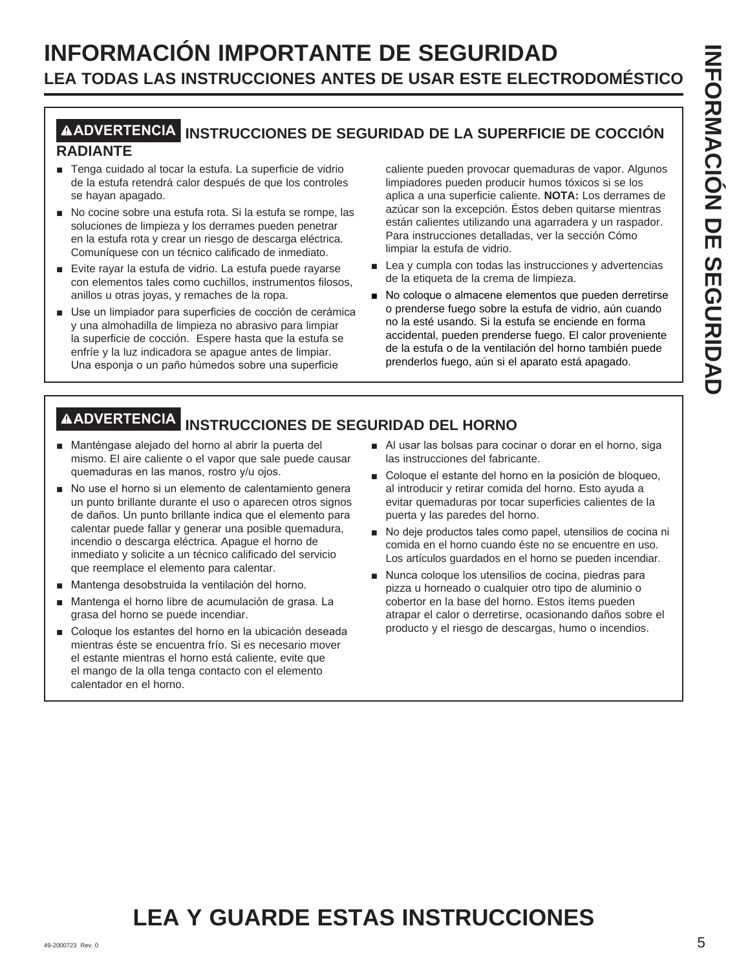## **INFORMACIÓN IMPORTANTE DE SEGURIDAD LEA TODAS LAS INSTRUCCIONES ANTES DE USAR ESTE ELECTRODOMÉSTICO**

## **ADVERTENCIA INSTRUCCIONES DE SEGURIDAD DE LA SUPERFICIE DE COCCIÓN RADIANTE**

- Tenga cuidado al tocar la estufa. La superficie de vidrio de la estufa retendrá calor después de que los controles se hayan apagado.
- $\blacksquare$  No cocine sobre una estufa rota. Si la estufa se rompe, las soluciones de limpieza y los derrames pueden penetrar en la estufa rota y crear un riesgo de descarga eléctrica. Comuníquese con un técnico calificado de inmediato.
- Evite rayar la estufa de vidrio. La estufa puede rayarse con elementos tales como cuchillos, instrumentos filosos, anillos u otras joyas, y remaches de la ropa.
- Use un limpiador para superficies de cocción de cerámica y una almohadilla de limpieza no abrasivo para limpiar la superficie de cocción. Espere hasta que la estufa se enfríe y la luz indicadora se apague antes de limpiar. Una esponja o un paño húmedos sobre una superficie

caliente pueden provocar quemaduras de vapor. Algunos limpiadores pueden producir humos tóxicos si se los aplica a una superficie caliente. **NOTA:** Los derrames de azúcar son la excepción. Éstos deben quitarse mientras están calientes utilizando una agarradera y un raspador. Para instrucciones detalladas, ver la sección Cómo limpiar la estufa de vidrio.

- $\blacksquare$  Lea y cumpla con todas las instrucciones y advertencias de la etiqueta de la crema de limpieza.
- No coloque o almacene elementos que pueden derretirse o prenderse fuego sobre la estufa de vidrio, aún cuando no la esté usando. Si la estufa se enciende en forma accidental, pueden prenderse fuego. El calor proveniente de la estufa o de la ventilación del horno también puede prenderlos fuego, aún si el aparato está apagado.

## **ADVERTENCIA INSTRUCCIONES DE SEGURIDAD DEL HORNO**

- Manténgase alejado del horno al abrir la puerta del mismo. El aire caliente o el vapor que sale puede causar quemaduras en las manos, rostro y/u ojos.
- No use el horno si un elemento de calentamiento genera un punto brillante durante el uso o aparecen otros signos de daños. Un punto brillante indica que el elemento para calentar puede fallar y generar una posible quemadura, incendio o descarga eléctrica. Apague el horno de inmediato y solicite a un técnico calificado del servicio que reemplace el elemento para calentar.
- Mantenga desobstruida la ventilación del horno.
- Mantenga el horno libre de acumulación de grasa. La grasa del horno se puede incendiar.
- Coloque los estantes del horno en la ubicación deseada mientras éste se encuentra frío. Si es necesario mover el estante mientras el horno está caliente, evite que el mango de la olla tenga contacto con el elemento calentador en el horno.
- Al usar las bolsas para cocinar o dorar en el horno, siga las instrucciones del fabricante.
- Coloque el estante del horno en la posición de bloqueo. al introducir y retirar comida del horno. Esto ayuda a evitar quemaduras por tocar superficies calientes de la puerta y las paredes del horno.
- No deje productos tales como papel, utensilios de cocina ni comida en el horno cuando éste no se encuentre en uso. Los artículos guardados en el horno se pueden incendiar.
- Nunca coloque los utensilios de cocina, piedras para pizza u horneado o cualquier otro tipo de aluminio o cobertor en la base del horno. Estos ítems pueden atrapar el calor o derretirse, ocasionando daños sobre el producto y el riesgo de descargas, humo o incendios.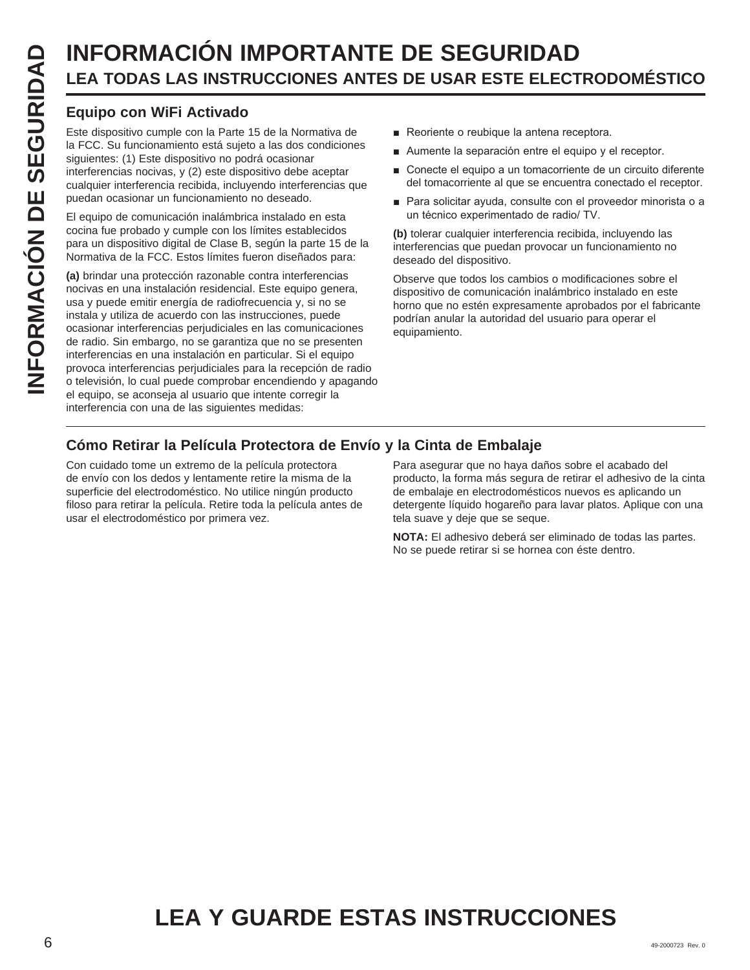# **LEA TODAS LAS INSTRUCCIONES ANTES DE USAR ESTE ELECTRODOMÉSTICO**

## **Equipo con WiFi Activado**

Este dispositivo cumple con la Parte 15 de la Normativa de la FCC. Su funcionamiento está sujeto a las dos condiciones siguientes: (1) Este dispositivo no podrá ocasionar interferencias nocivas, y (2) este dispositivo debe aceptar cualquier interferencia recibida, incluyendo interferencias que puedan ocasionar un funcionamiento no deseado.

El equipo de comunicación inalámbrica instalado en esta cocina fue probado y cumple con los límites establecidos para un dispositivo digital de Clase B, según la parte 15 de la Normativa de la FCC. Estos límites fueron diseñados para:

**INFORMACIÓN IMPORTANTE DE SEGURIDAD**<br> **ILEA TODAS LAS INSTRUCCIONES ANTES DE USAR ESTE ELECT**<br> **ICO**<br> **ISON Equipo con WIFI Activado**<br> **ISON Equipo con WIFI Activado**<br> **ISON Experiments** on the distance of the substantine **(a)** brindar una protección razonable contra interferencias nocivas en una instalación residencial. Este equipo genera, usa y puede emitir energía de radiofrecuencia y, si no se instala y utiliza de acuerdo con las instrucciones, puede ocasionar interferencias perjudiciales en las comunicaciones de radio. Sin embargo, no se garantiza que no se presenten interferencias en una instalación en particular. Si el equipo provoca interferencias perjudiciales para la recepción de radio o televisión, lo cual puede comprobar encendiendo y apagando el equipo, se aconseja al usuario que intente corregir la interferencia con una de las siguientes medidas:

- Reoriente o reubique la antena receptora.
- Aumente la separación entre el equipo y el receptor.
- Conecte el equipo a un tomacorriente de un circuito diferente del tomacorriente al que se encuentra conectado el receptor.
- Para solicitar ayuda, consulte con el proveedor minorista o a un técnico experimentado de radio/ TV.

**(b)** tolerar cualquier interferencia recibida, incluyendo las interferencias que puedan provocar un funcionamiento no deseado del dispositivo.

Observe que todos los cambios o modificaciones sobre el dispositivo de comunicación inalámbrico instalado en este horno que no estén expresamente aprobados por el fabricante podrían anular la autoridad del usuario para operar el equipamiento.

## **Cómo Retirar la Película Protectora de Envío y la Cinta de Embalaje**

Con cuidado tome un extremo de la película protectora de envío con los dedos y lentamente retire la misma de la superficie del electrodoméstico. No utilice ningún producto filoso para retirar la película. Retire toda la película antes de usar el electrodoméstico por primera vez.

Para asegurar que no haya daños sobre el acabado del producto, la forma más segura de retirar el adhesivo de la cinta de embalaje en electrodomésticos nuevos es aplicando un detergente líquido hogareño para lavar platos. Aplique con una tela suave y deje que se seque.

**NOTA:** El adhesivo deberá ser eliminado de todas las partes. No se puede retirar si se hornea con éste dentro.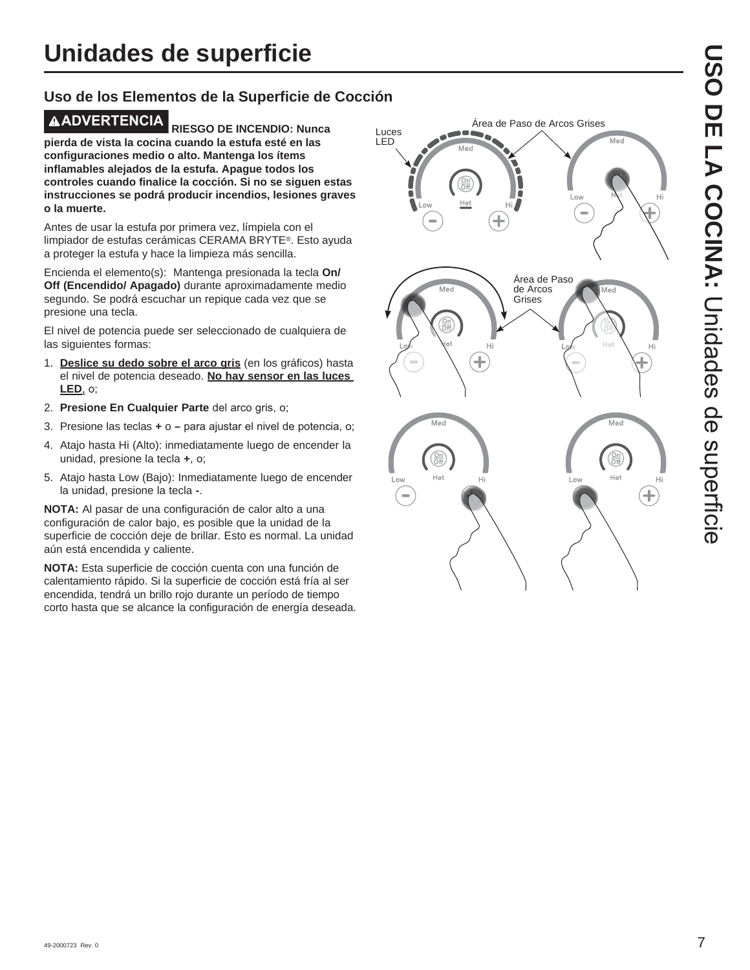## **Uso de los Elementos de la Superficie de Cocción**

**ADVERTENCIA RIESGO DE INCENDIO: Nunca pierda de vista la cocina cuando la estufa esté en las configuraciones medio o alto. Mantenga los ítems inflamables alejados de la estufa. Apague todos los controles cuando finalice la cocción. Si no se siguen estas instrucciones se podrá producir incendios, lesiones graves o la muerte.**

Antes de usar la estufa por primera vez, límpiela con el limpiador de estufas cerámicas CERAMA BRYTE®. Esto ayuda a proteger la estufa y hace la limpieza más sencilla.

Encienda el elemento(s): Mantenga presionada la tecla **On/ Off (Encendido/ Apagado)** durante aproximadamente medio segundo. Se podrá escuchar un repique cada vez que se presione una tecla.

El nivel de potencia puede ser seleccionado de cualquiera de las siguientes formas:

- 1. **Deslice su dedo sobre el arco gris** (en los gráficos) hasta el nivel de potencia deseado. **No hay sensor en las luces LED**, o;
- 2. Presione En Cualquier Parte del arco gris, o;
- 3. Presione las teclas **+** o para ajustar el nivel de potencia, o;
- 4. Atajo hasta Hi (Alto): inmediatamente luego de encender la unidad, presione la tecla +, o;
- 5. Atajo hasta Low (Bajo): Inmediatamente luego de encender la unidad, presione la tecla **-**.

**NOTA:** Al pasar de una configuración de calor alto a una configuración de calor bajo, es posible que la unidad de la superficie de cocción deje de brillar. Esto es normal. La unidad aún está encendida y caliente.

**NOTA:** Esta superficie de cocción cuenta con una función de calentamiento rápido. Si la superficie de cocción está fría al ser encendida, tendrá un brillo rojo durante un período de tiempo corto hasta que se alcance la configuración de energía deseada.

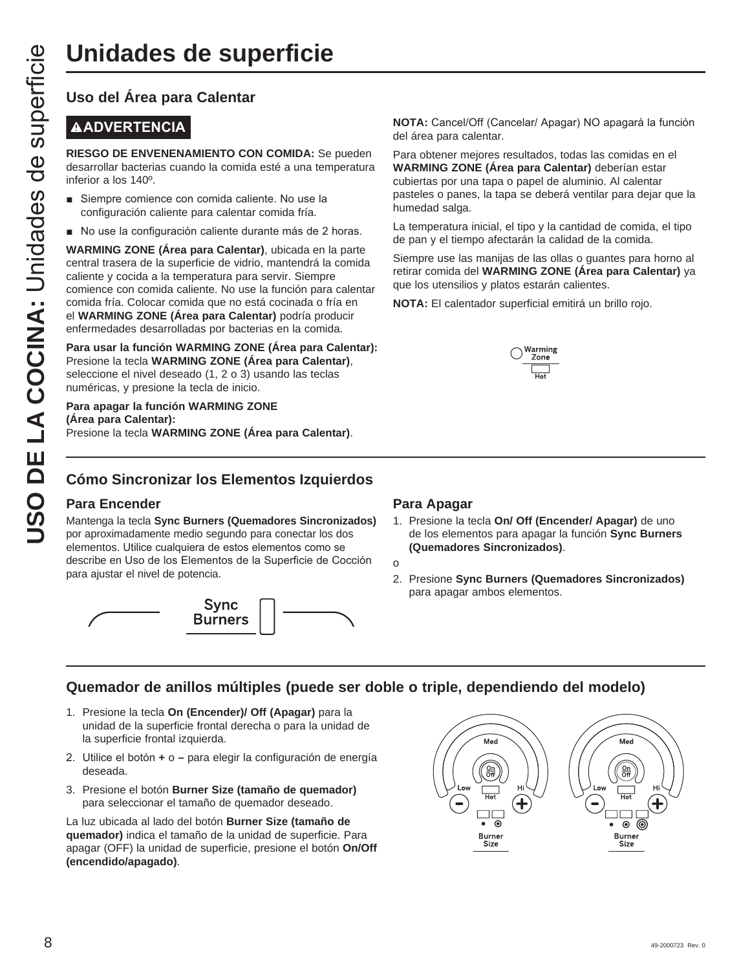## **Uso del Área para Calentar**

## **ADVERTENCIA**

**RIESGO DE ENVENENAMIENTO CON COMIDA:** Se pueden desarrollar bacterias cuando la comida esté a una temperatura inferior a los 140º.

- Siempre comience con comida caliente. No use la configuración caliente para calentar comida fría.
- No use la configuración caliente durante más de 2 horas.

**UNICROS DE SUPERFICIE**<br>
USO del Área para Calentar<br>
NADVERTENCIA<br>
NESGO DE ENVENENAMIENTO CON COMIDA: Se<br>
desarpollar bacterias cuando la comida esté a una tem<br>
inferior a los 140<sup>6</sup>.<br>
Inferior a los 140<sup>6</sup>.<br>
Inferior a l **WARMING ZONE (Área para Calentar)**, ubicada en la parte central trasera de la superficie de vidrio, mantendrá la comida caliente y cocida a la temperatura para servir. Siempre comience con comida caliente. No use la función para calentar comida fría. Colocar comida que no está cocinada o fría en el **WARMING ZONE (Área para Calentar)** podría producir enfermedades desarrolladas por bacterias en la comida.

**Para usar la función WARMING ZONE (Área para Calentar):** Presione la tecla **WARMING ZONE (Área para Calentar)**, seleccione el nivel deseado (1, 2 o 3) usando las teclas numéricas, y presione la tecla de inicio.

#### **Para apagar la función WARMING ZONE (Área para Calentar):** Presione la tecla **WARMING ZONE (Área para Calentar)**.

**NOTA:** Cancel/Off (Cancelar/ Apagar) NO apagará la función del área para calentar.

Para obtener mejores resultados, todas las comidas en el **WARMING ZONE (Área para Calentar)** deberían estar cubiertas por una tapa o papel de aluminio. Al calentar pasteles o panes, la tapa se deberá ventilar para dejar que la humedad salga.

La temperatura inicial, el tipo y la cantidad de comida, el tipo de pan y el tiempo afectarán la calidad de la comida.

Siempre use las manijas de las ollas o guantes para horno al retirar comida del **WARMING ZONE (Área para Calentar)** ya que los utensilios y platos estarán calientes.

**NOTA:** El calentador superficial emitirá un brillo rojo.



## **Cómo Sincronizar los Elementos Izquierdos**

### **Para Encender**

Mantenga la tecla **Sync Burners (Quemadores Sincronizados)** por aproximadamente medio segundo para conectar los dos elementos. Utilice cualquiera de estos elementos como se describe en Uso de los Elementos de la Superficie de Cocción para ajustar el nivel de potencia.



#### **Para Apagar**

1. Presione la tecla **On/ Off (Encender/ Apagar)** de uno de los elementos para apagar la función **Sync Burners (Quemadores Sincronizados)**.

o

2. Presione **Sync Burners (Quemadores Sincronizados)** para apagar ambos elementos.

## **Quemador de anillos múltiples (puede ser doble o triple, dependiendo del modelo)**

- 1. Presione la tecla **On (Encender)/ Off (Apagar)** para la unidad de la superficie frontal derecha o para la unidad de la superficie frontal izquierda.
- 8. Utilice el botón + o para elegir la configuración de energía deseada.
- 3. Presione el botón **Burner Size (tamaño de quemador)** para seleccionar el tamaño de quemador deseado.

La luz ubicada al lado del botón **Burner Size (tamaño de quemador)** indica el tamaño de la unidad de superficie. Para apagar (OFF) la unidad de superficie, presione el botón **On/Off (encendido/apagado)**.

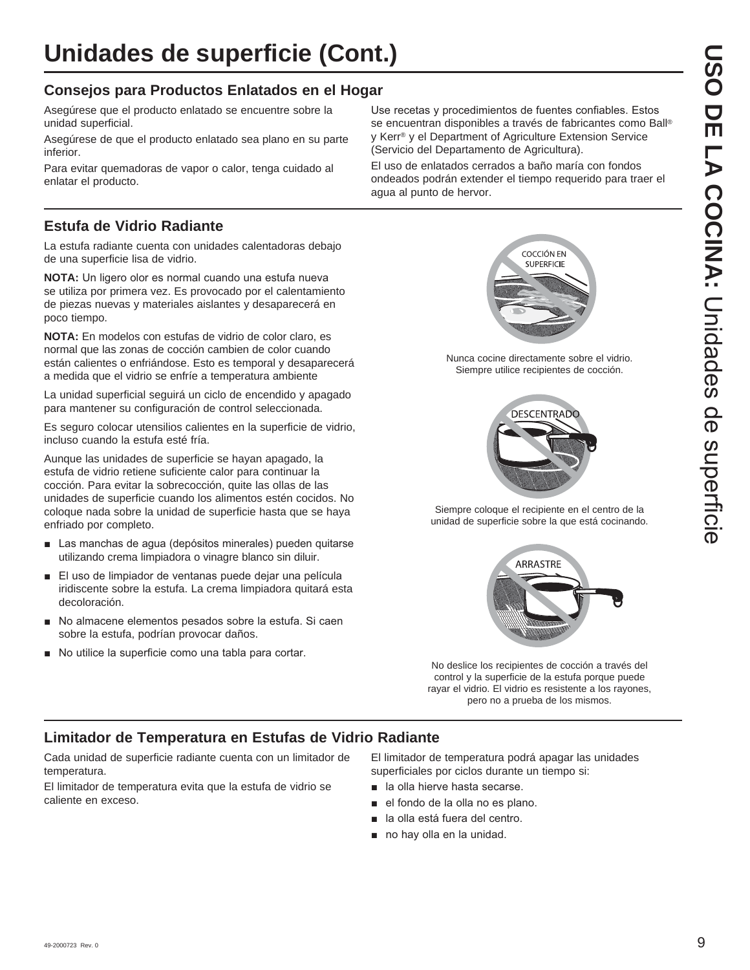## **Consejos para Productos Enlatados en el Hogar**

Asegúrese que el producto enlatado se encuentre sobre la unidad superficial.

Asegúrese de que el producto enlatado sea plano en su parte inferior.

Para evitar quemadoras de vapor o calor, tenga cuidado al enlatar el producto.

## **Estufa de Vidrio Radiante**

La estufa radiante cuenta con unidades calentadoras debajo de una superficie lisa de vidrio.

**NOTA:** Un ligero olor es normal cuando una estufa nueva se utiliza por primera vez. Es provocado por el calentamiento de piezas nuevas y materiales aislantes y desaparecerá en poco tiempo.

**NOTA:** En modelos con estufas de vidrio de color claro, es normal que las zonas de cocción cambien de color cuando están calientes o enfriándose. Esto es temporal y desaparecerá a medida que el vidrio se enfríe a temperatura ambiente

La unidad superficial seguirá un ciclo de encendido y apagado para mantener su configuración de control seleccionada.

Es seguro colocar utensilios calientes en la superficie de vidrio, incluso cuando la estufa esté fría.

Aunque las unidades de superficie se hayan apagado, la estufa de vidrio retiene suficiente calor para continuar la cocción. Para evitar la sobrecocción, quite las ollas de las unidades de superficie cuando los alimentos estén cocidos. No coloque nada sobre la unidad de superficie hasta que se haya enfriado por completo.

- Las manchas de agua (depósitos minerales) pueden quitarse utilizando crema limpiadora o vinagre blanco sin diluir.
- El uso de limpiador de ventanas puede deiar una película iridiscente sobre la estufa. La crema limpiadora quitará esta decoloración.
- No almacene elementos pesados sobre la estufa. Si caen sobre la estufa, podrían provocar daños.
- No utilice la superficie como una tabla para cortar.

Use recetas y procedimientos de fuentes confiables. Estos se encuentran disponibles a través de fabricantes como Ball® y Kerr® y el Department of Agriculture Extension Service (Servicio del Departamento de Agricultura).

El uso de enlatados cerrados a baño maría con fondos ondeados podrán extender el tiempo requerido para traer el agua al punto de hervor.



Nunca cocine directamente sobre el vidrio. Siempre utilice recipientes de cocción.



Siempre coloque el recipiente en el centro de la unidad de superficie sobre la que está cocinando.



No deslice los recipientes de cocción a través del control y la superficie de la estufa porque puede rayar el vidrio. El vidrio es resistente a los rayones, pero no a prueba de los mismos.

## **Limitador de Temperatura en Estufas de Vidrio Radiante**

Cada unidad de superficie radiante cuenta con un limitador de temperatura.

El limitador de temperatura evita que la estufa de vidrio se caliente en exceso.

El limitador de temperatura podrá apagar las unidades superficiales por ciclos durante un tiempo si:

- **a** la olla hierve hasta secarse.
- el fondo de la olla no es plano.
- la olla está fuera del centro.
- no hay olla en la unidad.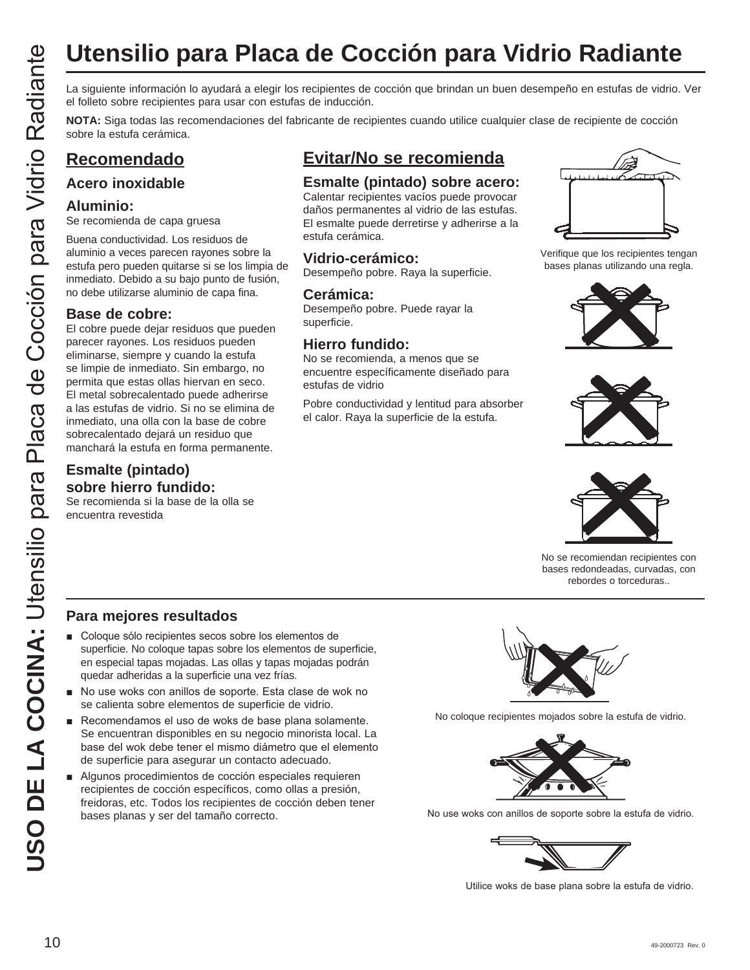La siguiente información lo ayudará a elegir los recipientes de cocción que brindan un buen desempeño en estufas de vidrio. Ver el folleto sobre recipientes para usar con estufas de inducción.

**NOTA:** Siga todas las recomendaciones del fabricante de recipientes cuando utilice cualquier clase de recipiente de cocción sobre la estufa cerámica.

## **Recomendado**

## **Acero inoxidable**

#### **Aluminio:**

Se recomienda de capa gruesa

Buena conductividad. Los residuos de aluminio a veces parecen rayones sobre la estufa pero pueden quitarse si se los limpia de inmediato. Debido a su bajo punto de fusión, no debe utilizarse aluminio de capa fina.

### **Base de cobre:**

**USO DE LA COCIÓN PARA:**<br>
TENENTIES EN EN CONSUMERACIÓN EN ENTRE DE LA COCIÓN PARA EN EL COLONNAIS DE LA COLONNAIS DE LA COLONNAIS DE LA COLONNAIS DE LA COLONNAIS DE LA COLONNAIS DE LA COLONNAIS DE LA COLONNAIS DE LA COLON El cobre puede dejar residuos que pueden parecer rayones. Los residuos pueden eliminarse, siempre y cuando la estufa se limpie de inmediato. Sin embargo, no permita que estas ollas hiervan en seco. El metal sobrecalentado puede adherirse a las estufas de vidrio. Si no se elimina de inmediato, una olla con la base de cobre sobrecalentado dejará un residuo que manchará la estufa en forma permanente.

## **Esmalte (pintado) sobre hierro fundido:**

Se recomienda si la base de la olla se encuentra revestida

## **Evitar/No se recomienda**

## **Esmalte (pintado) sobre acero:**

Calentar recipientes vacíos puede provocar daños permanentes al vidrio de las estufas. El esmalte puede derretirse y adherirse a la estufa cerámica.

## **Vidrio-cerámico:**

Desempeño pobre. Raya la superficie.

#### **Cerámica:**

Desempeño pobre. Puede rayar la superficie.

## **Hierro fundido:**

No se recomienda, a menos que se encuentre específicamente diseñado para estufas de vidrio

Pobre conductividad y lentitud para absorber el calor. Raya la superficie de la estufa.



Verifique que los recipientes tengan bases planas utilizando una regla.







No se recomiendan recipientes con bases redondeadas, curvadas, con rebordes o torceduras..

## **Para mejores resultados**

- Coloque sólo recipientes secos sobre los elementos de superficie. No coloque tapas sobre los elementos de superficie, en especial tapas mojadas. Las ollas y tapas mojadas podrán quedar adheridas a la superficie una vez frías.
- No use woks con anillos de soporte. Esta clase de wok no se calienta sobre elementos de superficie de vidrio.
- Recomendamos el uso de woks de base plana solamente. Se encuentran disponibles en su negocio minorista local. La base del wok debe tener el mismo diámetro que el elemento de superficie para asegurar un contacto adecuado.
- Algunos procedimientos de cocción especiales requieren recipientes de cocción específicos, como ollas a presión, freidoras, etc. Todos los recipientes de cocción deben tener bases planas y ser del tamaño correcto.



No coloque recipientes mojados sobre la estufa de vidrio.



No use woks con anillos de soporte sobre la estufa de vidrio.



Utilice woks de base plana sobre la estufa de vidrio.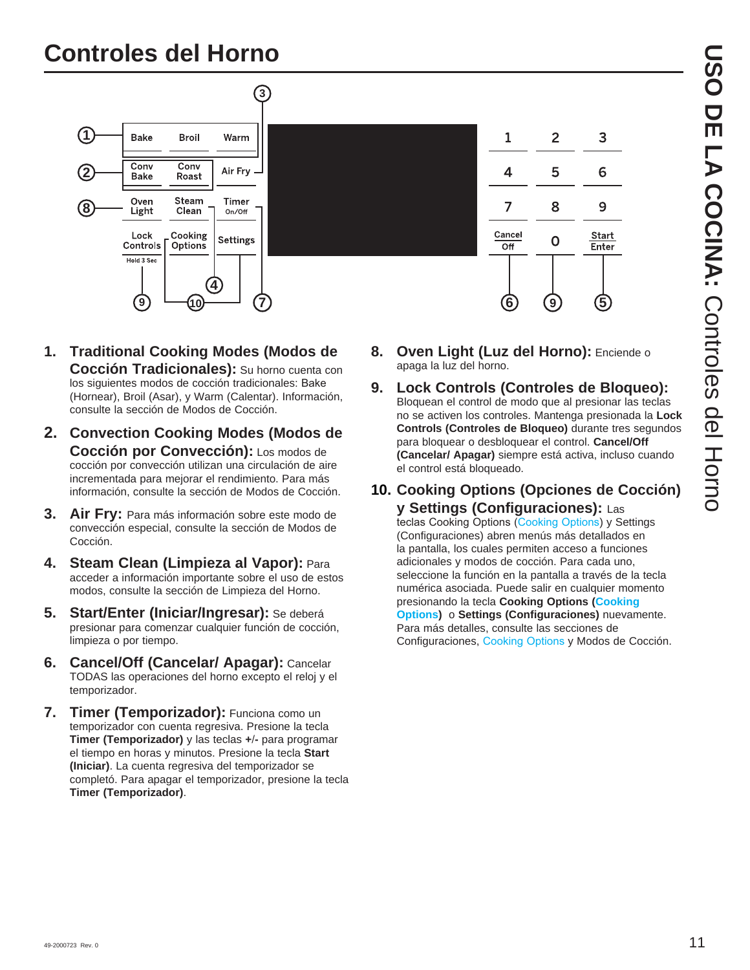## **Controles del Horno**



- **1. Traditional Cooking Modes (Modos de Cocción Tradicionales):** Su horno cuenta con los siguientes modos de cocción tradicionales: Bake (Hornear), Broil (Asar), y Warm (Calentar). Información, consulte la sección de Modos de Cocción.
- **2. Convection Cooking Modes (Modos de Cocción por Convección):** Los modos de cocción por convección utilizan una circulación de aire incrementada para mejorar el rendimiento. Para más información, consulte la sección de Modos de Cocción.
- **3. Air Fry:** Para más información sobre este modo de convección especial, consulte la sección de Modos de Cocción.
- **4. Steam Clean (Limpieza al Vapor):** Para acceder a información importante sobre el uso de estos modos, consulte la sección de Limpieza del Horno.
- **5. Start/Enter (Iniciar/Ingresar):** Se deberá presionar para comenzar cualquier función de cocción, limpieza o por tiempo.
- **6. Cancel/Off (Cancelar/ Apagar):** Cancelar TODAS las operaciones del horno excepto el reloj y el temporizador.
- **7. Timer (Temporizador):** Funciona como un temporizador con cuenta regresiva. Presione la tecla **Timer (Temporizador)** y las teclas **+-** para programar el tiempo en horas y minutos. Presione la tecla **Start (Iniciar)**. La cuenta regresiva del temporizador se completó. Para apagar el temporizador, presione la tecla **Timer (Temporizador)**.
- **8. Oven Light (Luz del Horno):** Enciende o apaga la luz del horno.
- **9. Lock Controls (Controles de Bloqueo):** Bloquean el control de modo que al presionar las teclas no se activen los controles. Mantenga presionada la **Lock Controls (Controles de Bloqueo)** durante tres segundos para bloquear o desbloquear el control. **Cancel/Off (Cancelar/ Apagar)** siempre está activa, incluso cuando el control está bloqueado.
- **10. Cooking Options (Opciones de Cocción) y Settings (Configuraciones):** Las

teclas Cooking Options (Cooking Options) y Settings (Configuraciones) abren menús más detallados en la pantalla, los cuales permiten acceso a funciones adicionales y modos de cocción. Para cada uno, seleccione la función en la pantalla a través de la tecla numérica asociada. Puede salir en cualquier momento presionando la tecla **Cooking Options (Cooking Options)** o **Settings (Configuraciones)** nuevamente. Para más detalles, consulte las secciones de Configuraciones, Cooking Options y Modos de Cocción.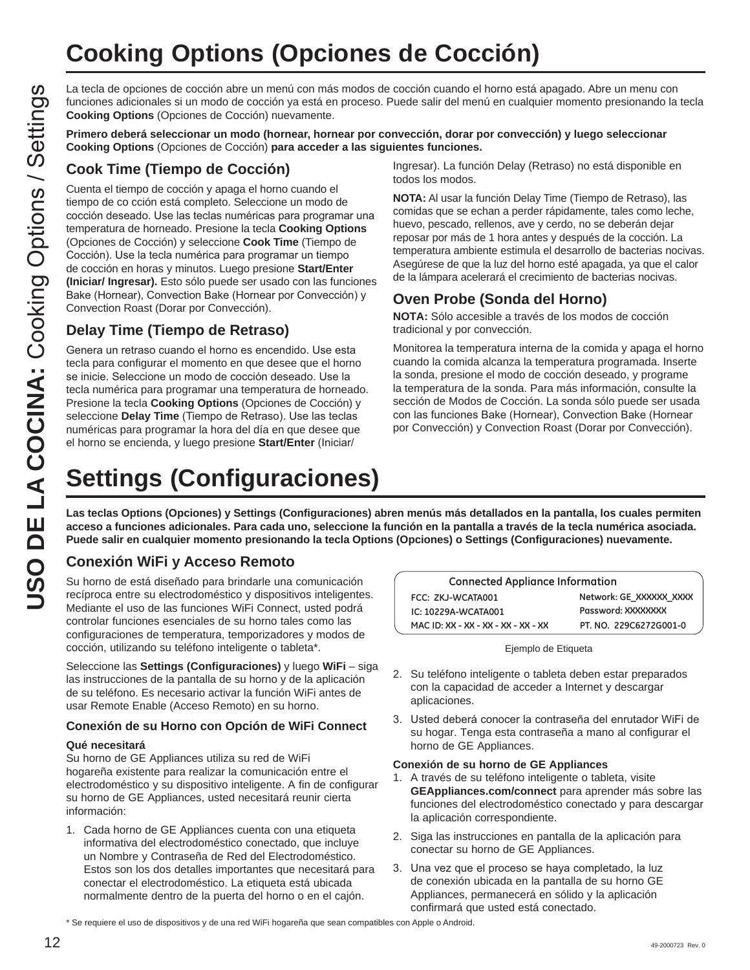# **Cooking Options (Opciones de Cocción)**

La tecla de opciones de cocción abre un menú con más modos de cocción cuando el horno está apagado. Abre un menu con funciones adicionales si un modo de cocción ya está en proceso. Puede salir del menú en cualquier momento presionando la tecla **Cooking Options** (Opciones de Cocción) nuevamente.

**Primero deberá seleccionar un modo (hornear, hornear por convección, dorar por convección) y luego seleccionar Cooking Options** (Opciones de Cocción) **para acceder a las siguientes funciones.**

## **Cook Time (Tiempo de Cocción)**

Cuenta el tiempo de cocción y apaga el horno cuando el tiempo de co cción está completo. Seleccione un modo de cocción deseado. Use las teclas numéricas para programar una temperatura de horneado. Presione la tecla **Cooking Options**  (Opciones de Cocción) y seleccione **Cook Time** (Tiempo de Cocción). Use la tecla numérica para programar un tiempo de cocción en horas y minutos. Luego presione **Start/Enter (Iniciar/ Ingresar).** Esto sólo puede ser usado con las funciones Bake (Hornear), Convection Bake (Hornear por Convección) y Convection Roast (Dorar por Convección).

## **Delay Time (Tiempo de Retraso)**

Genera un retraso cuando el horno es encendido. Use esta tecla para configurar el momento en que desee que el horno se inicie. Seleccione un modo de cocción deseado. Use la tecla numérica para programar una temperatura de horneado. Presione la tecla **Cooking Options** (Opciones de Cocción) y seleccione **Delay Time** (Tiempo de Retraso). Use las teclas numéricas para programar la hora del día en que desee que el horno se encienda, y luego presione Start/Enter (Iniciar/

Ingresar). La función Delay (Retraso) no está disponible en todos los modos.

**NOTA:** Al usar la función Delay Time (Tiempo de Retraso), las comidas que se echan a perder rápidamente, tales como leche, huevo, pescado, rellenos, ave y cerdo, no se deberán dejar reposar por más de 1 hora antes y después de la cocción. La temperatura ambiente estimula el desarrollo de bacterias nocivas. Asegúrese de que la luz del horno esté apagada, ya que el calor de la lámpara acelerará el crecimiento de bacterias nocivas.

## **Oven Probe (Sonda del Horno)**

**NOTA:** Sólo accesible a través de los modos de cocción tradicional y por convección.

Monitorea la temperatura interna de la comida y apaga el horno cuando la comida alcanza la temperatura programada. Inserte la sonda, presione el modo de cocción deseado, y programe la temperatura de la sonda. Para más información, consulte la sección de Modos de Cocción. La sonda sólo puede ser usada con las funciones Bake (Hornear), Convection Bake (Hornear por Convección) y Convection Roast (Dorar por Convección).

# **Settings (Configuraciones)**

**Las teclas Options (Opciones) y Settings (Configuraciones) abren menús más detallados en la pantalla, los cuales permiten acceso a funciones adicionales. Para cada uno, seleccione la función en la pantalla a través de la tecla numérica asociada. Puede salir en cualquier momento presionando la tecla Options (Opciones) o Settings (Configuraciones) nuevamente.**

## **Conexión WiFi y Acceso Remoto**

Su horno de está diseñado para brindarle una comunicación recíproca entre su electrodoméstico y dispositivos inteligentes. Mediante el uso de las funciones WiFi Connect, usted podrá controlar funciones esenciales de su horno tales como las configuraciones de temperatura, temporizadores y modos de cocción, utilizando su teléfono inteligente o tableta\*.

Seleccione las **Settings (Configuraciones)** y luego **WiFi** – siga las instrucciones de la pantalla de su horno y de la aplicación de su teléfono. Es necesario activar la función WiFi antes de usar Remote Enable (Acceso Remoto) en su horno.

#### **Conexión de su Horno con Opción de WiFi Connect**

#### **Qué necesitará**

Su horno de GE Appliances utiliza su red de WiFi hogareña existente para realizar la comunicación entre el electrodoméstico y su dispositivo inteligente. A fin de configurar su horno de GE Appliances, usted necesitará reunir cierta información:

1. Cada horno de GE Appliances cuenta con una etiqueta informativa del electrodoméstico conectado, que incluye un Nombre y Contraseña de Red del Electrodoméstico. Estos son los dos detalles importantes que necesitará para conectar el electrodoméstico. La etiqueta está ubicada normalmente dentro de la puerta del horno o en el cajón.

| <b>Connected Appliance Information</b> |                         |  |
|----------------------------------------|-------------------------|--|
| FCC: ZKJ-WCATA001                      | Network: GE XXXXXX XXXX |  |
| IC: 10229A-WCATA001                    | Password: XXXXXXXX      |  |
| MAC ID: XX - XX - XX - XX - XX - XX    | PT. NO. 229C6272G001-0  |  |

Ejemplo de Etiqueta

- 2. Su teléfono inteligente o tableta deben estar preparados con la capacidad de acceder a Internet y descargar aplicaciones.
- 3. Usted deberá conocer la contraseña del enrutador WiFi de su hogar. Tenga esta contraseña a mano al configurar el horno de GE Appliances.

#### **Conexión de su horno de GE Appliances**

- 1. A través de su teléfono inteligente o tableta, visite **GEAppliances.com/connect** para aprender más sobre las funciones del electrodoméstico conectado y para descargar la aplicación correspondiente.
- 2. Siga las instrucciones en pantalla de la aplicación para conectar su horno de GE Appliances.
- 3. Una vez que el proceso se haya completado, la luz de conexión ubicada en la pantalla de su horno GE Appliances, permanecerá en sólido y la aplicación confirmará que usted está conectado.

<sup>\*</sup> Se requiere el uso de dispositivos y de una red WiFi hogareña que sean compatibles con Apple o Android.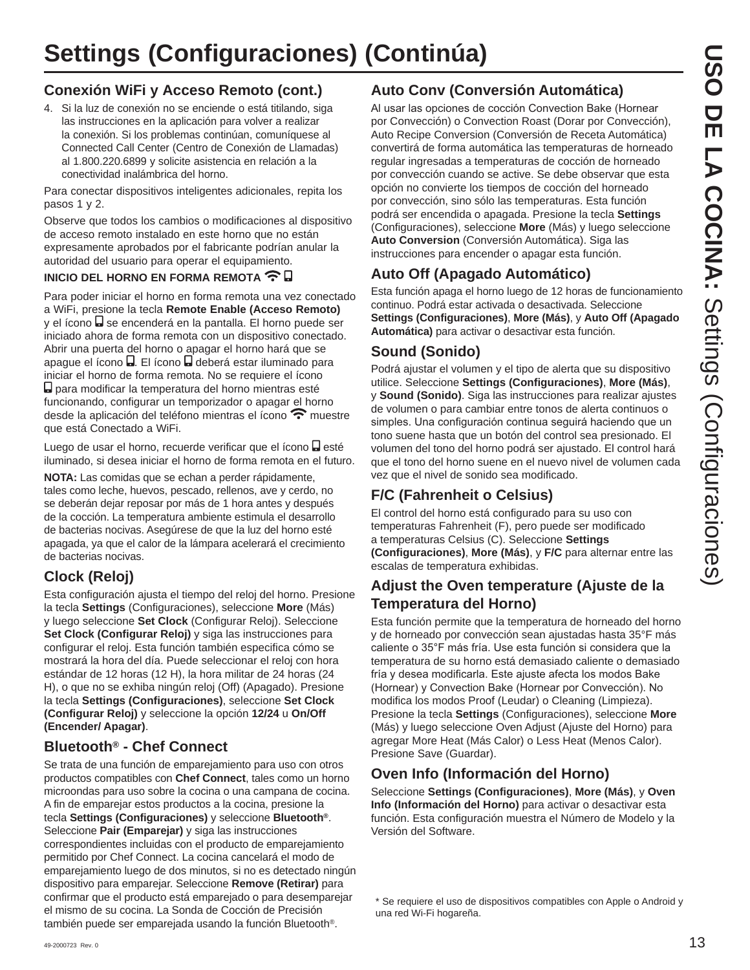## **Conexión WiFi y Acceso Remoto (cont.)**

4. Si la luz de conexión no se enciende o está titilando, siga las instrucciones en la aplicación para volver a realizar la conexión. Si los problemas continúan, comuníquese al Connected Call Center (Centro de Conexión de Llamadas) al 1.800.220.6899 y solicite asistencia en relación a la conectividad inalámbrica del horno.

Para conectar dispositivos inteligentes adicionales, repita los pasos 1 y 2.

Observe que todos los cambios o modificaciones al dispositivo de acceso remoto instalado en este horno que no están expresamente aprobados por el fabricante podrían anular la autoridad del usuario para operar el equipamiento.

### **INICIO DEL HORNO EN FORMA REMOTA <sup></sup> 日**

Para poder iniciar el horno en forma remota una vez conectado a WiFi, presione la tecla **Remote Enable (Acceso Remoto)** y el ícono a se encenderá en la pantalla. El horno puede ser iniciado ahora de forma remota con un dispositivo conectado. Abrir una puerta del horno o apagar el horno hará que se apague el ícono **.** El ícono **.** deberá estar iluminado para iniciar el horno de forma remota. No se requiere el ícono para modificar la temperatura del horno mientras esté funcionando, configurar un temporizador o apagar el horno desde la aplicación del teléfono mientras el ícono  $\widehat{\mathcal{F}}$  muestre que está Conectado a WiFi.

Luego de usar el horno, recuerde verificar que el ícono  $\blacksquare$  esté iluminado, si desea iniciar el horno de forma remota en el futuro.

**NOTA:** Las comidas que se echan a perder rápidamente, tales como leche, huevos, pescado, rellenos, ave y cerdo, no se deberán dejar reposar por más de 1 hora antes y después de la cocción. La temperatura ambiente estimula el desarrollo de bacterias nocivas. Asegúrese de que la luz del horno esté apagada, ya que el calor de la lámpara acelerará el crecimiento de bacterias nocivas.

## **Clock (Reloj)**

Esta configuración ajusta el tiempo del reloj del horno. Presione la tecla **Settings** (Configuraciones), seleccione **More** (Más) y luego seleccione **Set Clock** (Configurar Reloj). Seleccione **Set Clock (Configurar Reloj)** y siga las instrucciones para configurar el reloj. Esta función también especifica cómo se mostrará la hora del día. Puede seleccionar el reloj con hora estándar de 12 horas (12 H), la hora militar de 24 horas (24 H), o que no se exhiba ningún reloj (Off) (Apagado). Presione la tecla **Settings (Configuraciones)**, seleccione **Set Clock (Configurar Reloj)** y seleccione la opción **12/24** u **On/Off (Encender/ Apagar)**.

## **Bluetooth® - Chef Connect**

Se trata de una función de emparejamiento para uso con otros productos compatibles con **Chef Connect**, tales como un horno microondas para uso sobre la cocina o una campana de cocina. A fin de emparejar estos productos a la cocina, presione la tecla **Settings (Configuraciones)** y seleccione **Bluetooth®**. Seleccione **Pair (Emparejar)** y siga las instrucciones correspondientes incluidas con el producto de emparejamiento permitido por Chef Connect. La cocina cancelará el modo de emparejamiento luego de dos minutos, si no es detectado ningún dispositivo para emparejar. Seleccione **Remove (Retirar)** para confirmar que el producto está emparejado o para desemparejar el mismo de su cocina. La Sonda de Cocción de Precisión también puede ser emparejada usando la función Bluetooth®.

## **Auto Conv (Conversión Automática)**

Al usar las opciones de cocción Convection Bake (Hornear por Convección) o Convection Roast (Dorar por Convección), Auto Recipe Conversion (Conversión de Receta Automática) convertirá de forma automática las temperaturas de horneado regular ingresadas a temperaturas de cocción de horneado por convección cuando se active. Se debe observar que esta opción no convierte los tiempos de cocción del horneado por convección, sino sólo las temperaturas. Esta función podrá ser encendida o apagada. Presione la tecla **Settings** (Configuraciones), seleccione **More** (Más) y luego seleccione **Auto Conversion** (Conversión Automática). Siga las instrucciones para encender o apagar esta función.

## **Auto Off (Apagado Automático)**

Esta función apaga el horno luego de 12 horas de funcionamiento continuo. Podrá estar activada o desactivada. Seleccione **Settings (Configuraciones)**, **More (Más)**, y **Auto Off (Apagado Automática)** para activar o desactivar esta función.

## **Sound (Sonido)**

Podrá ajustar el volumen y el tipo de alerta que su dispositivo utilice. Seleccione **Settings (Configuraciones)**, **More (Más)**, y **Sound (Sonido)**. Siga las instrucciones para realizar ajustes de volumen o para cambiar entre tonos de alerta continuos o simples. Una configuración continua seguirá haciendo que un tono suene hasta que un botón del control sea presionado. El volumen del tono del horno podrá ser ajustado. El control hará que el tono del horno suene en el nuevo nivel de volumen cada vez que el nivel de sonido sea modificado.

## **F/C (Fahrenheit o Celsius)**

El control del horno está configurado para su uso con temperaturas Fahrenheit (F), pero puede ser modificado a temperaturas Celsius (C). Seleccione **Settings (Configuraciones)**, **More (Más)**, y **F/C** para alternar entre las escalas de temperatura exhibidas.

## **Adjust the Oven temperature (Ajuste de la Temperatura del Horno)**

Esta función permite que la temperatura de horneado del horno y de horneado por convección sean ajustadas hasta 35°F más caliente o 35°F más fría. Use esta función si considera que la temperatura de su horno está demasiado caliente o demasiado fría y desea modificarla. Este ajuste afecta los modos Bake (Hornear) y Convection Bake (Hornear por Convección). No modifica los modos Proof (Leudar) o Cleaning (Limpieza). Presione la tecla **Settings** (Configuraciones), seleccione **More** (Más) y luego seleccione Oven Adjust (Ajuste del Horno) para agregar More Heat (Más Calor) o Less Heat (Menos Calor). Presione Save (Guardar).

## **Oven Info (Información del Horno)**

Seleccione **Settings (Configuraciones)**, **More (Más)**, y **Oven Info (Información del Horno)** para activar o desactivar esta función. Esta configuración muestra el Número de Modelo y la Versión del Software.

\* Se requiere el uso de dispositivos compatibles con Apple o Android y una red Wi-Fi hogareña.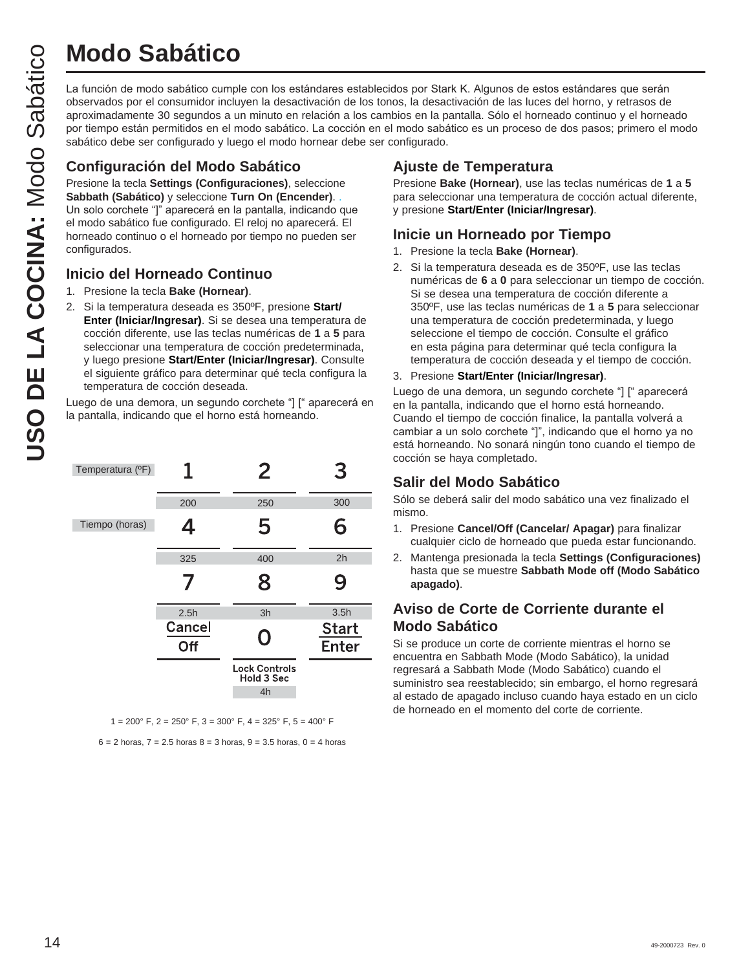# **Modo Sabático**

La función de modo sabático cumple con los estándares establecidos por Stark K. Algunos de estos estándares que serán observados por el consumidor incluyen la desactivación de los tonos, la desactivación de las luces del horno, y retrasos de aproximadamente 30 segundos a un minuto en relación a los cambios en la pantalla. Sólo el horneado continuo y el horneado por tiempo están permitidos en el modo sabático. La cocción en el modo sabático es un proceso de dos pasos; primero el modo sabático debe ser configurado y luego el modo hornear debe ser configurado.

## **Configuración del Modo Sabático**

Presione la tecla **Settings (Configuraciones)**, seleccione **Sabbath (Sabático)** y seleccione **Turn On (Encender)**. . Un solo corchete "]" aparecerá en la pantalla, indicando que el modo sabático fue configurado. El reloj no aparecerá. El horneado continuo o el horneado por tiempo no pueden ser configurados.

## **Inicio del Horneado Continuo**

- 1. Presione la tecla **Bake (Hornear)**.
- 2. Si la temperatura deseada es 350ºF, presione **Start/ Enter (Iniciar/Ingresar)**. Si se desea una temperatura de cocción diferente, use las teclas numéricas de **1** a **5** para seleccionar una temperatura de cocción predeterminada, y luego presione **Start/Enter (Iniciar/Ingresar)**. Consulte el siguiente gráfico para determinar qué tecla configura la temperatura de cocción deseada.

Luego de una demora, un segundo corchete "] [" aparecerá en la pantalla, indicando que el horno está horneando.

| Temperatura (°F) | 1             | 2                                        | З                            |
|------------------|---------------|------------------------------------------|------------------------------|
|                  | 200           | 250                                      | 300                          |
| Tiempo (horas)   | 4             | 5                                        | 6                            |
|                  | 325           | 400                                      | 2h                           |
|                  |               | 8                                        | 9                            |
|                  | 2.5h          | 3h                                       | 3.5h                         |
|                  | Cancel<br>Off | O                                        | <b>Start</b><br><b>Enter</b> |
|                  |               | <b>Lock Controls</b><br>Hold 3 Sec<br>4h |                              |

 $1 = 200^{\circ}$  F,  $2 = 250^{\circ}$  F,  $3 = 300^{\circ}$  F,  $4 = 325^{\circ}$  F,  $5 = 400^{\circ}$  F

 $6 = 2$  horas,  $7 = 2.5$  horas  $8 = 3$  horas,  $9 = 3.5$  horas,  $0 = 4$  horas

## **Ajuste de Temperatura**

Presione **Bake (Hornear)**, use las teclas numéricas de **1** a **5** para seleccionar una temperatura de cocción actual diferente, y presione **Start/Enter (Iniciar/Ingresar)**.

## **Inicie un Horneado por Tiempo**

- 1. Presione la tecla **Bake (Hornear)**.
- 2. Si la temperatura deseada es de 350ºF, use las teclas numéricas de **6** a **0** para seleccionar un tiempo de cocción. Si se desea una temperatura de cocción diferente a 350ºF, use las teclas numéricas de **1** a **5** para seleccionar una temperatura de cocción predeterminada, y luego seleccione el tiempo de cocción. Consulte el gráfico en esta página para determinar qué tecla configura la temperatura de cocción deseada y el tiempo de cocción.
- 3. Presione **Start/Enter (Iniciar/Ingresar)**.

Luego de una demora, un segundo corchete "] [" aparecerá en la pantalla, indicando que el horno está horneando. Cuando el tiempo de cocción finalice, la pantalla volverá a cambiar a un solo corchete "]", indicando que el horno ya no está horneando. No sonará ningún tono cuando el tiempo de cocción se haya completado.

## **Salir del Modo Sabático**

Sólo se deberá salir del modo sabático una vez finalizado el mismo.

- 1. Presione **Cancel/Off (Cancelar/ Apagar)** para finalizar cualquier ciclo de horneado que pueda estar funcionando.
- 2. Mantenga presionada la tecla **Settings (Configuraciones)** hasta que se muestre **Sabbath Mode off (Modo Sabático apagado)**.

## **Aviso de Corte de Corriente durante el Modo Sabático**

Si se produce un corte de corriente mientras el horno se encuentra en Sabbath Mode (Modo Sabático), la unidad regresará a Sabbath Mode (Modo Sabático) cuando el suministro sea reestablecido; sin embargo, el horno regresará al estado de apagado incluso cuando haya estado en un ciclo de horneado en el momento del corte de corriente.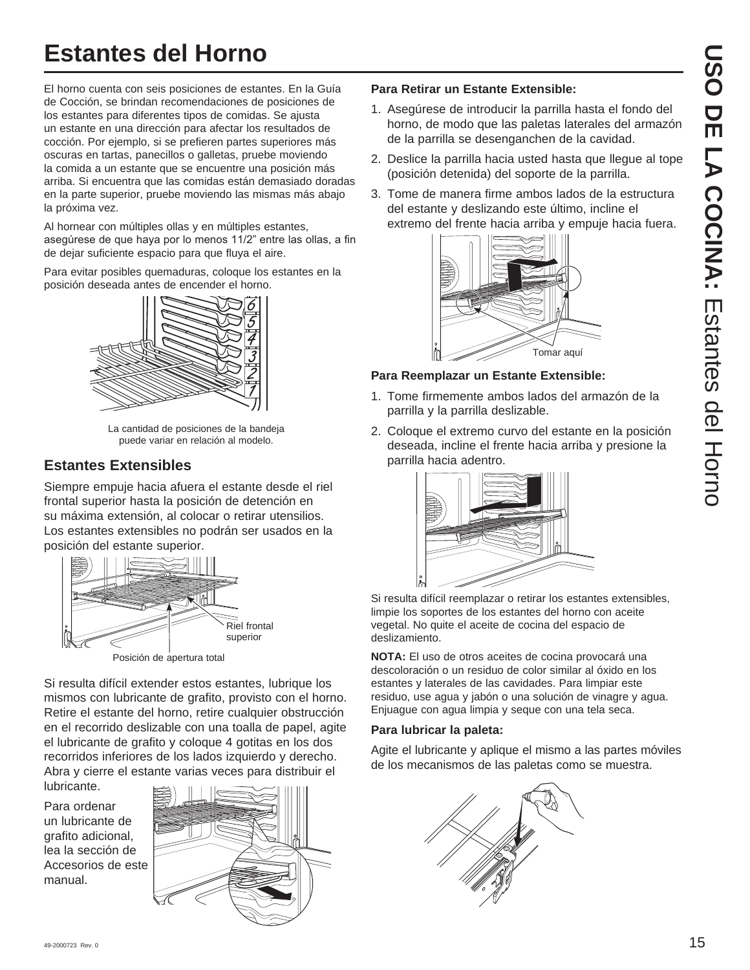# **Estantes del Horno**

El horno cuenta con seis posiciones de estantes. En la Guía de Cocción, se brindan recomendaciones de posiciones de los estantes para diferentes tipos de comidas. Se ajusta un estante en una dirección para afectar los resultados de cocción. Por ejemplo, si se prefieren partes superiores más oscuras en tartas, panecillos o galletas, pruebe moviendo la comida a un estante que se encuentre una posición más arriba. Si encuentra que las comidas están demasiado doradas en la parte superior, pruebe moviendo las mismas más abajo la próxima vez.

Al hornear con múltiples ollas y en múltiples estantes, asequrese de que haya por lo menos 11/2" entre las ollas, a fin de dejar suficiente espacio para que fluya el aire.

Para evitar posibles quemaduras, coloque los estantes en la posición deseada antes de encender el horno.



La cantidad de posiciones de la bandeja puede variar en relación al modelo.

## **Estantes Extensibles**

Siempre empuje hacia afuera el estante desde el riel frontal superior hasta la posición de detención en su máxima extensión, al colocar o retirar utensilios. Los estantes extensibles no podrán ser usados en la posición del estante superior.



Si resulta difícil extender estos estantes, lubrique los mismos con lubricante de grafito, provisto con el horno. Retire el estante del horno, retire cualquier obstrucción en el recorrido deslizable con una toalla de papel, agite el lubricante de grafito y coloque 4 gotitas en los dos recorridos inferiores de los lados izquierdo y derecho. Abra y cierre el estante varias veces para distribuir el

Para ordenar un lubricante de grafito adicional, lea la sección de Accesorios de este manual.

lubricante.



### **Para Retirar un Estante Extensible:**

- 1. Asegúrese de introducir la parrilla hasta el fondo del horno, de modo que las paletas laterales del armazón de la parrilla se desenganchen de la cavidad.
- 2. Deslice la parrilla hacia usted hasta que llegue al tope (posición detenida) del soporte de la parrilla.
- 3. Tome de manera firme ambos lados de la estructura del estante y deslizando este último, incline el extremo del frente hacia arriba y empuje hacia fuera.



### **Para Reemplazar un Estante Extensible:**

- 1. Tome firmemente ambos lados del armazón de la parrilla y la parrilla deslizable.
- 2. Coloque el extremo curvo del estante en la posición deseada, incline el frente hacia arriba y presione la parrilla hacia adentro.



Si resulta difícil reemplazar o retirar los estantes extensibles, limpie los soportes de los estantes del horno con aceite vegetal. No quite el aceite de cocina del espacio de deslizamiento.

**NOTA:** El uso de otros aceites de cocina provocará una descoloración o un residuo de color similar al óxido en los estantes y laterales de las cavidades. Para limpiar este residuo, use agua y jabón o una solución de vinagre y agua. Enjuague con agua limpia y seque con una tela seca.

### **Para lubricar la paleta:**

Agite el lubricante y aplique el mismo a las partes móviles de los mecanismos de las paletas como se muestra.

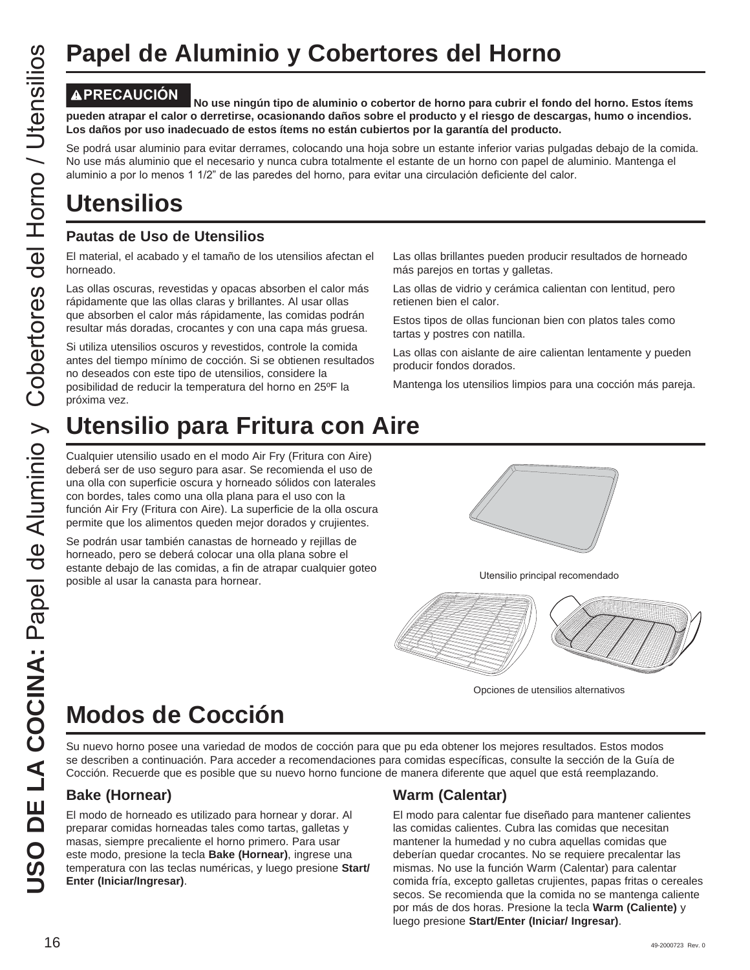## **Papel de Aluminio y Cobertores del Horno**

**PRECAUCIÓN No use ningún tipo de aluminio o cobertor de horno para cubrir el fondo del horno. Estos ítems pueden atrapar el calor o derretirse, ocasionando daños sobre el producto y el riesgo de descargas, humo o incendios. Los daños por uso inadecuado de estos ítems no están cubiertos por la garantía del producto.**

Se podrá usar aluminio para evitar derrames, colocando una hoja sobre un estante inferior varias pulgadas debajo de la comida. No use más aluminio que el necesario y nunca cubra totalmente el estante de un horno con papel de aluminio. Mantenga el aluminio a por lo menos 1 1/2" de las paredes del horno, para evitar una circulación deficiente del calor.

## **Utensilios**

## **Pautas de Uso de Utensilios**

El material, el acabado y el tamaño de los utensilios afectan el horneado.

Las ollas oscuras, revestidas y opacas absorben el calor más rápidamente que las ollas claras y brillantes. Al usar ollas que absorben el calor más rápidamente, las comidas podrán resultar más doradas, crocantes y con una capa más gruesa.

Si utiliza utensilios oscuros y revestidos, controle la comida antes del tiempo mínimo de cocción. Si se obtienen resultados no deseados con este tipo de utensilios, considere la posibilidad de reducir la temperatura del horno en 25ºF la próxima vez.

Cualquier utensilio usado en el modo Air Fry (Fritura con Aire) deberá ser de uso seguro para asar. Se recomienda el uso de una olla con superficie oscura y horneado sólidos con laterales con bordes, tales como una olla plana para el uso con la función Air Fry (Fritura con Aire). La superficie de la olla oscura permite que los alimentos queden mejor dorados y crujientes.

Se podrán usar también canastas de horneado y rejillas de horneado, pero se deberá colocar una olla plana sobre el estante debajo de las comidas, a fin de atrapar cualquier goteo posible al usar la canasta para hornear.<br>
posible al usar la canasta para hornear.

más parejos en tortas y galletas. Las ollas de vidrio y cerámica calientan con lentitud, pero retienen bien el calor.

Las ollas brillantes pueden producir resultados de horneado

Estos tipos de ollas funcionan bien con platos tales como tartas y postres con natilla.

Las ollas con aislante de aire calientan lentamente y pueden producir fondos dorados.

Mantenga los utensilios limpios para una cocción más pareja.





Opciones de utensilios alternativos

## **Modos de Cocción**

Su nuevo horno posee una variedad de modos de cocción para que pu eda obtener los mejores resultados. Estos modos se describen a continuación. Para acceder a recomendaciones para comidas específicas, consulte la sección de la Guía de Cocción. Recuerde que es posible que su nuevo horno funcione de manera diferente que aquel que está reemplazando.

## **Bake (Hornear)**

El modo de horneado es utilizado para hornear y dorar. Al preparar comidas horneadas tales como tartas, galletas y masas, siempre precaliente el horno primero. Para usar este modo, presione la tecla **Bake (Hornear)**, ingrese una temperatura con las teclas numéricas, y luego presione **Start/ Enter (Iniciar/Ingresar)**. **Papel de Aluminio y Cobertore**<br>
<u>US</u> **MPREGAUGION** No use ningún tipo de aluminio o cobertore<br>
US **Consider strayer** el actor o derretise, occasionando datas sobre el presider aluminio para Fritura Colocation anno todia s

## **Warm (Calentar)**

El modo para calentar fue diseñado para mantener calientes las comidas calientes. Cubra las comidas que necesitan mantener la humedad y no cubra aquellas comidas que deberían quedar crocantes. No se requiere precalentar las mismas. No use la función Warm (Calentar) para calentar comida fría, excepto galletas crujientes, papas fritas o cereales secos. Se recomienda que la comida no se mantenga caliente por más de dos horas. Presione la tecla **Warm (Caliente)** y luego presione **Start/Enter (Iniciar/ Ingresar)**.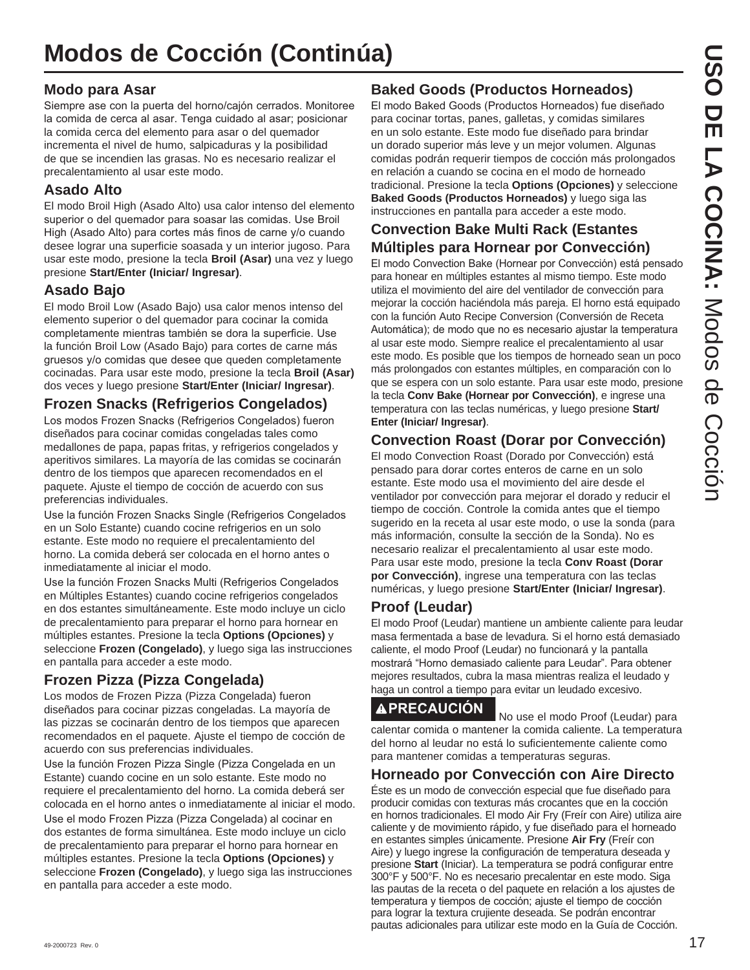## **Modos de Cocción (Continúa)**

## **Modo para Asar**

Siempre ase con la puerta del horno/cajón cerrados. Monitoree la comida de cerca al asar. Tenga cuidado al asar; posicionar la comida cerca del elemento para asar o del quemador incrementa el nivel de humo, salpicaduras y la posibilidad de que se incendien las grasas. No es necesario realizar el precalentamiento al usar este modo.

## **Asado Alto**

El modo Broil High (Asado Alto) usa calor intenso del elemento superior o del quemador para soasar las comidas. Use Broil High (Asado Alto) para cortes más finos de carne y/o cuando desee lograr una superficie soasada y un interior jugoso. Para usar este modo, presione la tecla **Broil (Asar)** una vez y luego presione **Start/Enter (Iniciar/ Ingresar)**.

## **Asado Bajo**

El modo Broil Low (Asado Bajo) usa calor menos intenso del elemento superior o del quemador para cocinar la comida completamente mientras también se dora la superficie. Use la función Broil Low (Asado Bajo) para cortes de carne más gruesos y/o comidas que desee que queden completamente cocinadas. Para usar este modo, presione la tecla **Broil (Asar)** dos veces y luego presione **Start/Enter (Iniciar/ Ingresar)**.

## **Frozen Snacks (Refrigerios Congelados)**

Los modos Frozen Snacks (Refrigerios Congelados) fueron diseñados para cocinar comidas congeladas tales como medallones de papa, papas fritas, y refrigerios congelados y aperitivos similares. La mayoría de las comidas se cocinarán dentro de los tiempos que aparecen recomendados en el paquete. Ajuste el tiempo de cocción de acuerdo con sus preferencias individuales.

Use la función Frozen Snacks Single (Refrigerios Congelados en un Solo Estante) cuando cocine refrigerios en un solo estante. Este modo no requiere el precalentamiento del horno. La comida deberá ser colocada en el horno antes o inmediatamente al iniciar el modo.

Use la función Frozen Snacks Multi (Refrigerios Congelados en Múltiples Estantes) cuando cocine refrigerios congelados en dos estantes simultáneamente. Este modo incluye un ciclo de precalentamiento para preparar el horno para hornear en múltiples estantes. Presione la tecla **Options (Opciones)** y seleccione **Frozen (Congelado)**, y luego siga las instrucciones en pantalla para acceder a este modo.

## **Frozen Pizza (Pizza Congelada)**

Los modos de Frozen Pizza (Pizza Congelada) fueron diseñados para cocinar pizzas congeladas. La mayoría de las pizzas se cocinarán dentro de los tiempos que aparecen recomendados en el paquete. Ajuste el tiempo de cocción de acuerdo con sus preferencias individuales.

Use la función Frozen Pizza Single (Pizza Congelada en un Estante) cuando cocine en un solo estante. Este modo no requiere el precalentamiento del horno. La comida deberá ser colocada en el horno antes o inmediatamente al iniciar el modo.

Use el modo Frozen Pizza (Pizza Congelada) al cocinar en dos estantes de forma simultánea. Este modo incluye un ciclo de precalentamiento para preparar el horno para hornear en múltiples estantes. Presione la tecla **Options (Opciones)** y seleccione **Frozen (Congelado)**, y luego siga las instrucciones en pantalla para acceder a este modo.

## **Baked Goods (Productos Horneados)**

El modo Baked Goods (Productos Horneados) fue diseñado para cocinar tortas, panes, galletas, y comidas similares en un solo estante. Este modo fue diseñado para brindar un dorado superior más leve y un mejor volumen. Algunas comidas podrán requerir tiempos de cocción más prolongados en relación a cuando se cocina en el modo de horneado tradicional. Presione la tecla **Options (Opciones)** y seleccione **Baked Goods (Productos Horneados)** y luego siga las instrucciones en pantalla para acceder a este modo.

## **Convection Bake Multi Rack (Estantes Múltiples para Hornear por Convección)**

El modo Convection Bake (Hornear por Convección) está pensado para honear en múltiples estantes al mismo tiempo. Este modo utiliza el movimiento del aire del ventilador de convección para mejorar la cocción haciéndola más pareja. El horno está equipado con la función Auto Recipe Conversion (Conversión de Receta Automática); de modo que no es necesario ajustar la temperatura al usar este modo. Siempre realice el precalentamiento al usar este modo. Es posible que los tiempos de horneado sean un poco más prolongados con estantes múltiples, en comparación con lo que se espera con un solo estante. Para usar este modo, presione la tecla **Conv Bake (Hornear por Convección)**, e ingrese una temperatura con las teclas numéricas, y luego presione **Start/ Enter (Iniciar/ Ingresar)**.

## **Convection Roast (Dorar por Convección)**

El modo Convection Roast (Dorado por Convección) está pensado para dorar cortes enteros de carne en un solo estante. Este modo usa el movimiento del aire desde el ventilador por convección para mejorar el dorado y reducir el tiempo de cocción. Controle la comida antes que el tiempo sugerido en la receta al usar este modo, o use la sonda (para más información, consulte la sección de la Sonda). No es necesario realizar el precalentamiento al usar este modo. Para usar este modo, presione la tecla **Conv Roast (Dorar por Convección)**, ingrese una temperatura con las teclas numéricas, y luego presione **Start/Enter (Iniciar/ Ingresar)**.

## **Proof (Leudar)**

El modo Proof (Leudar) mantiene un ambiente caliente para leudar masa fermentada a base de levadura. Si el horno está demasiado caliente, el modo Proof (Leudar) no funcionará y la pantalla mostrará "Horno demasiado caliente para Leudar". Para obtener mejores resultados, cubra la masa mientras realiza el leudado y haga un control a tiempo para evitar un leudado excesivo.

**APRECAUCIÓN** No use el modo Proof (Leudar) para calentar comida o mantener la comida caliente. La temperatura del horno al leudar no está lo suficientemente caliente como para mantener comidas a temperaturas seguras.

## **Horneado por Convección con Aire Directo**

Éste es un modo de convección especial que fue diseñado para producir comidas con texturas más crocantes que en la cocción en hornos tradicionales. El modo Air Fry (Freír con Aire) utiliza aire caliente y de movimiento rápido, y fue diseñado para el horneado en estantes simples únicamente. Presione **Air Fry** (Freír con Aire) y luego ingrese la configuración de temperatura deseada y presione **Start** (Iniciar). La temperatura se podrá configurar entre 300°F y 500°F. No es necesario precalentar en este modo. Siga las pautas de la receta o del paquete en relación a los ajustes de temperatura y tiempos de cocción; ajuste el tiempo de cocción para lograr la textura crujiente deseada. Se podrán encontrar pautas adicionales para utilizar este modo en la Guía de Cocción.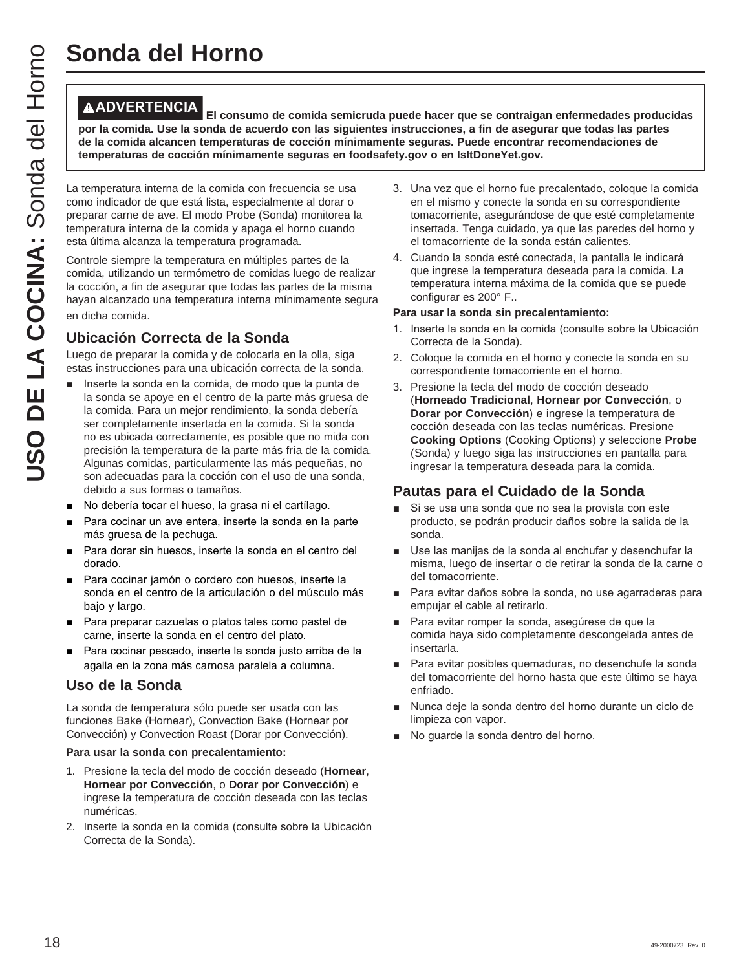**ADVERTENCIA El consumo de comida semicruda puede hacer que se contraigan enfermedades producidas por la comida. Use la sonda de acuerdo con las siguientes instrucciones, a fin de asegurar que todas las partes de la comida alcancen temperaturas de cocción mínimamente seguras. Puede encontrar recomendaciones de temperaturas de cocción mínimamente seguras en foodsafety.gov o en IsItDoneYet.gov.**

La temperatura interna de la comida con frecuencia se usa como indicador de que está lista, especialmente al dorar o preparar carne de ave. El modo Probe (Sonda) monitorea la temperatura interna de la comida y apaga el horno cuando esta última alcanza la temperatura programada.

Controle siempre la temperatura en múltiples partes de la comida, utilizando un termómetro de comidas luego de realizar la cocción, a fin de asegurar que todas las partes de la misma hayan alcanzado una temperatura interna mínimamente segura en dicha comida.

## **Ubicación Correcta de la Sonda**

Luego de preparar la comida y de colocarla en la olla, siga estas instrucciones para una ubicación correcta de la sonda.

- Inserte la sonda en la comida, de modo que la punta de la sonda se apoye en el centro de la parte más gruesa de la comida. Para un mejor rendimiento, la sonda debería ser completamente insertada en la comida. Si la sonda no es ubicada correctamente, es posible que no mida con precisión la temperatura de la parte más fría de la comida. Algunas comidas, particularmente las más pequeñas, no son adecuadas para la cocción con el uso de una sonda, debido a sus formas o tamaños.
- No debería tocar el hueso, la grasa ni el cartílago.
- Para cocinar un ave entera, inserte la sonda en la parte más gruesa de la pechuga.
- Para dorar sin huesos, inserte la sonda en el centro del dorado.
- Para cocinar jamón o cordero con huesos, inserte la sonda en el centro de la articulación o del músculo más bajo y largo.
- Para preparar cazuelas o platos tales como pastel de carne, inserte la sonda en el centro del plato.
- Para cocinar pescado, inserte la sonda justo arriba de la agalla en la zona más carnosa paralela a columna.

### **Uso de la Sonda**

La sonda de temperatura sólo puede ser usada con las funciones Bake (Hornear), Convection Bake (Hornear por Convección) y Convection Roast (Dorar por Convección).

#### **Para usar la sonda con precalentamiento:**

- 1. Presione la tecla del modo de cocción deseado (**Hornear**, **Hornear por Convección**, o **Dorar por Convección**) e ingrese la temperatura de cocción deseada con las teclas numéricas.
- 2. Inserte la sonda en la comida (consulte sobre la Ubicación Correcta de la Sonda).
- 3. Una vez que el horno fue precalentado, coloque la comida en el mismo y conecte la sonda en su correspondiente tomacorriente, asegurándose de que esté completamente insertada. Tenga cuidado, ya que las paredes del horno y el tomacorriente de la sonda están calientes.
- 4. Cuando la sonda esté conectada, la pantalla le indicará que ingrese la temperatura deseada para la comida. La temperatura interna máxima de la comida que se puede configurar es 200° F..

#### **Para usar la sonda sin precalentamiento:**

- 1. Inserte la sonda en la comida (consulte sobre la Ubicación Correcta de la Sonda).
- 2. Coloque la comida en el horno y conecte la sonda en su correspondiente tomacorriente en el horno.
- 3. Presione la tecla del modo de cocción deseado (**Horneado Tradicional**, **Hornear por Convección**, o **Dorar por Convección**) e ingrese la temperatura de cocción deseada con las teclas numéricas. Presione **Cooking Options** (Cooking Options) y seleccione **Probe** (Sonda) y luego siga las instrucciones en pantalla para ingresar la temperatura deseada para la comida.

## **Pautas para el Cuidado de la Sonda**

- Si se usa una sonda que no sea la provista con este producto, se podrán producir daños sobre la salida de la sonda.
- Use las manijas de la sonda al enchufar y desenchufar la misma, luego de insertar o de retirar la sonda de la carne o del tomacorriente.
- Para evitar daños sobre la sonda, no use agarraderas para empujar el cable al retirarlo.
- Para evitar romper la sonda, asegúrese de que la comida haya sido completamente descongelada antes de insertarla.
- Para evitar posibles quemaduras, no desenchufe la sonda del tomacorriente del horno hasta que este último se haya enfriado.
- Nunca deje la sonda dentro del horno durante un ciclo de limpieza con vapor.
- No guarde la sonda dentro del horno.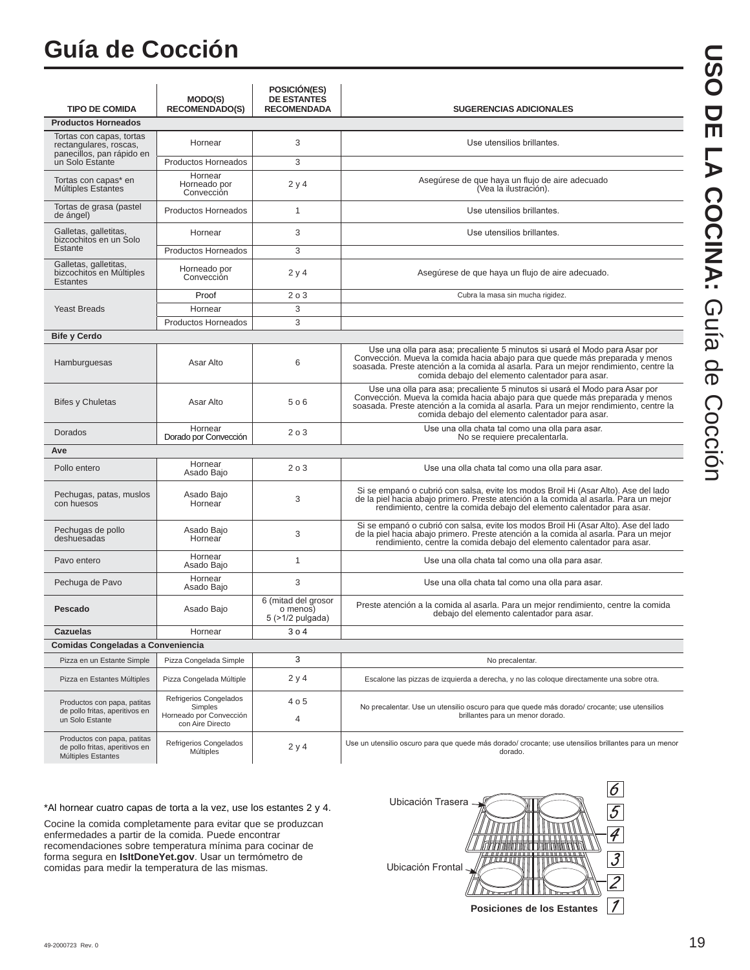## **Guía de Cocción**

| <b>TIPO DE COMIDA</b>                                                               | <b>MODO(S)</b><br><b>RECOMENDADO(S)</b>                                          | POSICIÓN(ES)<br><b>DE ESTANTES</b><br><b>RECOMENDADA</b> | <b>SUGERENCIAS ADICIONALES</b>                                                                                                                                                                                                                                                                          |
|-------------------------------------------------------------------------------------|----------------------------------------------------------------------------------|----------------------------------------------------------|---------------------------------------------------------------------------------------------------------------------------------------------------------------------------------------------------------------------------------------------------------------------------------------------------------|
| <b>Productos Horneados</b>                                                          |                                                                                  |                                                          |                                                                                                                                                                                                                                                                                                         |
| Tortas con capas, tortas                                                            |                                                                                  |                                                          |                                                                                                                                                                                                                                                                                                         |
| rectangulares, roscas,<br>panecillos, pan rápido en                                 | Hornear                                                                          | 3                                                        | Use utensilios brillantes.                                                                                                                                                                                                                                                                              |
| un Solo Estante                                                                     | <b>Productos Horneados</b>                                                       | 3                                                        |                                                                                                                                                                                                                                                                                                         |
| Tortas con capas* en<br>Múltiples Estantes                                          | Hornear<br>Horneado por<br>Convección                                            | 2y4                                                      | Asegúrese de que haya un flujo de aire adecuado<br>(Vea la ilustración).                                                                                                                                                                                                                                |
| Tortas de grasa (pastel<br>de ángel)                                                | Productos Horneados                                                              | 1                                                        | Use utensilios brillantes.                                                                                                                                                                                                                                                                              |
| Galletas, galletitas,<br>bizcochitos en un Solo                                     | Hornear                                                                          | 3                                                        | Use utensilios brillantes.                                                                                                                                                                                                                                                                              |
| Estante                                                                             | Productos Horneados                                                              | 3                                                        |                                                                                                                                                                                                                                                                                                         |
| Galletas, galletitas,<br>bizcochitos en Múltiples<br><b>Estantes</b>                | Horneado por<br>Convección                                                       | 2y4                                                      | Asegúrese de que haya un flujo de aire adecuado.                                                                                                                                                                                                                                                        |
|                                                                                     | Proof                                                                            | 203                                                      | Cubra la masa sin mucha rigidez.                                                                                                                                                                                                                                                                        |
| <b>Yeast Breads</b>                                                                 | Hornear                                                                          | 3                                                        |                                                                                                                                                                                                                                                                                                         |
|                                                                                     | Productos Horneados                                                              | 3                                                        |                                                                                                                                                                                                                                                                                                         |
| <b>Bife y Cerdo</b>                                                                 |                                                                                  |                                                          |                                                                                                                                                                                                                                                                                                         |
| Hamburguesas                                                                        | Asar Alto                                                                        | 6                                                        | Use una olla para asa; precaliente 5 minutos si usará el Modo para Asar por<br>Convección. Mueva la comida hacia abajo para que quede más preparada y menos<br>soasada. Preste atención a la comida al asarla. Para un mejor rendimiento, centre la<br>comida debajo del elemento calentador para asar. |
| <b>Bifes y Chuletas</b>                                                             | Asar Alto                                                                        | 506                                                      | Use una olla para asa; precaliente 5 minutos si usará el Modo para Asar por<br>Convección. Mueva la comida hacia abajo para que quede más preparada y menos<br>soasada. Preste atención a la comida al asarla. Para un mejor rendimiento, centre la<br>comida debajo del elemento calentador para asar. |
| Dorados                                                                             | Hornear<br>Dorado por Convección                                                 | 203                                                      | Use una olla chata tal como una olla para asar.<br>No se requiere precalentarla.                                                                                                                                                                                                                        |
| Ave                                                                                 |                                                                                  |                                                          |                                                                                                                                                                                                                                                                                                         |
| Pollo entero                                                                        | Hornear<br>Asado Bajo                                                            | 203                                                      | Use una olla chata tal como una olla para asar.                                                                                                                                                                                                                                                         |
| Pechugas, patas, muslos<br>con huesos                                               | Asado Bajo<br>Hornear                                                            | 3                                                        | Si se empanó o cubrió con salsa, evite los modos Broil Hi (Asar Alto). Ase del lado<br>de la piel hacia abajo primero. Preste atención a la comida al asarla. Para un mejor<br>rendimiento, centre la comida debajo del elemento calentador para asar.                                                  |
| Pechugas de pollo<br>deshuesadas                                                    | Asado Bajo<br>Hornear                                                            | 3                                                        | Si se empanó o cubrió con salsa, evite los modos Broil Hi (Asar Alto). Ase del lado<br>de la piel hacia abajo primero. Preste atención a la comida al asarla. Para un mejor<br>rendimiento, centre la comida debajo del elemento calentador para asar.                                                  |
| Pavo entero                                                                         | Hornear<br>Asado Baio                                                            | $\mathbf{1}$                                             | Use una olla chata tal como una olla para asar.                                                                                                                                                                                                                                                         |
| Pechuga de Pavo                                                                     | Hornear<br>Asado Bajo                                                            | 3                                                        | Use una olla chata tal como una olla para asar.                                                                                                                                                                                                                                                         |
| Pescado                                                                             | Asado Bajo                                                                       | 6 (mitad del grosor<br>o menos)<br>$5$ ( $>1/2$ pulgada) | Preste atención a la comida al asarla. Para un mejor rendimiento, centre la comida<br>debajo del elemento calentador para asar.                                                                                                                                                                         |
| <b>Cazuelas</b>                                                                     | Hornear                                                                          | 304                                                      |                                                                                                                                                                                                                                                                                                         |
| Comidas Congeladas a Conveniencia                                                   |                                                                                  |                                                          |                                                                                                                                                                                                                                                                                                         |
| Pizza en un Estante Simple                                                          | Pizza Congelada Simple                                                           | 3                                                        | No precalentar.                                                                                                                                                                                                                                                                                         |
| Pizza en Estantes Múltiples                                                         | Pizza Congelada Múltiple                                                         | 2 y 4                                                    | Escalone las pizzas de izquierda a derecha, y no las coloque directamente una sobre otra.                                                                                                                                                                                                               |
| Productos con papa, patitas<br>de pollo fritas, aperitivos en<br>un Solo Estante    | Refrigerios Congelados<br>Simples<br>Horneado por Convección<br>con Aire Directo | 4 o 5<br>4                                               | No precalentar. Use un utensilio oscuro para que quede más dorado/ crocante; use utensilios<br>brillantes para un menor dorado.                                                                                                                                                                         |
| Productos con papa, patitas<br>de pollo fritas, aperitivos en<br>Múltiples Estantes | Refrigerios Congelados<br>Múltiples                                              | 2y4                                                      | Use un utensilio oscuro para que quede más dorado/ crocante; use utensilios brillantes para un menor<br>dorado.                                                                                                                                                                                         |

\*Al hornear cuatro capas de torta a la vez, use los estantes 2 y 4.

Cocine la comida completamente para evitar que se produzcan enfermedades a partir de la comida. Puede encontrar recomendaciones sobre temperatura mínima para cocinar de forma segura en *IsItDoneYet.gov*. Usar un termómetro de comidas para medir la temperatura de las mismas.



USO DE LA COCINA: Guía de Cocción **USO DE LA COCINA:**Guía de Cocción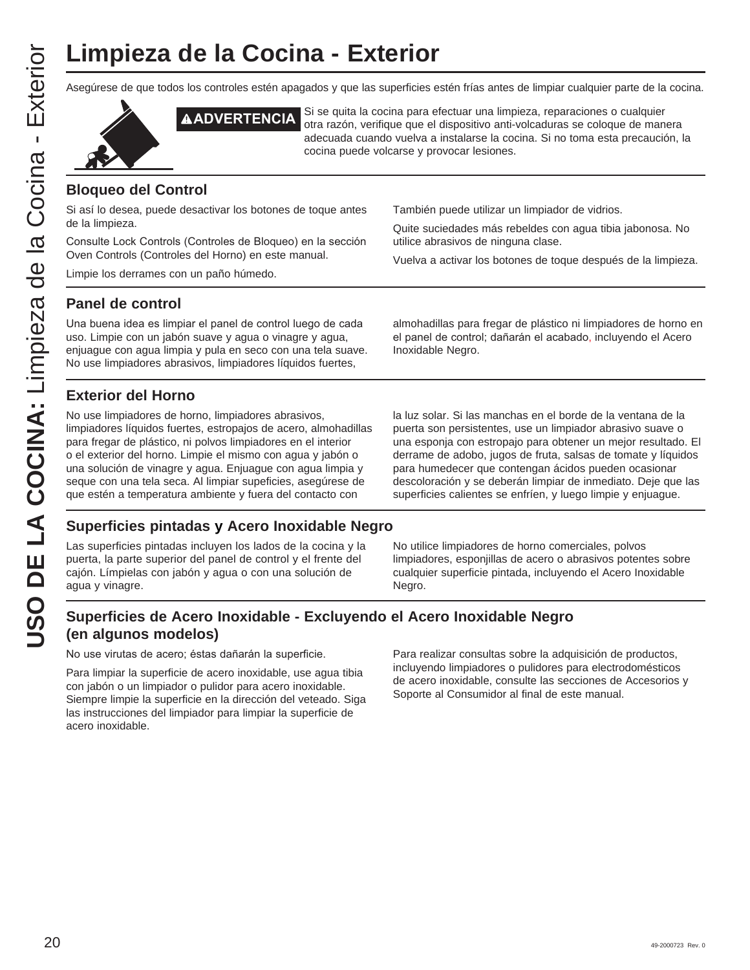Asegúrese de que todos los controles estén apagados y que las superficies estén frías antes de limpiar cualquier parte de la cocina.





**AADVERTENCIA** Si se quita la cocina para efectuar una limpieza, reparaciones o cualquier otra razón, verifique que el dispositivo anti-volcaduras se coloque de manera adecuada cuando vuelva a instalarse la cocina. Si no toma esta precaución, la cocina puede volcarse y provocar lesiones.

## **Bloqueo del Control**

Si así lo desea, puede desactivar los botones de toque antes de la limpieza.

Consulte Lock Controls (Controles de Bloqueo) en la sección Oven Controls (Controles del Horno) en este manual.

Limpie los derrames con un paño húmedo.

También puede utilizar un limpiador de vidrios.

Quite suciedades más rebeldes con agua tibia jabonosa. No utilice abrasivos de ninguna clase.

Vuelva a activar los botones de toque después de la limpieza.

### **Panel de control**

Una buena idea es limpiar el panel de control luego de cada uso. Limpie con un jabón suave y agua o vinagre y agua, enjuague con agua limpia y pula en seco con una tela suave. No use limpiadores abrasivos, limpiadores líquidos fuertes,

almohadillas para fregar de plástico ni limpiadores de horno en el panel de control; dañarán el acabado, incluyendo el Acero Inoxidable Negro.

## **Exterior del Horno**

No use limpiadores de horno, limpiadores abrasivos, limpiadores líquidos fuertes, estropajos de acero, almohadillas para fregar de plástico, ni polvos limpiadores en el interior o el exterior del horno. Limpie el mismo con agua y jabón o una solución de vinagre y agua. Enjuague con agua limpia y seque con una tela seca. Al limpiar supeficies, asegúrese de que estén a temperatura ambiente y fuera del contacto con

la luz solar. Si las manchas en el borde de la ventana de la puerta son persistentes, use un limpiador abrasivo suave o una esponja con estropajo para obtener un mejor resultado. El derrame de adobo, jugos de fruta, salsas de tomate y líquidos para humedecer que contengan ácidos pueden ocasionar descoloración y se deberán limpiar de inmediato. Deje que las superficies calientes se enfríen, y luego limpie y enjuague.

## **Superficies pintadas y Acero Inoxidable Negro**

Las superficies pintadas incluyen los lados de la cocina y la puerta, la parte superior del panel de control y el frente del cajón. Límpielas con jabón y agua o con una solución de agua y vinagre.

No utilice limpiadores de horno comerciales, polvos limpiadores, esponjillas de acero o abrasivos potentes sobre cualquier superficie pintada, incluyendo el Acero Inoxidable Negro.

## **Superficies de Acero Inoxidable - Excluyendo el Acero Inoxidable Negro (en algunos modelos)**

No use virutas de acero; éstas dañarán la superficie.

Para limpiar la superficie de acero inoxidable, use agua tibia con jabón o un limpiador o pulidor para acero inoxidable. Siempre limpie la superficie en la dirección del veteado. Siga las instrucciones del limpiador para limpiar la superficie de acero inoxidable.

Para realizar consultas sobre la adquisición de productos, incluyendo limpiadores o pulidores para electrodomésticos de acero inoxidable, consulte las secciones de Accesorios y Soporte al Consumidor al final de este manual.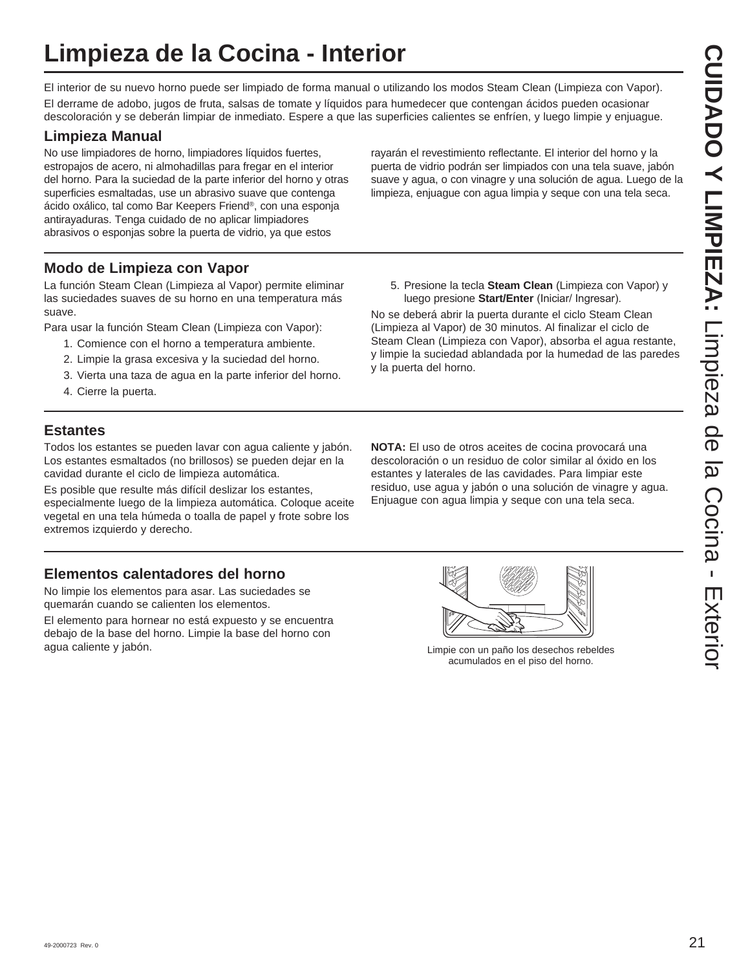## **Limpieza de la Cocina - Interior**

El interior de su nuevo horno puede ser limpiado de forma manual o utilizando los modos Steam Clean (Limpieza con Vapor). El derrame de adobo, jugos de fruta, salsas de tomate y líquidos para humedecer que contengan ácidos pueden ocasionar descoloración y se deberán limpiar de inmediato. Espere a que las superficies calientes se enfríen, y luego limpie y enjuague.

## **Limpieza Manual**

No use limpiadores de horno, limpiadores líquidos fuertes, estropajos de acero, ni almohadillas para fregar en el interior del horno. Para la suciedad de la parte inferior del horno y otras superficies esmaltadas, use un abrasivo suave que contenga ácido oxálico, tal como Bar Keepers Friend®, con una esponja antirayaduras. Tenga cuidado de no aplicar limpiadores abrasivos o esponjas sobre la puerta de vidrio, ya que estos

**Modo de Limpieza con Vapor**

La función Steam Clean (Limpieza al Vapor) permite eliminar las suciedades suaves de su horno en una temperatura más suave.

Para usar la función Steam Clean (Limpieza con Vapor):

- 1. Comience con el horno a temperatura ambiente.
- 2. Limpie la grasa excesiva y la suciedad del horno.
- 3. Vierta una taza de agua en la parte inferior del horno.
- 4. Cierre la puerta.

## **Estantes**

Todos los estantes se pueden lavar con agua caliente y jabón. Los estantes esmaltados (no brillosos) se pueden dejar en la cavidad durante el ciclo de limpieza automática.

Es posible que resulte más difícil deslizar los estantes, especialmente luego de la limpieza automática. Coloque aceite vegetal en una tela húmeda o toalla de papel y frote sobre los extremos izquierdo y derecho.

## **Elementos calentadores del horno**

No limpie los elementos para asar. Las suciedades se quemarán cuando se calienten los elementos.

El elemento para hornear no está expuesto y se encuentra debajo de la base del horno. Limpie la base del horno con agua caliente y jabón. Limpie con un paño los desechos rebeldes

rayarán el revestimiento reflectante. El interior del horno y la puerta de vidrio podrán ser limpiados con una tela suave, jabón suave y agua, o con vinagre y una solución de agua. Luego de la limpieza, enjuague con agua limpia y seque con una tela seca.

5. Presione la tecla **Steam Clean** (Limpieza con Vapor) y luego presione **Start/Enter** (Iniciar/ Ingresar).

No se deberá abrir la puerta durante el ciclo Steam Clean (Limpieza al Vapor) de 30 minutos. Al finalizar el ciclo de Steam Clean (Limpieza con Vapor), absorba el agua restante, y limpie la suciedad ablandada por la humedad de las paredes y la puerta del horno.

**NOTA:** El uso de otros aceites de cocina provocará una descoloración o un residuo de color similar al óxido en los estantes y laterales de las cavidades. Para limpiar este residuo, use agua y jabón o una solución de vinagre y agua. Enjuague con agua limpia y seque con una tela seca.



acumulados en el piso del horno.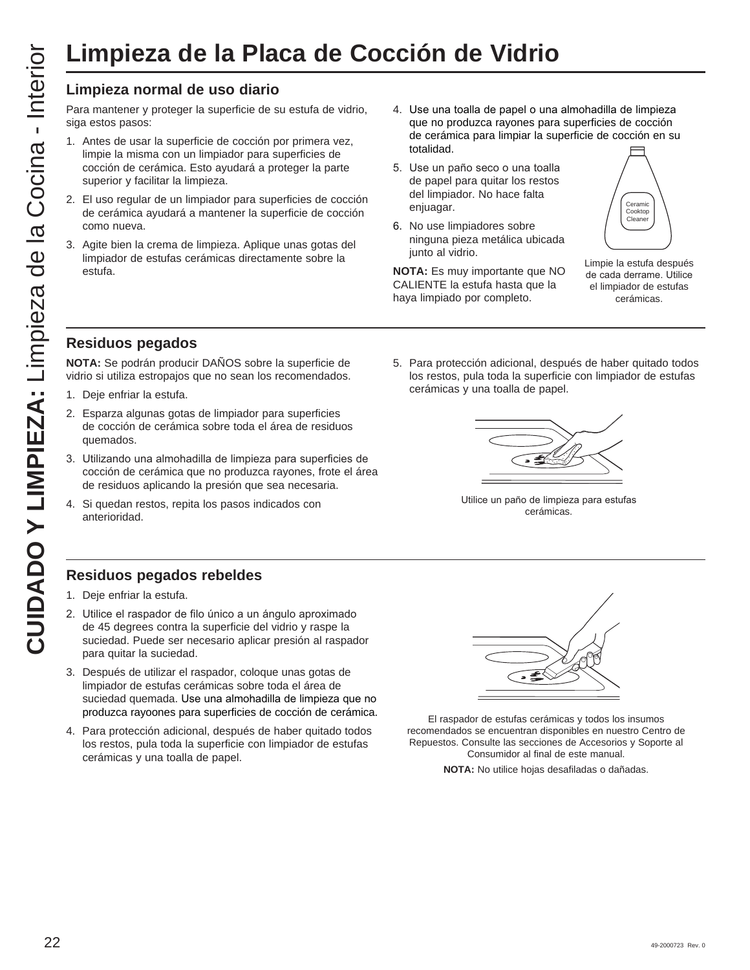## **Limpieza normal de uso diario**

Para mantener y proteger la superficie de su estufa de vidrio, siga estos pasos:

- 1. Antes de usar la superficie de cocción por primera vez, limpie la misma con un limpiador para superficies de cocción de cerámica. Esto ayudará a proteger la parte superior y facilitar la limpieza.
- 2. El uso regular de un limpiador para superficies de cocción de cerámica ayudará a mantener la superficie de cocción como nueva.
- 3. Agite bien la crema de limpieza. Aplique unas gotas del limpiador de estufas cerámicas directamente sobre la estufa.
- 4. Use una toalla de papel o una almohadilla de limpieza que no produzca rayones para superficies de cocción de cerámica para limpiar la superficie de cocción en su totalidad.

5. Para protección adicional, después de haber quitado todos los restos, pula toda la superficie con limpiador de estufas

- 5. Use un paño seco o una toalla de papel para quitar los restos del limpiador. No hace falta enjuagar.
- 6. No use limpiadores sobre ninguna pieza metálica ubicada junto al vidrio.

**NOTA:** Es muy importante que NO CALIENTE la estufa hasta que la haya limpiado por completo.

cerámicas y una toalla de papel.



Limpie la estufa después de cada derrame. Utilice el limpiador de estufas cerámicas.

## **Residuos pegados**

**NOTA:** Se podrán producir DAÑOS sobre la superficie de vidrio si utiliza estropajos que no sean los recomendados.

- 1. Deje enfriar la estufa.
- 2. Esparza algunas gotas de limpiador para superficies de cocción de cerámica sobre toda el área de residuos quemados.
- 3. Utilizando una almohadilla de limpieza para superficies de cocción de cerámica que no produzca rayones, frote el área de residuos aplicando la presión que sea necesaria.
- 4. Si quedan restos, repita los pasos indicados con anterioridad.

## **Residuos pegados rebeldes**

- 1. Deje enfriar la estufa.
- 2. Utilice el raspador de filo único a un ángulo aproximado de 45 degrees contra la superficie del vidrio y raspe la suciedad. Puede ser necesario aplicar presión al raspador para quitar la suciedad.
- 3. Después de utilizar el raspador, coloque unas gotas de limpiador de estufas cerámicas sobre toda el área de suciedad quemada. Use una almohadilla de limpieza que no produzca rayoones para superficies de cocción de cerámica.
- 4. Para protección adicional, después de haber quitado todos los restos, pula toda la superficie con limpiador de estufas cerámicas y una toalla de papel.



Utilice un paño de limpieza para estufas cerámicas.

El raspador de estufas cerámicas y todos los insumos recomendados se encuentran disponibles en nuestro Centro de Repuestos. Consulte las secciones de Accesorios y Soporte al Consumidor al final de este manual.

**NOTA:** No utilice hojas desafiladas o dañadas.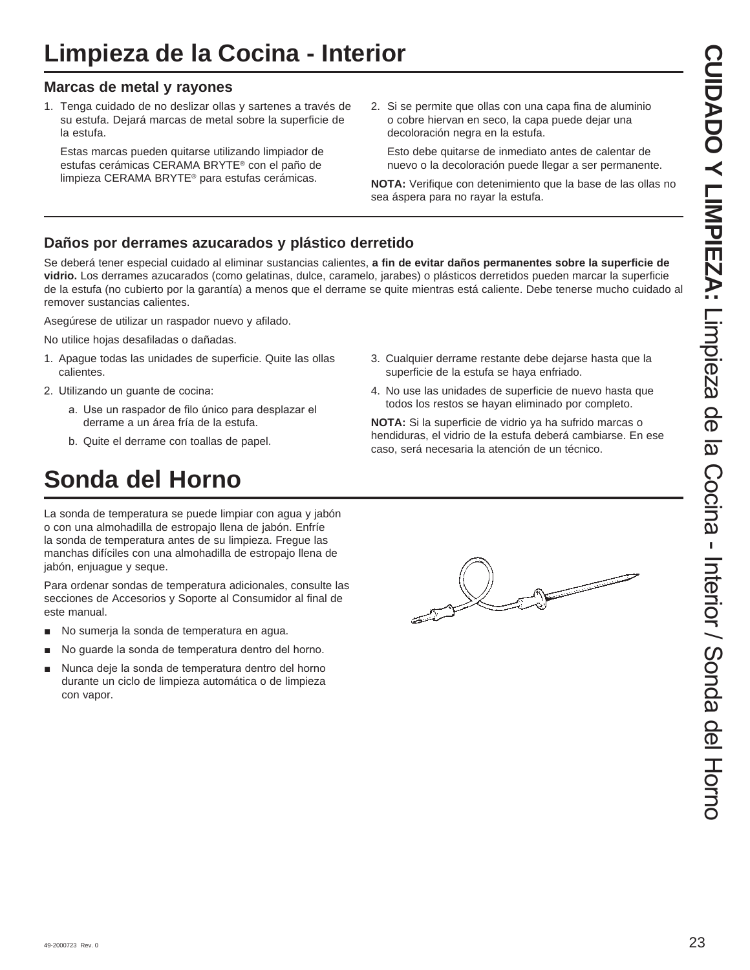## **Limpieza de la Cocina - Interior**

## **Marcas de metal y rayones**

1. Tenga cuidado de no deslizar ollas y sartenes a través de su estufa. Dejará marcas de metal sobre la superficie de la estufa.

 Estas marcas pueden quitarse utilizando limpiador de estufas cerámicas CERAMA BRYTE® con el paño de limpieza CERAMA BRYTE® para estufas cerámicas.

2. Si se permite que ollas con una capa fina de aluminio o cobre hiervan en seco, la capa puede dejar una decoloración negra en la estufa.

 Esto debe quitarse de inmediato antes de calentar de nuevo o la decoloración puede llegar a ser permanente.

**NOTA:** Verifique con detenimiento que la base de las ollas no sea áspera para no rayar la estufa.

## **Daños por derrames azucarados y plástico derretido**

Se deberá tener especial cuidado al eliminar sustancias calientes, **a fin de evitar daños permanentes sobre la superficie de vidrio.** Los derrames azucarados (como gelatinas, dulce, caramelo, jarabes) o plásticos derretidos pueden marcar la superficie de la estufa (no cubierto por la garantía) a menos que el derrame se quite mientras está caliente. Debe tenerse mucho cuidado al remover sustancias calientes.

Asegúrese de utilizar un raspador nuevo y afilado.

No utilice hojas desafiladas o dañadas.

- 1. Apague todas las unidades de superficie. Quite las ollas calientes.
- 2. Utilizando un guante de cocina:
	- a. Use un raspador de filo único para desplazar el derrame a un área fría de la estufa.
	- b. Quite el derrame con toallas de papel.

## **Sonda del Horno**

La sonda de temperatura se puede limpiar con agua y jabón o con una almohadilla de estropajo llena de jabón. Enfríe la sonda de temperatura antes de su limpieza. Fregue las manchas difíciles con una almohadilla de estropajo llena de jabón, enjuague y seque.

Para ordenar sondas de temperatura adicionales, consulte las secciones de Accesorios y Soporte al Consumidor al final de este manual.

- No sumerja la sonda de temperatura en agua.
- No guarde la sonda de temperatura dentro del horno.
- Nunca deje la sonda de temperatura dentro del horno durante un ciclo de limpieza automática o de limpieza con vapor.
- 3. Cualquier derrame restante debe dejarse hasta que la superficie de la estufa se haya enfriado.
- 4. No use las unidades de superficie de nuevo hasta que todos los restos se hayan eliminado por completo.

**NOTA:** Si la superficie de vidrio ya ha sufrido marcas o hendiduras, el vidrio de la estufa deberá cambiarse. En ese caso, será necesaria la atención de un técnico.

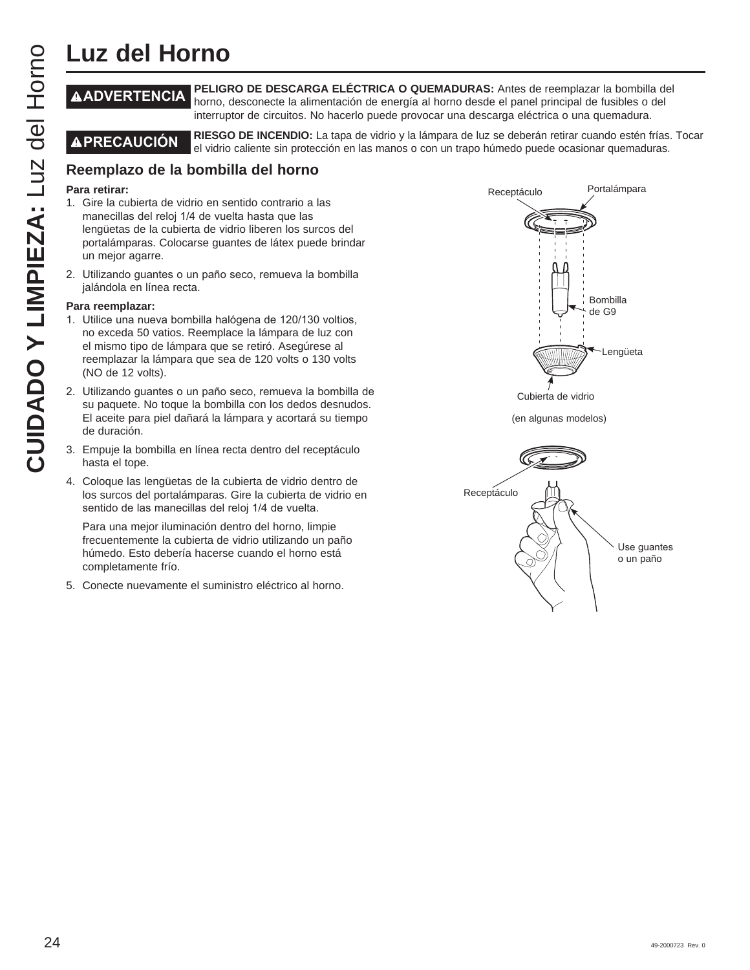## **Luz del Horno**

#### **ADVERTENCIA PELIGRO DE DESCARGA ELÉCTRICA O QUEMADURAS:** Antes de reemplazar la bombilla del horno, desconecte la alimentación de energía al horno desde el panel principal de fusibles o del interruptor de circuitos. No hacerlo puede provocar una descarga eléctrica o una quemadura.

**PRECAUCIÓN RIESGO DE INCENDIO:** La tapa de vidrio y la lámpara de luz se deberán retirar cuando estén frías. Tocar el vidrio caliente sin protección en las manos o con un trapo húmedo puede ocasionar quemaduras.

## **Reemplazo de la bombilla del horno**

#### **Para retirar:**

- 1. Gire la cubierta de vidrio en sentido contrario a las manecillas del reloj 1/4 de vuelta hasta que las lengüetas de la cubierta de vidrio liberen los surcos del portalámparas. Colocarse guantes de látex puede brindar un mejor agarre.
- 2. Utilizando guantes o un paño seco, remueva la bombilla jalándola en línea recta.

#### **Para reemplazar:**

- 1. Utilice una nueva bombilla halógena de 120/130 voltios, no exceda 50 vatios. Reemplace la lámpara de luz con el mismo tipo de lámpara que se retiró. Asegúrese al reemplazar la lámpara que sea de 120 volts o 130 volts (NO de 12 volts).
- 2. Utilizando quantes o un paño seco, remueva la bombilla de su paquete. No toque la bombilla con los dedos desnudos. El aceite para piel dañará la lámpara y acortará su tiempo de duración.
- 3. Empuje la bombilla en línea recta dentro del receptáculo hasta el tope.
- 4. Coloque las lengüetas de la cubierta de vidrio dentro de los surcos del portalámparas. Gire la cubierta de vidrio en sentido de las manecillas del reloj 1/4 de vuelta.

 Para una mejor iluminación dentro del horno, limpie frecuentemente la cubierta de vidrio utilizando un paño húmedo. Esto debería hacerse cuando el horno está completamente frío.

5. Conecte nuevamente el suministro eléctrico al horno.



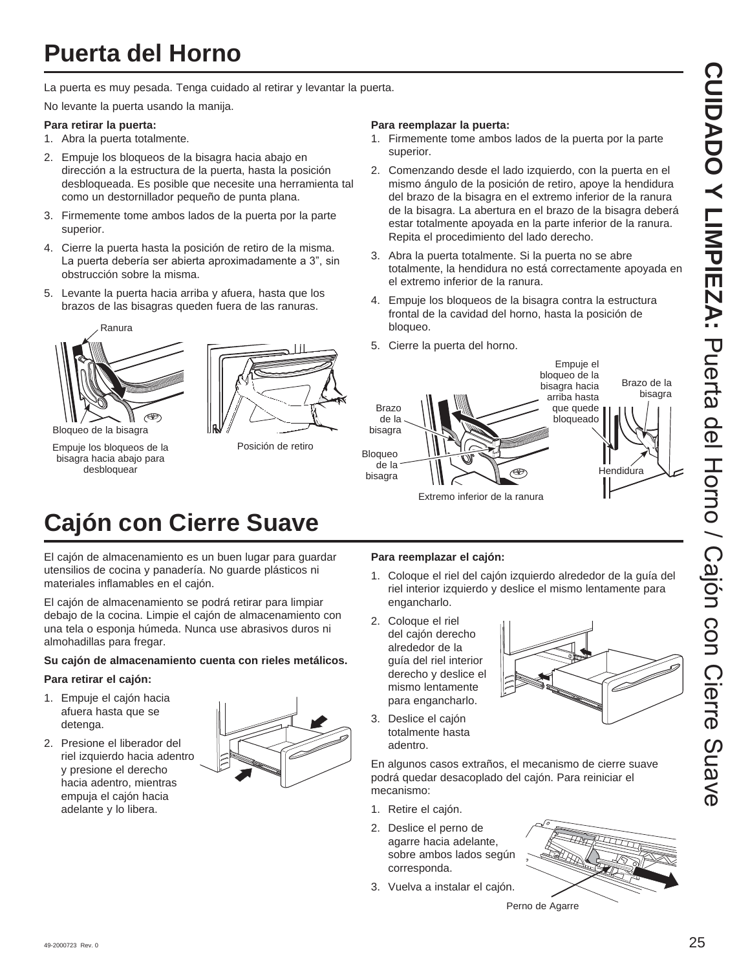## **Puerta del Horno**

La puerta es muy pesada. Tenga cuidado al retirar y levantar la puerta.

No levante la puerta usando la manija.

#### **Para retirar la puerta:**

- 1. Abra la puerta totalmente.
- 2. Empuje los bloqueos de la bisagra hacia abajo en dirección a la estructura de la puerta, hasta la posición desbloqueada. Es posible que necesite una herramienta tal como un destornillador pequeño de punta plana.
- 3. Firmemente tome ambos lados de la puerta por la parte superior.
- 4. Cierre la puerta hasta la posición de retiro de la misma. La puerta debería ser abierta aproximadamente a 3", sin obstrucción sobre la misma.
- 5. Levante la puerta hacia arriba y afuera, hasta que los brazos de las bisagras queden fuera de las ranuras.



Empuje los bloqueos de la bisagra hacia abajo para desbloquear



Posición de retiro

#### **Para reemplazar la puerta:**

- 1. Firmemente tome ambos lados de la puerta por la parte superior.
- 2. Comenzando desde el lado izquierdo, con la puerta en el mismo ángulo de la posición de retiro, apoye la hendidura del brazo de la bisagra en el extremo inferior de la ranura de la bisagra. La abertura en el brazo de la bisagra deberá estar totalmente apoyada en la parte inferior de la ranura. Repita el procedimiento del lado derecho.
- 3. Abra la puerta totalmente. Si la puerta no se abre totalmente, la hendidura no está correctamente apoyada en el extremo inferior de la ranura.
- 4. Empuje los bloqueos de la bisagra contra la estructura frontal de la cavidad del horno, hasta la posición de bloqueo.
- 5. Cierre la puerta del horno.



# **Cajón con Cierre Suave**

El cajón de almacenamiento es un buen lugar para guardar utensilios de cocina y panadería. No guarde plásticos ni materiales inflamables en el cajón.

El cajón de almacenamiento se podrá retirar para limpiar debajo de la cocina. Limpie el cajón de almacenamiento con una tela o esponja húmeda. Nunca use abrasivos duros ni almohadillas para fregar.

#### **Su cajón de almacenamiento cuenta con rieles metálicos.**

#### **Para retirar el cajón:**

- 1. Empuje el cajón hacia afuera hasta que se detenga.
- 2. Presione el liberador del riel izquierdo hacia adentro y presione el derecho hacia adentro, mientras empuja el cajón hacia adelante y lo libera.



#### **Para reemplazar el cajón:**

- 1. Coloque el riel del cajón izquierdo alrededor de la guía del riel interior izquierdo y deslice el mismo lentamente para engancharlo.
- 2. Coloque el riel del cajón derecho alrededor de la guía del riel interior derecho y deslice el mismo lentamente para engancharlo.



3. Deslice el cajón totalmente hasta adentro.

En algunos casos extraños, el mecanismo de cierre suave podrá quedar desacoplado del cajón. Para reiniciar el mecanismo:

- 1. Retire el cajón.
- 2. Deslice el perno de agarre hacia adelante, sobre ambos lados según corresponda.
- 3. Vuelva a instalar el cajón.

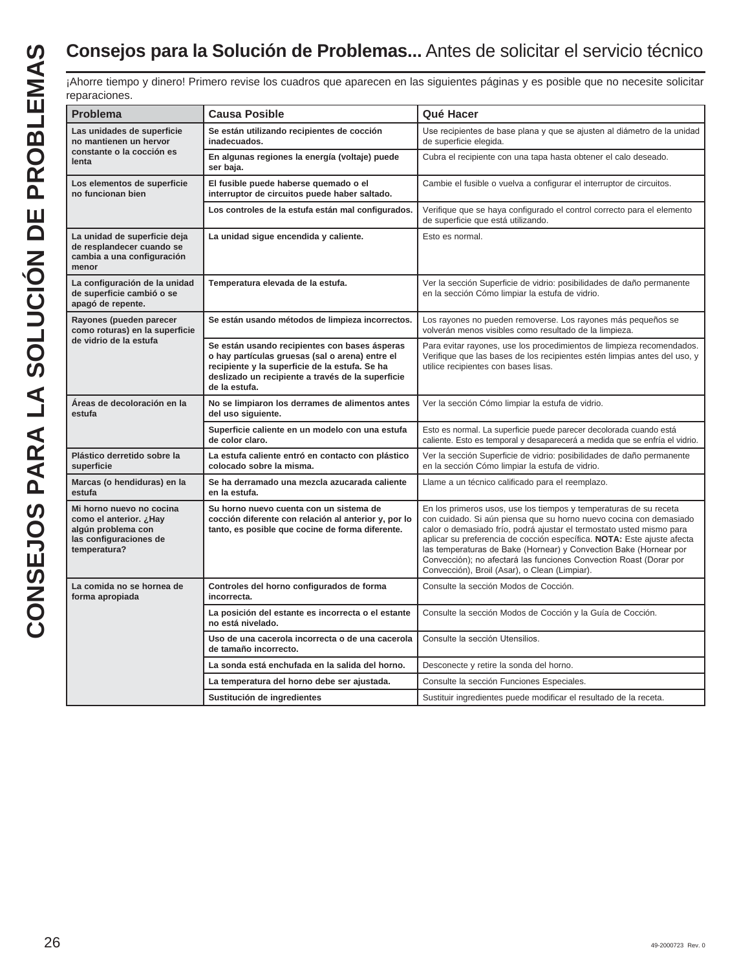¡Ahorre tiempo y dinero! Primero revise los cuadros que aparecen en las siguientes páginas y es posible que no necesite solicitar reparaciones.

| <b>Problema</b>                                                                                                    | <b>Causa Posible</b>                                                                                                                                                                                                     | Qué Hacer                                                                                                                                                                                                                                                                                                                                                                                                                                                                             |
|--------------------------------------------------------------------------------------------------------------------|--------------------------------------------------------------------------------------------------------------------------------------------------------------------------------------------------------------------------|---------------------------------------------------------------------------------------------------------------------------------------------------------------------------------------------------------------------------------------------------------------------------------------------------------------------------------------------------------------------------------------------------------------------------------------------------------------------------------------|
| Las unidades de superficie<br>no mantienen un hervor                                                               | Se están utilizando recipientes de cocción<br>inadecuados.                                                                                                                                                               | Use recipientes de base plana y que se ajusten al diámetro de la unidad<br>de superficie elegida.                                                                                                                                                                                                                                                                                                                                                                                     |
| constante o la cocción es<br>lenta                                                                                 | En algunas regiones la energía (voltaje) puede<br>ser baja.                                                                                                                                                              | Cubra el recipiente con una tapa hasta obtener el calo deseado.                                                                                                                                                                                                                                                                                                                                                                                                                       |
| Los elementos de superficie<br>no funcionan bien                                                                   | El fusible puede haberse quemado o el<br>interruptor de circuitos puede haber saltado.                                                                                                                                   | Cambie el fusible o vuelva a configurar el interruptor de circuitos.                                                                                                                                                                                                                                                                                                                                                                                                                  |
|                                                                                                                    | Los controles de la estufa están mal configurados.                                                                                                                                                                       | Verifique que se haya configurado el control correcto para el elemento<br>de superficie que está utilizando.                                                                                                                                                                                                                                                                                                                                                                          |
| La unidad de superficie deja<br>de resplandecer cuando se<br>cambia a una configuración<br>menor                   | La unidad sigue encendida y caliente.                                                                                                                                                                                    | Esto es normal.                                                                                                                                                                                                                                                                                                                                                                                                                                                                       |
| La configuración de la unidad<br>de superficie cambió o se<br>apagó de repente.                                    | Temperatura elevada de la estufa.                                                                                                                                                                                        | Ver la sección Superficie de vidrio: posibilidades de daño permanente<br>en la sección Cómo limpiar la estufa de vidrio.                                                                                                                                                                                                                                                                                                                                                              |
| Rayones (pueden parecer<br>como roturas) en la superficie                                                          | Se están usando métodos de limpieza incorrectos.                                                                                                                                                                         | Los rayones no pueden removerse. Los rayones más pequeños se<br>volverán menos visibles como resultado de la limpieza.                                                                                                                                                                                                                                                                                                                                                                |
| de vidrio de la estufa                                                                                             | Se están usando recipientes con bases ásperas<br>o hay partículas gruesas (sal o arena) entre el<br>recipiente y la superficie de la estufa. Se ha<br>deslizado un recipiente a través de la superficie<br>de la estufa. | Para evitar rayones, use los procedimientos de limpieza recomendados.<br>Verifique que las bases de los recipientes estén limpias antes del uso, y<br>utilice recipientes con bases lisas.                                                                                                                                                                                                                                                                                            |
| Áreas de decoloración en la<br>estufa                                                                              | No se limpiaron los derrames de alimentos antes<br>del uso siguiente.                                                                                                                                                    | Ver la sección Cómo limpiar la estufa de vidrio.                                                                                                                                                                                                                                                                                                                                                                                                                                      |
|                                                                                                                    | Superficie caliente en un modelo con una estufa<br>de color claro.                                                                                                                                                       | Esto es normal. La superficie puede parecer decolorada cuando está<br>caliente. Esto es temporal y desaparecerá a medida que se enfría el vidrio.                                                                                                                                                                                                                                                                                                                                     |
| Plástico derretido sobre la<br>superficie                                                                          | La estufa caliente entró en contacto con plástico<br>colocado sobre la misma.                                                                                                                                            | Ver la sección Superficie de vidrio: posibilidades de daño permanente<br>en la sección Cómo limpiar la estufa de vidrio.                                                                                                                                                                                                                                                                                                                                                              |
| Marcas (o hendiduras) en la<br>estufa                                                                              | Se ha derramado una mezcla azucarada caliente<br>en la estufa.                                                                                                                                                           | Llame a un técnico calificado para el reemplazo.                                                                                                                                                                                                                                                                                                                                                                                                                                      |
| Mi horno nuevo no cocina<br>como el anterior. ¿Hay<br>algún problema con<br>las configuraciones de<br>temperatura? | Su horno nuevo cuenta con un sistema de<br>cocción diferente con relación al anterior y, por lo<br>tanto, es posible que cocine de forma diferente.                                                                      | En los primeros usos, use los tiempos y temperaturas de su receta<br>con cuidado. Si aún piensa que su horno nuevo cocina con demasiado<br>calor o demasiado frío, podrá ajustar el termostato usted mismo para<br>aplicar su preferencia de cocción específica. NOTA: Este ajuste afecta<br>las temperaturas de Bake (Hornear) y Convection Bake (Hornear por<br>Convección); no afectará las funciones Convection Roast (Dorar por<br>Convección), Broil (Asar), o Clean (Limpiar). |
| La comida no se hornea de<br>forma apropiada                                                                       | Controles del horno configurados de forma<br>incorrecta.                                                                                                                                                                 | Consulte la sección Modos de Cocción.                                                                                                                                                                                                                                                                                                                                                                                                                                                 |
|                                                                                                                    | La posición del estante es incorrecta o el estante<br>no está nivelado.                                                                                                                                                  | Consulte la sección Modos de Cocción y la Guía de Cocción.                                                                                                                                                                                                                                                                                                                                                                                                                            |
|                                                                                                                    | Uso de una cacerola incorrecta o de una cacerola<br>de tamaño incorrecto.                                                                                                                                                | Consulte la sección Utensilios.                                                                                                                                                                                                                                                                                                                                                                                                                                                       |
|                                                                                                                    | La sonda está enchufada en la salida del horno.                                                                                                                                                                          | Desconecte y retire la sonda del horno.                                                                                                                                                                                                                                                                                                                                                                                                                                               |
|                                                                                                                    | La temperatura del horno debe ser ajustada.                                                                                                                                                                              | Consulte la sección Funciones Especiales.                                                                                                                                                                                                                                                                                                                                                                                                                                             |
|                                                                                                                    | Sustitución de ingredientes                                                                                                                                                                                              | Sustituir ingredientes puede modificar el resultado de la receta.                                                                                                                                                                                                                                                                                                                                                                                                                     |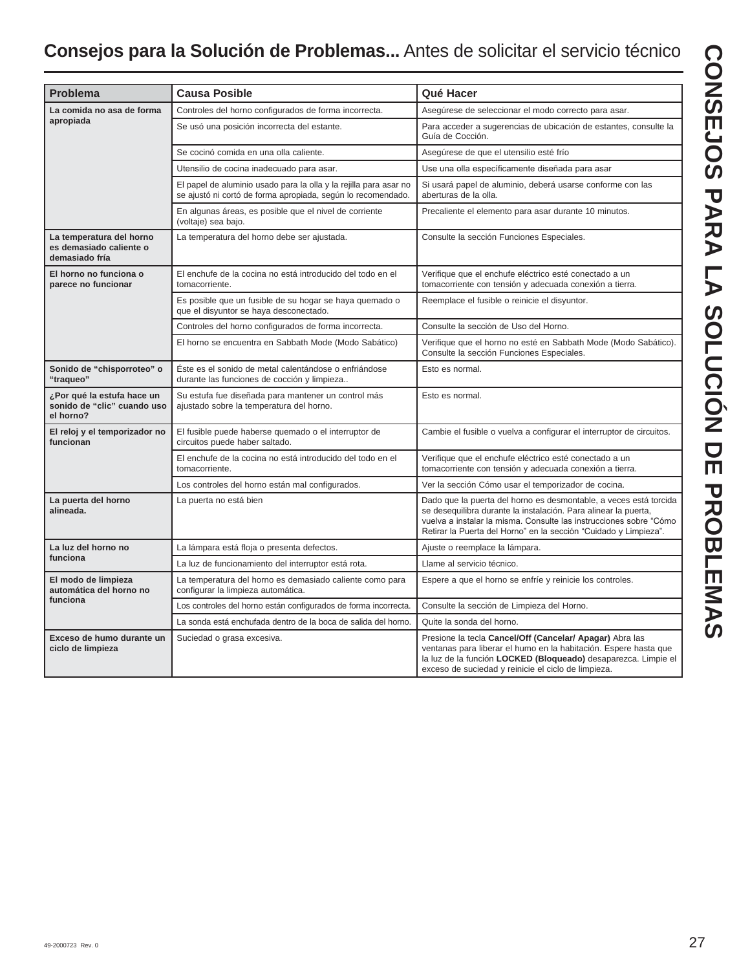| <b>Problema</b>                                                        | <b>Causa Posible</b>                                                                                                              | Qué Hacer                                                                                                                                                                                                                                                                      |
|------------------------------------------------------------------------|-----------------------------------------------------------------------------------------------------------------------------------|--------------------------------------------------------------------------------------------------------------------------------------------------------------------------------------------------------------------------------------------------------------------------------|
| La comida no asa de forma                                              | Controles del horno configurados de forma incorrecta.                                                                             | Asegúrese de seleccionar el modo correcto para asar.                                                                                                                                                                                                                           |
| apropiada                                                              | Se usó una posición incorrecta del estante.                                                                                       | Para acceder a sugerencias de ubicación de estantes, consulte la<br>Guía de Cocción.                                                                                                                                                                                           |
|                                                                        | Se cocinó comida en una olla caliente.                                                                                            | Asegúrese de que el utensilio esté frío                                                                                                                                                                                                                                        |
|                                                                        | Utensilio de cocina inadecuado para asar.                                                                                         | Use una olla específicamente diseñada para asar                                                                                                                                                                                                                                |
|                                                                        | El papel de aluminio usado para la olla y la rejilla para asar no<br>se ajustó ni cortó de forma apropiada, según lo recomendado. | Si usará papel de aluminio, deberá usarse conforme con las<br>aberturas de la olla.                                                                                                                                                                                            |
|                                                                        | En algunas áreas, es posible que el nivel de corriente<br>(voltaje) sea bajo.                                                     | Precaliente el elemento para asar durante 10 minutos.                                                                                                                                                                                                                          |
| La temperatura del horno<br>es demasiado caliente o<br>demasiado fría  | La temperatura del horno debe ser ajustada.                                                                                       | Consulte la sección Funciones Especiales.                                                                                                                                                                                                                                      |
| El horno no funciona o<br>parece no funcionar                          | El enchufe de la cocina no está introducido del todo en el<br>tomacorriente.                                                      | Verifique que el enchufe eléctrico esté conectado a un<br>tomacorriente con tensión y adecuada conexión a tierra.                                                                                                                                                              |
|                                                                        | Es posible que un fusible de su hogar se haya quemado o<br>que el disyuntor se haya desconectado.                                 | Reemplace el fusible o reinicie el disyuntor.                                                                                                                                                                                                                                  |
|                                                                        | Controles del horno configurados de forma incorrecta.                                                                             | Consulte la sección de Uso del Horno.                                                                                                                                                                                                                                          |
|                                                                        | El horno se encuentra en Sabbath Mode (Modo Sabático)                                                                             | Verifique que el horno no esté en Sabbath Mode (Modo Sabático).<br>Consulte la sección Funciones Especiales.                                                                                                                                                                   |
| Sonido de "chisporroteo" o<br>"traqueo"                                | Este es el sonido de metal calentándose o enfriándose<br>durante las funciones de cocción y limpieza                              | Esto es normal.                                                                                                                                                                                                                                                                |
| ¿Por qué la estufa hace un<br>sonido de "clic" cuando uso<br>el horno? | Su estufa fue diseñada para mantener un control más<br>ajustado sobre la temperatura del horno.                                   | Esto es normal.                                                                                                                                                                                                                                                                |
| El reloj y el temporizador no<br>funcionan                             | El fusible puede haberse quemado o el interruptor de<br>circuitos puede haber saltado.                                            | Cambie el fusible o vuelva a configurar el interruptor de circuitos.                                                                                                                                                                                                           |
|                                                                        | El enchufe de la cocina no está introducido del todo en el<br>tomacorriente.                                                      | Verifique que el enchufe eléctrico esté conectado a un<br>tomacorriente con tensión y adecuada conexión a tierra.                                                                                                                                                              |
|                                                                        | Los controles del horno están mal configurados.                                                                                   | Ver la sección Cómo usar el temporizador de cocina.                                                                                                                                                                                                                            |
| La puerta del horno<br>alineada.                                       | La puerta no está bien                                                                                                            | Dado que la puerta del horno es desmontable, a veces está torcida<br>se desequilibra durante la instalación. Para alinear la puerta,<br>vuelva a instalar la misma. Consulte las instrucciones sobre "Cómo<br>Retirar la Puerta del Horno" en la sección "Cuidado y Limpieza". |
| La luz del horno no                                                    | La lámpara está floja o presenta defectos.                                                                                        | Ajuste o reemplace la lámpara.                                                                                                                                                                                                                                                 |
| funciona                                                               | La luz de funcionamiento del interruptor está rota.                                                                               | Llame al servicio técnico.                                                                                                                                                                                                                                                     |
| El modo de limpieza<br>automática del horno no                         | La temperatura del horno es demasiado caliente como para<br>configurar la limpieza automática.                                    | Espere a que el horno se enfríe y reinicie los controles.                                                                                                                                                                                                                      |
| funciona                                                               | Los controles del horno están configurados de forma incorrecta.                                                                   | Consulte la sección de Limpieza del Horno.                                                                                                                                                                                                                                     |
|                                                                        | La sonda está enchufada dentro de la boca de salida del horno.                                                                    | Quite la sonda del horno.                                                                                                                                                                                                                                                      |
| Exceso de humo durante un<br>ciclo de limpieza                         | Suciedad o grasa excesiva.                                                                                                        | Presione la tecla Cancel/Off (Cancelar/ Apagar) Abra las<br>ventanas para liberar el humo en la habitación. Espere hasta que<br>la luz de la función LOCKED (Bloqueado) desaparezca. Limpie el<br>exceso de suciedad y reinicie el ciclo de limpieza.                          |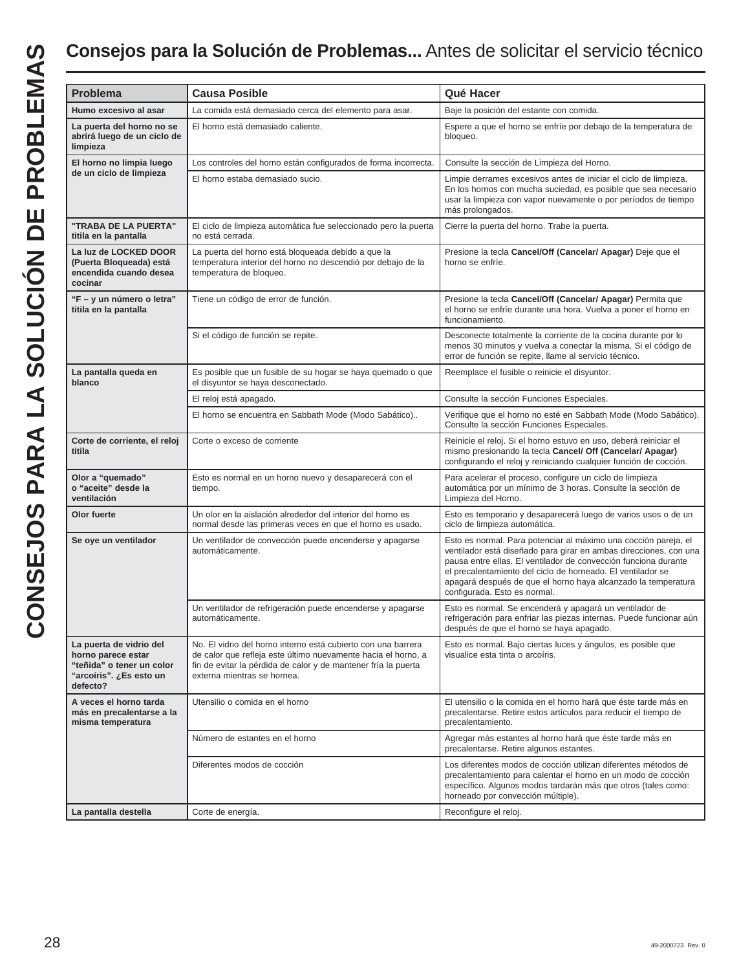| <b>Problema</b>                                                                                                    | <b>Causa Posible</b>                                                                                                                                                                                                            | Qué Hacer                                                                                                                                                                                                                                                                                                                                                               |
|--------------------------------------------------------------------------------------------------------------------|---------------------------------------------------------------------------------------------------------------------------------------------------------------------------------------------------------------------------------|-------------------------------------------------------------------------------------------------------------------------------------------------------------------------------------------------------------------------------------------------------------------------------------------------------------------------------------------------------------------------|
| Humo excesivo al asar                                                                                              | La comida está demasiado cerca del elemento para asar.                                                                                                                                                                          | Baje la posición del estante con comida.                                                                                                                                                                                                                                                                                                                                |
| La puerta del horno no se<br>abrirá luego de un ciclo de<br>limpieza                                               | El horno está demasiado caliente.                                                                                                                                                                                               | Espere a que el horno se enfríe por debajo de la temperatura de<br>bloqueo.                                                                                                                                                                                                                                                                                             |
| El horno no limpia luego                                                                                           | Los controles del horno están configurados de forma incorrecta.                                                                                                                                                                 | Consulte la sección de Limpieza del Horno.                                                                                                                                                                                                                                                                                                                              |
| de un ciclo de limpieza                                                                                            | El horno estaba demasiado sucio.                                                                                                                                                                                                | Limpie derrames excesivos antes de iniciar el ciclo de limpieza.<br>En los hornos con mucha suciedad, es posible que sea necesario<br>usar la limpieza con vapor nuevamente o por períodos de tiempo<br>más prolongados.                                                                                                                                                |
| "TRABA DE LA PUERTA"<br>titila en la pantalla                                                                      | El ciclo de limpieza automática fue seleccionado pero la puerta<br>no está cerrada.                                                                                                                                             | Cierre la puerta del horno. Trabe la puerta.                                                                                                                                                                                                                                                                                                                            |
| La luz de LOCKED DOOR<br>(Puerta Bloqueada) está<br>encendida cuando desea<br>cocinar                              | La puerta del horno está bloqueada debido a que la<br>temperatura interior del horno no descendió por debajo de la<br>temperatura de bloqueo.                                                                                   | Presione la tecla Cancel/Off (Cancelar/ Apagar) Deje que el<br>horno se enfríe.                                                                                                                                                                                                                                                                                         |
| "F - y un número o letra"<br>titila en la pantalla                                                                 | Tiene un código de error de función.                                                                                                                                                                                            | Presione la tecla Cancel/Off (Cancelar/ Apagar) Permita que<br>el horno se enfríe durante una hora. Vuelva a poner el horno en<br>funcionamiento.                                                                                                                                                                                                                       |
|                                                                                                                    | Si el código de función se repite.                                                                                                                                                                                              | Desconecte totalmente la corriente de la cocina durante por lo<br>menos 30 minutos y vuelva a conectar la misma. Si el código de<br>error de función se repite, llame al servicio técnico.                                                                                                                                                                              |
| La pantalla queda en<br>blanco                                                                                     | Es posible que un fusible de su hogar se haya quemado o que<br>el disyuntor se haya desconectado.                                                                                                                               | Reemplace el fusible o reinicie el disyuntor.                                                                                                                                                                                                                                                                                                                           |
|                                                                                                                    | El reloj está apagado.                                                                                                                                                                                                          | Consulte la sección Funciones Especiales.                                                                                                                                                                                                                                                                                                                               |
|                                                                                                                    | El horno se encuentra en Sabbath Mode (Modo Sabático)                                                                                                                                                                           | Verifique que el horno no esté en Sabbath Mode (Modo Sabático).<br>Consulte la sección Funciones Especiales.                                                                                                                                                                                                                                                            |
| Corte de corriente, el reloj<br>titila                                                                             | Corte o exceso de corriente                                                                                                                                                                                                     | Reinicie el reloj. Si el horno estuvo en uso, deberá reiniciar el<br>mismo presionando la tecla Cancel/ Off (Cancelar/ Apagar)<br>configurando el reloj y reiniciando cualquier función de cocción.                                                                                                                                                                     |
| Olor a "quemado"<br>o "aceite" desde la<br>ventilación                                                             | Esto es normal en un horno nuevo y desaparecerá con el<br>tiempo.                                                                                                                                                               | Para acelerar el proceso, configure un ciclo de limpieza<br>automática por un mínimo de 3 horas. Consulte la sección de<br>Limpieza del Horno.                                                                                                                                                                                                                          |
| Olor fuerte                                                                                                        | Un olor en la aislación alrededor del interior del horno es<br>normal desde las primeras veces en que el horno es usado.                                                                                                        | Esto es temporario y desaparecerá luego de varios usos o de un<br>ciclo de limpieza automática.                                                                                                                                                                                                                                                                         |
| Se oye un ventilador                                                                                               | Un ventilador de convección puede encenderse y apagarse<br>automáticamente.                                                                                                                                                     | Esto es normal. Para potenciar al máximo una cocción pareja, el<br>ventilador está diseñado para girar en ambas direcciones, con una<br>pausa entre ellas. El ventilador de convección funciona durante<br>el precalentamiento del ciclo de horneado. El ventilador se<br>apagará después de que el horno haya alcanzado la temperatura<br>configurada. Esto es normal. |
|                                                                                                                    | Un ventilador de refrigeración puede encenderse y apagarse<br>automáticamente.                                                                                                                                                  | Esto es normal. Se encenderá y apagará un ventilador de<br>refrigeración para enfriar las piezas internas. Puede funcionar aún<br>después de que el horno se haya apagado.                                                                                                                                                                                              |
| La puerta de vidrio del<br>horno parece estar<br>"teñida" o tener un color<br>''arcoíris". ¿Es esto un<br>defecto? | No. El vidrio del horno interno está cubierto con una barrera<br>de calor que refleja este último nuevamente hacia el horno, a<br>fin de evitar la pérdida de calor y de mantener fría la puerta<br>externa mientras se hornea. | Esto es normal. Bajo ciertas luces y ángulos, es posible que<br>visualice esta tinta o arcoíris.                                                                                                                                                                                                                                                                        |
| A veces el horno tarda<br>más en precalentarse a la<br>misma temperatura                                           | Utensilio o comida en el horno                                                                                                                                                                                                  | El utensilio o la comida en el horno hará que éste tarde más en<br>precalentarse. Retire estos artículos para reducir el tiempo de<br>precalentamiento.                                                                                                                                                                                                                 |
|                                                                                                                    | Número de estantes en el horno                                                                                                                                                                                                  | Agregar más estantes al horno hará que éste tarde más en<br>precalentarse. Retire algunos estantes.                                                                                                                                                                                                                                                                     |
|                                                                                                                    | Diferentes modos de cocción                                                                                                                                                                                                     | Los diferentes modos de cocción utilizan diferentes métodos de<br>precalentamiento para calentar el horno en un modo de cocción<br>específico. Algunos modos tardarán más que otros (tales como:<br>horneado por convección múltiple).                                                                                                                                  |
| La pantalla destella                                                                                               | Corte de energía.                                                                                                                                                                                                               | Reconfigure el reloj.                                                                                                                                                                                                                                                                                                                                                   |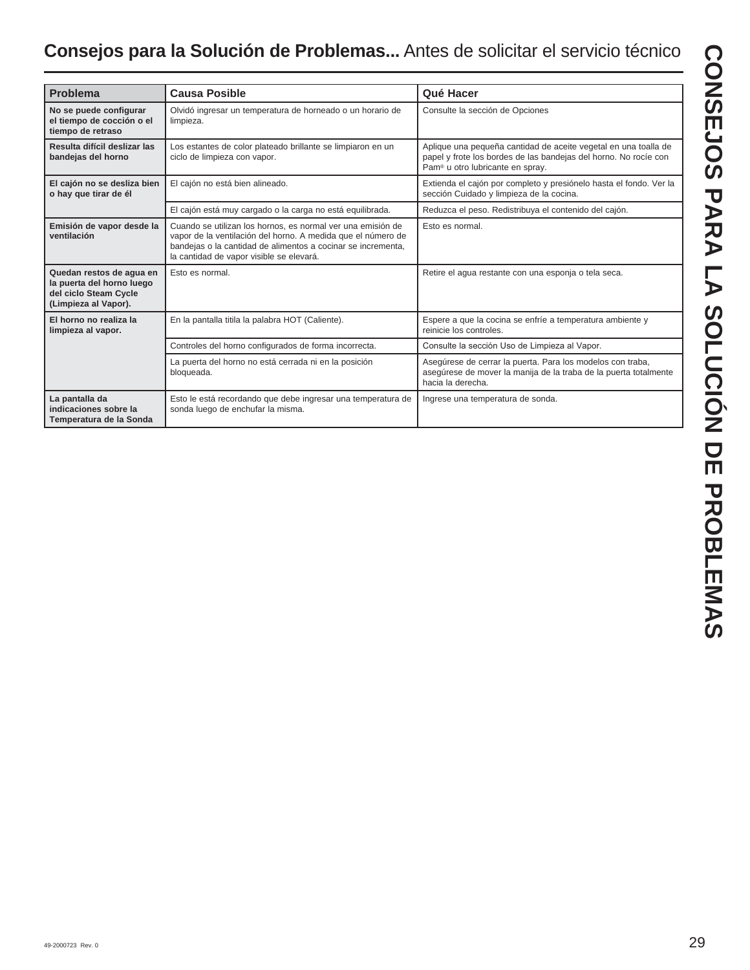| <b>Problema</b>                                                                                        | <b>Causa Posible</b>                                                                                                                                                                                                                    | Qué Hacer                                                                                                                                                                           |
|--------------------------------------------------------------------------------------------------------|-----------------------------------------------------------------------------------------------------------------------------------------------------------------------------------------------------------------------------------------|-------------------------------------------------------------------------------------------------------------------------------------------------------------------------------------|
| No se puede configurar<br>el tiempo de cocción o el<br>tiempo de retraso                               | Olvidó ingresar un temperatura de horneado o un horario de<br>limpieza.                                                                                                                                                                 | Consulte la sección de Opciones                                                                                                                                                     |
| Resulta difícil deslizar las<br>bandejas del horno                                                     | Los estantes de color plateado brillante se limpiaron en un<br>ciclo de limpieza con vapor.                                                                                                                                             | Aplique una pequeña cantidad de aceite vegetal en una toalla de<br>papel y frote los bordes de las bandejas del horno. No rocíe con<br>Pam <sup>®</sup> u otro lubricante en spray. |
| El cajón no se desliza bien<br>o hay que tirar de él                                                   | El cajón no está bien alineado.                                                                                                                                                                                                         | Extienda el cajón por completo y presiónelo hasta el fondo. Ver la<br>sección Cuidado y limpieza de la cocina.                                                                      |
|                                                                                                        | El cajón está muy cargado o la carga no está equilibrada.                                                                                                                                                                               | Reduzca el peso. Redistribuya el contenido del cajón.                                                                                                                               |
| Emisión de vapor desde la<br>ventilación                                                               | Cuando se utilizan los hornos, es normal ver una emisión de<br>vapor de la ventilación del horno. A medida que el número de<br>bandejas o la cantidad de alimentos a cocinar se incrementa,<br>la cantidad de vapor visible se elevará. | Esto es normal.                                                                                                                                                                     |
| Quedan restos de aqua en<br>la puerta del horno luego<br>del ciclo Steam Cycle<br>(Limpieza al Vapor). | Esto es normal.                                                                                                                                                                                                                         | Retire el aqua restante con una esponja o tela seca.                                                                                                                                |
| El horno no realiza la<br>limpieza al vapor.                                                           | En la pantalla titila la palabra HOT (Caliente).                                                                                                                                                                                        | Espere a que la cocina se enfríe a temperatura ambiente y<br>reinicie los controles.                                                                                                |
|                                                                                                        | Controles del horno configurados de forma incorrecta.                                                                                                                                                                                   | Consulte la sección Uso de Limpieza al Vapor.                                                                                                                                       |
|                                                                                                        | La puerta del horno no está cerrada ni en la posición<br>bloqueada.                                                                                                                                                                     | Asegúrese de cerrar la puerta. Para los modelos con traba,<br>asegúrese de mover la manija de la traba de la puerta totalmente<br>hacia la derecha.                                 |
| La pantalla da<br>indicaciones sobre la<br>Temperatura de la Sonda                                     | Esto le está recordando que debe ingresar una temperatura de<br>sonda luego de enchufar la misma.                                                                                                                                       | Ingrese una temperatura de sonda.                                                                                                                                                   |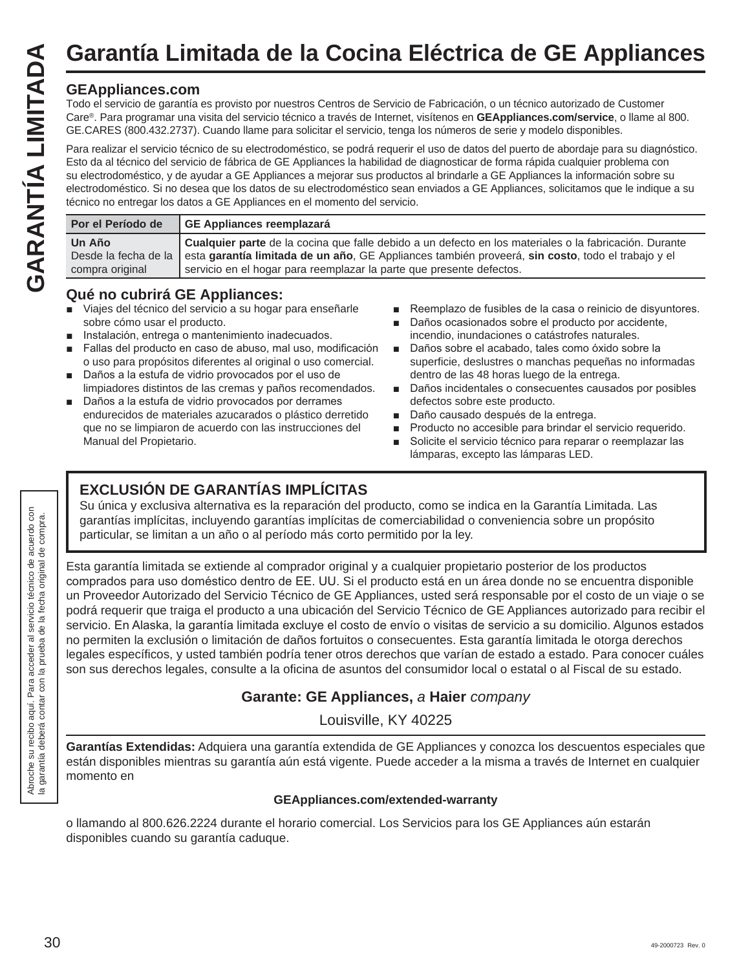## **Garantía Limitada de la Cocina Eléctrica de GE Appliances**

## **GEAppliances.com**

Todo el servicio de garantía es provisto por nuestros Centros de Servicio de Fabricación, o un técnico autorizado de Customer Care®. Para programar una visita del servicio técnico a través de Internet, visítenos en **GEAppliances.com/service**, o llame al 800. GE.CARES (800.432.2737). Cuando llame para solicitar el servicio, tenga los números de serie y modelo disponibles.

Para realizar el servicio técnico de su electrodoméstico, se podrá requerir el uso de datos del puerto de abordaje para su diagnóstico. Esto da al técnico del servicio de fábrica de GE Appliances la habilidad de diagnosticar de forma rápida cualquier problema con su electrodoméstico, y de ayudar a GE Appliances a mejorar sus productos al brindarle a GE Appliances la información sobre su electrodoméstico. Si no desea que los datos de su electrodoméstico sean enviados a GE Appliances, solicitamos que le indique a su técnico no entregar los datos a GE Appliances en el momento del servicio.

| Por el Período de         | GE Appliances reemplazará                                                                                                                                                                                                                                                                                |
|---------------------------|----------------------------------------------------------------------------------------------------------------------------------------------------------------------------------------------------------------------------------------------------------------------------------------------------------|
| Un Año<br>compra original | Cualquier parte de la cocina que falle debido a un defecto en los materiales o la fabricación. Durante<br>Desde la fecha de la esta garantía limitada de un año, GE Appliances también proveerá, sin costo, todo el trabajo y el<br>servicio en el hogar para reemplazar la parte que presente defectos. |

## **Qué no cubrirá GE Appliances:**

- Viajes del técnico del servicio a su hogar para enseñarle sobre cómo usar el producto.
- Instalación, entrega o mantenimiento inadecuados.
- Fallas del producto en caso de abuso, mal uso, modificación o uso para propósitos diferentes al original o uso comercial.
- Daños a la estufa de vidrio provocados por el uso de limpiadores distintos de las cremas y paños recomendados.
- Daños a la estufa de vidrio provocados por derrames endurecidos de materiales azucarados o plástico derretido que no se limpiaron de acuerdo con las instrucciones del Manual del Propietario.
- Reemplazo de fusibles de la casa o reinicio de disyuntores.
- Daños ocasionados sobre el producto por accidente, incendio, inundaciones o catástrofes naturales.
- Daños sobre el acabado, tales como óxido sobre la superficie, deslustres o manchas pequeñas no informadas dentro de las 48 horas luego de la entrega.
- Daños incidentales o consecuentes causados por posibles defectos sobre este producto.
- Daño causado después de la entrega.
- **Producto no accesible para brindar el servicio requerido.**
- Solicite el servicio técnico para reparar o reemplazar las lámparas, excepto las lámparas LED.

## **EXCLUSIÓN DE GARANTÍAS IMPLÍCITAS**

Su única y exclusiva alternativa es la reparación del producto, como se indica en la Garantía Limitada. Las garantías implícitas, incluyendo garantías implícitas de comerciabilidad o conveniencia sobre un propósito particular, se limitan a un año o al período más corto permitido por la ley.

Esta garantía limitada se extiende al comprador original y a cualquier propietario posterior de los productos comprados para uso doméstico dentro de EE. UU. Si el producto está en un área donde no se encuentra disponible un Proveedor Autorizado del Servicio Técnico de GE Appliances, usted será responsable por el costo de un viaje o se podrá requerir que traiga el producto a una ubicación del Servicio Técnico de GE Appliances autorizado para recibir el servicio. En Alaska, la garantía limitada excluye el costo de envío o visitas de servicio a su domicilio. Algunos estados no permiten la exclusión o limitación de daños fortuitos o consecuentes. Esta garantía limitada le otorga derechos legales específicos, y usted también podría tener otros derechos que varían de estado a estado. Para conocer cuáles son sus derechos legales, consulte a la oficina de asuntos del consumidor local o estatal o al Fiscal de su estado.

## **Garante: GE Appliances,** *a* **Haier** *company*

Louisville, KY 40225

**Garantías Extendidas:** Adquiera una garantía extendida de GE Appliances y conozca los descuentos especiales que están disponibles mientras su garantía aún está vigente. Puede acceder a la misma a través de Internet en cualquier momento en

## **GEAppliances.com/extended-warranty**

o llamando al 800.626.2224 durante el horario comercial. Los Servicios para los GE Appliances aún estarán disponibles cuando su garantía caduque.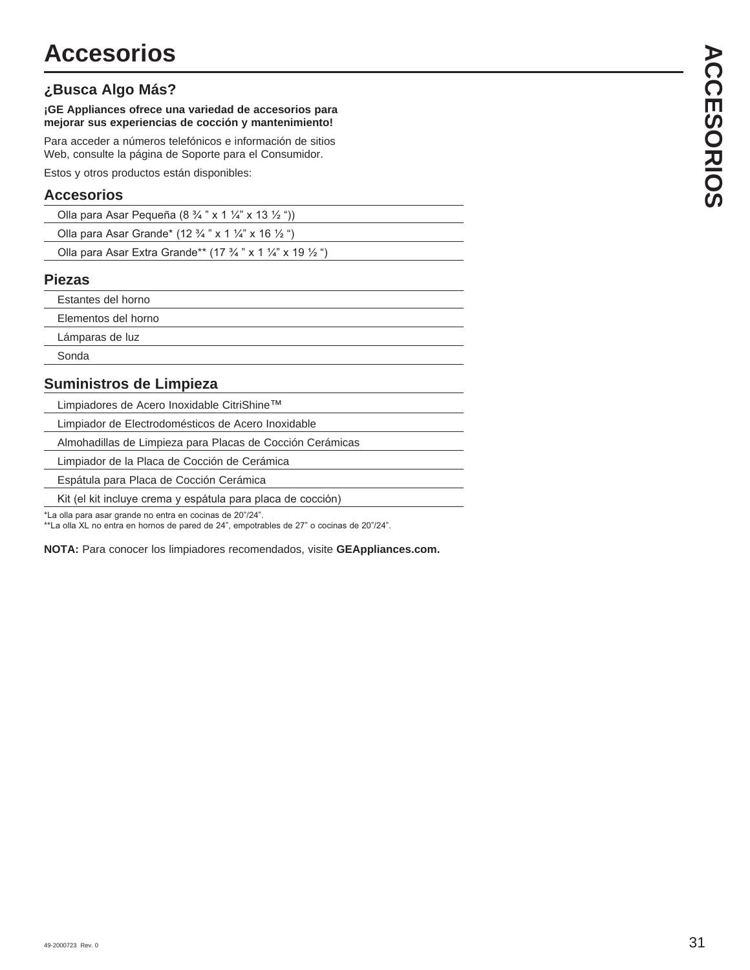## **¿Busca Algo Más?**

**¡GE Appliances ofrece una variedad de accesorios para mejorar sus experiencias de cocción y mantenimiento!**

Para acceder a números telefónicos e información de sitios Web, consulte la página de Soporte para el Consumidor.

Estos y otros productos están disponibles:

## **Accesorios**

| Olla para Asar Pequeña (8 $\frac{3}{4}$ " x 1 $\frac{1}{4}$ " x 13 $\frac{1}{2}$ ")         |
|---------------------------------------------------------------------------------------------|
| Olla para Asar Grande* (12 $\frac{3}{4}$ " x 1 $\frac{1}{4}$ " x 16 $\frac{1}{2}$ ")        |
| Olla para Asar Extra Grande** (17 $\frac{3}{4}$ " x 1 $\frac{1}{4}$ " x 19 $\frac{1}{2}$ ") |

#### **Piezas**

| Estantes del horno  |
|---------------------|
| Elementos del horno |
| Lámparas de luz     |
| Sonda               |
|                     |

## **Suministros de Limpieza**

Limpiadores de Acero Inoxidable CitriShine™

Limpiador de Electrodomésticos de Acero Inoxidable

Almohadillas de Limpieza para Placas de Cocción Cerámicas

 Limpiador de la Placa de Cocción de Cerámica Espátula para Placa de Cocción Cerámica

Kit (el kit incluye crema y espátula para placa de cocción)

\*La olla para asar grande no entra en cocinas de 20"/24".

\*\*La olla XL no entra en hornos de pared de 24", empotrables de 27" o cocinas de 20"/24".

**NOTA:** Para conocer los limpiadores recomendados, visite **GEAppliances.com.**